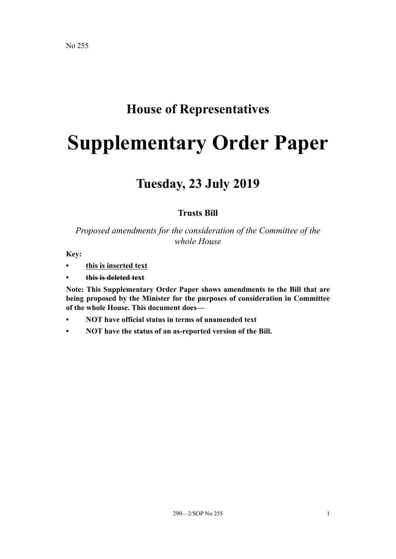# **House of Representatives**

# **Supplementary Order Paper**

# **Tuesday, 23 July 2019**

# **Trusts Bill**

# *Proposed amendments for the consideration of the Committee of the whole House*

**Key:**

- **• this is inserted text**
- **• this is deleted text**

**Note: This Supplementary Order Paper shows amendments to the Bill that are being proposed by the Minister for the purposes of consideration in Committee of the whole House. This document does—**

- **• NOT have official status in terms of unamended text**
- **• NOT have the status of an as-reported version of the Bill.**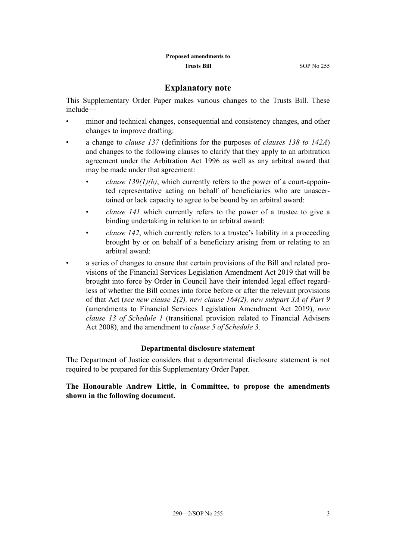## **Explanatory note**

This Supplementary Order Paper makes various changes to the Trusts Bill. These include—

- minor and technical changes, consequential and consistency changes, and other changes to improve drafting:
- a change to *clause 137* (definitions for the purposes of *clauses 138 to 142A*) and changes to the following clauses to clarify that they apply to an arbitration agreement under the Arbitration Act 1996 as well as any arbitral award that may be made under that agreement:
	- *clause 139(1)(b)*, which currently refers to the power of a court-appointed representative acting on behalf of beneficiaries who are unascertained or lack capacity to agree to be bound by an arbitral award:
	- *clause 141* which currently refers to the power of a trustee to give a binding undertaking in relation to an arbitral award:
	- *clause 142*, which currently refers to a trustee's liability in a proceeding brought by or on behalf of a beneficiary arising from or relating to an arbitral award:
- a series of changes to ensure that certain provisions of the Bill and related provisions of the Financial Services Legislation Amendment Act 2019 that will be brought into force by Order in Council have their intended legal effect regardless of whether the Bill comes into force before or after the relevant provisions of that Act (*see new clause 2(2), new clause 164(2), new subpart 3A of Part 9* (amendments to Financial Services Legislation Amendment Act 2019), *new clause 13 of Schedule 1* (transitional provision related to Financial Advisers Act 2008), and the amendment to *clause 5 of Schedule 3*.

#### **Departmental disclosure statement**

The Department of Justice considers that a departmental disclosure statement is not required to be prepared for this Supplementary Order Paper.

**The Honourable Andrew Little, in Committee, to propose the amendments shown in the following document.**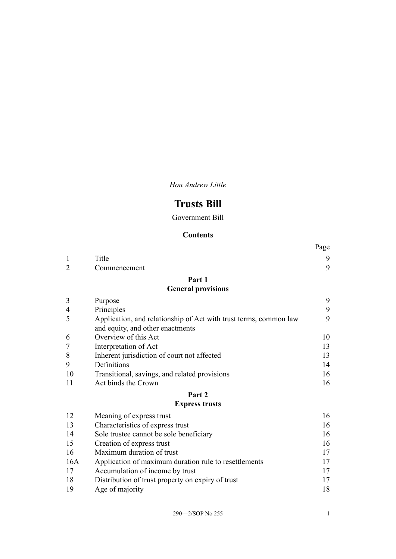*Hon Andrew Little*

# **Trusts Bill**

Government Bill

### **Contents**

|                |                                                                   | Page |
|----------------|-------------------------------------------------------------------|------|
| $\mathbf{1}$   | Title                                                             | 9    |
| $\overline{2}$ | Commencement                                                      | 9    |
|                | Part 1                                                            |      |
|                | <b>General provisions</b>                                         |      |
| 3              | Purpose                                                           | 9    |
| $\overline{4}$ | Principles                                                        | 9    |
| 5              | Application, and relationship of Act with trust terms, common law | 9    |
|                | and equity, and other enactments                                  |      |
| 6              | Overview of this Act                                              | 10   |
| $\overline{7}$ | Interpretation of Act                                             | 13   |
| 8              | Inherent jurisdiction of court not affected                       | 13   |
| 9              | Definitions                                                       | 14   |
| 10             | Transitional, savings, and related provisions                     | 16   |
| 11             | Act binds the Crown                                               | 16   |
|                | Part 2                                                            |      |
|                | <b>Express trusts</b>                                             |      |
| 12             | Meaning of express trust                                          | 16   |
| 13             | Characteristics of express trust                                  | 16   |
| 14             | Sole trustee cannot be sole beneficiary                           | 16   |
| 15             | Creation of express trust                                         | 16   |
| 16             | Maximum duration of trust                                         | 17   |
| 16A            | Application of maximum duration rule to resettlements             | 17   |
| 17             | Accumulation of income by trust                                   | 17   |
| 18             | Distribution of trust property on expiry of trust                 | 17   |
| 19             | Age of majority                                                   | 18   |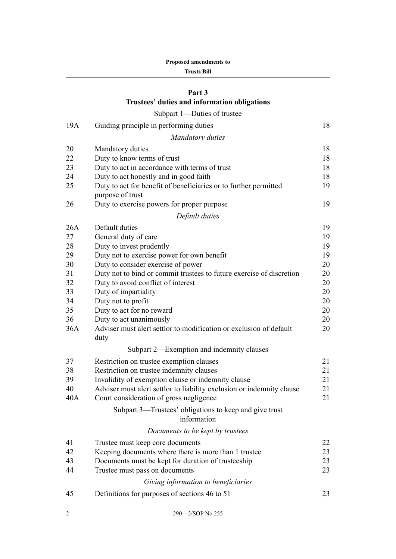|  | <b>Proposed amendments to</b> |  |
|--|-------------------------------|--|
|--|-------------------------------|--|

#### **Trusts Bill**

# **[Part 3](#page-21-0) [Trustees' duties and information obligations](#page-21-0)**

# $Subport 1 - Dutions of  $t$$

| 19A | Guiding principle in performing duties                                               | 18 |
|-----|--------------------------------------------------------------------------------------|----|
|     | <b>Mandatory duties</b>                                                              |    |
| 20  | Mandatory duties                                                                     | 18 |
| 22  | Duty to know terms of trust                                                          | 18 |
| 23  | Duty to act in accordance with terms of trust                                        | 18 |
| 24  | Duty to act honestly and in good faith                                               | 18 |
| 25  | Duty to act for benefit of beneficiaries or to further permitted<br>purpose of trust | 19 |
| 26  | Duty to exercise powers for proper purpose                                           | 19 |
|     | Default duties                                                                       |    |
| 26A | Default duties                                                                       | 19 |
| 27  | General duty of care                                                                 | 19 |
| 28  | Duty to invest prudently                                                             | 19 |
| 29  | Duty not to exercise power for own benefit                                           | 19 |
| 30  | Duty to consider exercise of power                                                   | 20 |
| 31  | Duty not to bind or commit trustees to future exercise of discretion                 | 20 |
| 32  | Duty to avoid conflict of interest                                                   | 20 |
| 33  | Duty of impartiality                                                                 | 20 |
| 34  | Duty not to profit                                                                   | 20 |
| 35  | Duty to act for no reward                                                            | 20 |
| 36  | Duty to act unanimously                                                              | 20 |
| 36A | Adviser must alert settlor to modification or exclusion of default<br>duty           | 20 |
|     | Subpart 2—Exemption and indemnity clauses                                            |    |
| 37  | Restriction on trustee exemption clauses                                             | 21 |
| 38  | Restriction on trustee indemnity clauses                                             | 21 |
| 39  | Invalidity of exemption clause or indemnity clause                                   | 21 |
| 40  | Adviser must alert settlor to liability exclusion or indemnity clause                | 21 |
| 40A | Court consideration of gross negligence                                              | 21 |
|     | Subpart 3—Trustees' obligations to keep and give trust<br>information                |    |
|     | Documents to be kept by trustees                                                     |    |
| 41  | Trustee must keep core documents                                                     | 22 |
| 42  | Keeping documents where there is more than 1 trustee                                 | 23 |
| 43  | Documents must be kept for duration of trusteeship                                   | 23 |
| 44  | Trustee must pass on documents                                                       | 23 |
|     | Giving information to beneficiaries                                                  |    |
|     |                                                                                      |    |
| 45  | Definitions for purposes of sections 46 to 51                                        | 23 |
|     |                                                                                      |    |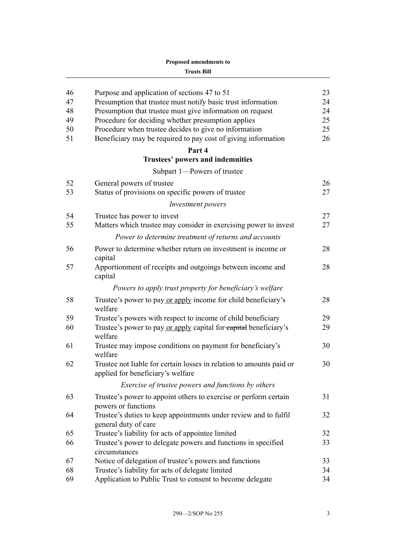| 46 | Purpose and application of sections 47 to 51                                                              | 23 |
|----|-----------------------------------------------------------------------------------------------------------|----|
| 47 | Presumption that trustee must notify basic trust information                                              | 24 |
| 48 | Presumption that trustee must give information on request                                                 | 24 |
| 49 | Procedure for deciding whether presumption applies                                                        | 25 |
| 50 | Procedure when trustee decides to give no information                                                     | 25 |
| 51 | Beneficiary may be required to pay cost of giving information                                             | 26 |
|    | Part 4                                                                                                    |    |
|    | Trustees' powers and indemnities                                                                          |    |
|    | Subpart 1-Powers of trustee                                                                               |    |
| 52 | General powers of trustee                                                                                 | 26 |
| 53 | Status of provisions on specific powers of trustee                                                        | 27 |
|    | Investment powers                                                                                         |    |
| 54 | Trustee has power to invest                                                                               | 27 |
| 55 | Matters which trustee may consider in exercising power to invest                                          | 27 |
|    | Power to determine treatment of returns and accounts                                                      |    |
| 56 | Power to determine whether return on investment is income or                                              | 28 |
|    | capital                                                                                                   |    |
| 57 | Apportionment of receipts and outgoings between income and<br>capital                                     | 28 |
|    | Powers to apply trust property for beneficiary's welfare                                                  |    |
| 58 | Trustee's power to pay or apply income for child beneficiary's<br>welfare                                 | 28 |
| 59 | Trustee's powers with respect to income of child beneficiary                                              | 29 |
| 60 | Trustee's power to pay or apply capital for eapital beneficiary's<br>welfare                              | 29 |
| 61 | Trustee may impose conditions on payment for beneficiary's<br>welfare                                     | 30 |
| 62 | Trustee not liable for certain losses in relation to amounts paid or<br>applied for beneficiary's welfare | 30 |
|    | Exercise of trustee powers and functions by others                                                        |    |
| 63 | Trustee's power to appoint others to exercise or perform certain<br>powers or functions                   | 31 |
| 64 | Trustee's duties to keep appointments under review and to fulfil<br>general duty of care                  | 32 |
| 65 | Trustee's liability for acts of appointee limited                                                         | 32 |
| 66 | Trustee's power to delegate powers and functions in specified<br>circumstances                            | 33 |
| 67 | Notice of delegation of trustee's powers and functions                                                    | 33 |
| 68 | Trustee's liability for acts of delegate limited                                                          | 34 |
| 69 | Application to Public Trust to consent to become delegate                                                 | 34 |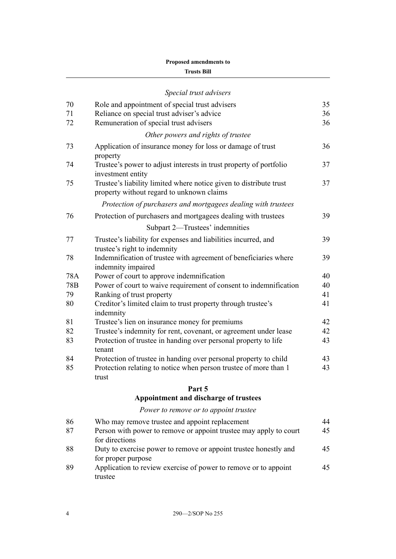#### **Trusts Bill**

|     | Special trust advisers                                                                                          |    |
|-----|-----------------------------------------------------------------------------------------------------------------|----|
| 70  | Role and appointment of special trust advisers                                                                  | 35 |
| 71  | Reliance on special trust adviser's advice                                                                      | 36 |
| 72  | Remuneration of special trust advisers                                                                          | 36 |
|     | Other powers and rights of trustee                                                                              |    |
| 73  | Application of insurance money for loss or damage of trust<br>property                                          | 36 |
| 74  | Trustee's power to adjust interests in trust property of portfolio<br>investment entity                         | 37 |
| 75  | Trustee's liability limited where notice given to distribute trust<br>property without regard to unknown claims | 37 |
|     | Protection of purchasers and mortgagees dealing with trustees                                                   |    |
| 76  | Protection of purchasers and mortgagees dealing with trustees                                                   | 39 |
|     | Subpart 2—Trustees' indemnities                                                                                 |    |
| 77  | Trustee's liability for expenses and liabilities incurred, and<br>trustee's right to indemnity                  | 39 |
| 78  | Indemnification of trustee with agreement of beneficiaries where<br>indemnity impaired                          | 39 |
| 78A | Power of court to approve indemnification                                                                       | 40 |
| 78B | Power of court to waive requirement of consent to indemnification                                               | 40 |
| 79  | Ranking of trust property                                                                                       | 41 |
| 80  | Creditor's limited claim to trust property through trustee's<br>indemnity                                       | 41 |
| 81  | Trustee's lien on insurance money for premiums                                                                  | 42 |
| 82  | Trustee's indemnity for rent, covenant, or agreement under lease                                                | 42 |
| 83  | Protection of trustee in handing over personal property to life<br>tenant                                       | 43 |
| 84  | Protection of trustee in handing over personal property to child                                                | 43 |
| 85  | Protection relating to notice when person trustee of more than 1<br>trust                                       | 43 |

#### **[Part 5](#page-47-0)**

# **[Appointment and discharge of trustees](#page-47-0)**

# *[Power to remove or to appoint trustee](#page-47-0)*

| 86 | Who may remove trustee and appoint replacement                    | 44 |
|----|-------------------------------------------------------------------|----|
| 87 | Person with power to remove or appoint trustee may apply to court | 45 |
|    | for directions                                                    |    |
| 88 | Duty to exercise power to remove or appoint trustee honestly and  | 45 |
|    | for proper purpose                                                |    |
| 89 | Application to review exercise of power to remove or to appoint   | 45 |
|    | trustee                                                           |    |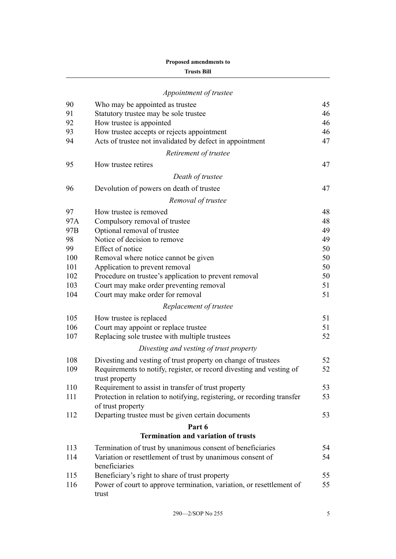|                 | Appointment of trustee                                                                 |    |
|-----------------|----------------------------------------------------------------------------------------|----|
| 90              | Who may be appointed as trustee                                                        | 45 |
| 91              | Statutory trustee may be sole trustee                                                  | 46 |
| 92              | How trustee is appointed                                                               | 46 |
| 93              | How trustee accepts or rejects appointment                                             | 46 |
| 94              | Acts of trustee not invalidated by defect in appointment                               | 47 |
|                 | Retirement of trustee                                                                  |    |
| 95              | How trustee retires                                                                    | 47 |
|                 | Death of trustee                                                                       |    |
| 96              | Devolution of powers on death of trustee                                               | 47 |
|                 | Removal of trustee                                                                     |    |
| 97              | How trustee is removed                                                                 | 48 |
| 97A             | Compulsory removal of trustee                                                          | 48 |
| 97 <sub>B</sub> | Optional removal of trustee                                                            | 49 |
| 98              | Notice of decision to remove                                                           | 49 |
| 99              | Effect of notice                                                                       | 50 |
| 100             | Removal where notice cannot be given                                                   | 50 |
| 101             | Application to prevent removal                                                         | 50 |
| 102             | Procedure on trustee's application to prevent removal                                  | 50 |
| 103             | Court may make order preventing removal                                                | 51 |
| 104             | Court may make order for removal                                                       | 51 |
|                 | Replacement of trustee                                                                 |    |
| 105             | How trustee is replaced                                                                | 51 |
| 106             | Court may appoint or replace trustee                                                   | 51 |
| 107             | Replacing sole trustee with multiple trustees                                          | 52 |
|                 | Divesting and vesting of trust property                                                |    |
| 108             | Divesting and vesting of trust property on change of trustees                          | 52 |
| 109             | Requirements to notify, register, or record divesting and vesting of<br>trust property | 52 |
| 110             | Requirement to assist in transfer of trust property                                    | 53 |
| 111             | Protection in relation to notifying, registering, or recording transfer                | 53 |
| 112             | of trust property                                                                      | 53 |
|                 | Departing trustee must be given certain documents                                      |    |
|                 | Part 6<br><b>Termination and variation of trusts</b>                                   |    |
| 113             | Termination of trust by unanimous consent of beneficiaries                             | 54 |
| 114             | Variation or resettlement of trust by unanimous consent of                             | 54 |
|                 | beneficiaries                                                                          |    |
| 115             | Beneficiary's right to share of trust property                                         | 55 |
| 116             | Power of court to approve termination, variation, or resettlement of<br>trust          | 55 |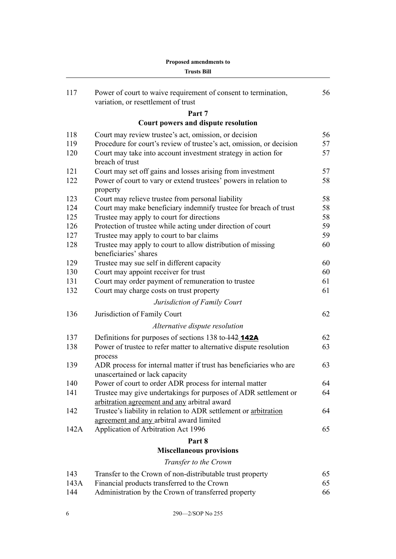| 117  | Power of court to waive requirement of consent to termination,                                                  | 56 |
|------|-----------------------------------------------------------------------------------------------------------------|----|
|      | variation, or resettlement of trust                                                                             |    |
|      | Part 7                                                                                                          |    |
|      | Court powers and dispute resolution                                                                             |    |
| 118  | Court may review trustee's act, omission, or decision                                                           | 56 |
| 119  | Procedure for court's review of trustee's act, omission, or decision                                            | 57 |
| 120  | Court may take into account investment strategy in action for<br>breach of trust                                | 57 |
| 121  | Court may set off gains and losses arising from investment                                                      | 57 |
| 122  | Power of court to vary or extend trustees' powers in relation to<br>property                                    | 58 |
| 123  | Court may relieve trustee from personal liability                                                               | 58 |
| 124  | Court may make beneficiary indemnify trustee for breach of trust                                                | 58 |
| 125  | Trustee may apply to court for directions                                                                       | 58 |
| 126  | Protection of trustee while acting under direction of court                                                     | 59 |
| 127  | Trustee may apply to court to bar claims                                                                        | 59 |
| 128  | Trustee may apply to court to allow distribution of missing<br>beneficiaries' shares                            | 60 |
| 129  | Trustee may sue self in different capacity                                                                      | 60 |
| 130  | Court may appoint receiver for trust                                                                            | 60 |
| 131  | Court may order payment of remuneration to trustee                                                              | 61 |
| 132  | Court may charge costs on trust property                                                                        | 61 |
|      | Jurisdiction of Family Court                                                                                    |    |
| 136  | Jurisdiction of Family Court                                                                                    | 62 |
|      | Alternative dispute resolution                                                                                  |    |
| 137  | Definitions for purposes of sections 138 to 142 142A                                                            | 62 |
| 138  | Power of trustee to refer matter to alternative dispute resolution<br>process                                   | 63 |
| 139  | ADR process for internal matter if trust has beneficiaries who are<br>unascertained or lack capacity            | 63 |
| 140  | Power of court to order ADR process for internal matter                                                         | 64 |
| 141  | Trustee may give undertakings for purposes of ADR settlement or<br>arbitration agreement and any arbitral award | 64 |
| 142  | Trustee's liability in relation to ADR settlement or arbitration<br>agreement and any arbitral award limited    | 64 |
| 142A | Application of Arbitration Act 1996                                                                             | 65 |
|      | Part 8                                                                                                          |    |
|      | <b>Miscellaneous provisions</b>                                                                                 |    |
|      | Transfer to the Crown                                                                                           |    |
| 143  | Transfer to the Crown of non-distributable trust property                                                       | 65 |
| 143A | Financial products transferred to the Crown                                                                     | 65 |
| 144  | Administration by the Crown of transferred property                                                             | 66 |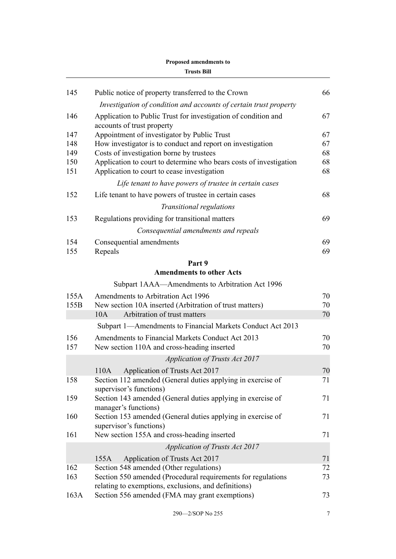| 145        | Public notice of property transferred to the Crown                                                                | 66       |
|------------|-------------------------------------------------------------------------------------------------------------------|----------|
|            | Investigation of condition and accounts of certain trust property                                                 |          |
| 146        | Application to Public Trust for investigation of condition and<br>accounts of trust property                      | 67       |
| 147        | Appointment of investigator by Public Trust                                                                       | 67       |
| 148        | How investigator is to conduct and report on investigation                                                        | 67       |
| 149        | Costs of investigation borne by trustees                                                                          | 68       |
| 150<br>151 | Application to court to determine who bears costs of investigation<br>Application to court to cease investigation | 68<br>68 |
|            | Life tenant to have powers of trustee in certain cases                                                            |          |
| 152        | Life tenant to have powers of trustee in certain cases                                                            | 68       |
|            | Transitional regulations                                                                                          |          |
| 153        | Regulations providing for transitional matters                                                                    | 69       |
|            | Consequential amendments and repeals                                                                              |          |
| 154        | Consequential amendments                                                                                          | 69       |
| 155        | Repeals                                                                                                           | 69       |
|            | Part 9                                                                                                            |          |
|            | <b>Amendments to other Acts</b>                                                                                   |          |
|            | Subpart 1AAA—Amendments to Arbitration Act 1996                                                                   |          |
| 155A       | Amendments to Arbitration Act 1996                                                                                | 70       |
| 155B       | New section 10A inserted (Arbitration of trust matters)<br>10A                                                    | 70<br>70 |
|            | Arbitration of trust matters                                                                                      |          |
|            | Subpart 1—Amendments to Financial Markets Conduct Act 2013                                                        |          |
| 156<br>157 | Amendments to Financial Markets Conduct Act 2013<br>New section 110A and cross-heading inserted                   | 70<br>70 |
|            | <b>Application of Trusts Act 2017</b>                                                                             |          |
|            | Application of Trusts Act 2017<br>110A                                                                            | 70       |
| 158        | Section 112 amended (General duties applying in exercise of<br>supervisor's functions)                            | 71       |
| 159        | Section 143 amended (General duties applying in exercise of<br>manager's functions)                               | 71       |
| 160        | Section 153 amended (General duties applying in exercise of<br>supervisor's functions)                            | 71       |
| 161        | New section 155A and cross-heading inserted                                                                       | 71       |
|            | <b>Application of Trusts Act 2017</b>                                                                             |          |
|            | Application of Trusts Act 2017<br>155A                                                                            | 71       |
| 162        | Section 548 amended (Other regulations)                                                                           | 72       |
| 163        | Section 550 amended (Procedural requirements for regulations                                                      | 73       |
| 163A       | relating to exemptions, exclusions, and definitions)<br>Section 556 amended (FMA may grant exemptions)            | 73       |
|            |                                                                                                                   |          |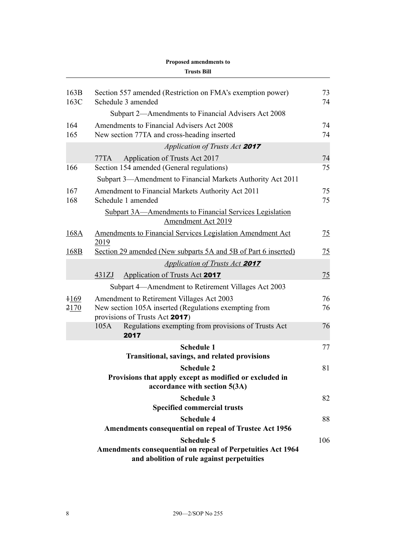|              | <b>Trusts Bill</b>                                                                                               |          |
|--------------|------------------------------------------------------------------------------------------------------------------|----------|
| 163B<br>163C | Section 557 amended (Restriction on FMA's exemption power)<br>Schedule 3 amended                                 | 73<br>74 |
|              | Subpart 2—Amendments to Financial Advisers Act 2008                                                              |          |
| 164          | Amendments to Financial Advisers Act 2008                                                                        | 74       |
| 165          | New section 77TA and cross-heading inserted                                                                      | 74       |
|              | Application of Trusts Act 2017                                                                                   |          |
|              | Application of Trusts Act 2017<br>77TA                                                                           | 74       |
| 166          | Section 154 amended (General regulations)                                                                        | 75       |
|              | Subpart 3—Amendment to Financial Markets Authority Act 2011                                                      |          |
| 167<br>168   | Amendment to Financial Markets Authority Act 2011<br>Schedule 1 amended                                          | 75<br>75 |
|              | Subpart 3A—Amendments to Financial Services Legislation<br>Amendment Act 2019                                    |          |
| 168A         | <b>Amendments to Financial Services Legislation Amendment Act</b><br>2019                                        | 75       |
| 168B         | Section 29 amended (New subparts 5A and 5B of Part 6 inserted)                                                   | 75       |
|              | <b>Application of Trusts Act 2017</b>                                                                            |          |
|              | <b>Application of Trusts Act 2017</b><br>431ZJ                                                                   | 75       |
|              | Subpart 4—Amendment to Retirement Villages Act 2003                                                              |          |
| $+169$       | Amendment to Retirement Villages Act 2003                                                                        | 76       |
| 2170         | New section 105A inserted (Regulations exempting from<br>provisions of Trusts Act 2017)                          | 76       |
|              | Regulations exempting from provisions of Trusts Act<br>105A<br>2017                                              | 76       |
|              | <b>Schedule 1</b>                                                                                                | 77       |
|              | <b>Transitional, savings, and related provisions</b>                                                             |          |
|              | <b>Schedule 2</b>                                                                                                | 81       |
|              | Provisions that apply except as modified or excluded in<br>accordance with section 5(3A)                         |          |
|              | <b>Schedule 3</b>                                                                                                | 82       |
|              | <b>Specified commercial trusts</b>                                                                               |          |
|              | <b>Schedule 4</b><br><b>Amendments consequential on repeal of Trustee Act 1956</b>                               | 88       |
|              | <b>Schedule 5</b>                                                                                                | 106      |
|              | <b>Amendments consequential on repeal of Perpetuities Act 1964</b><br>and abolition of rule against perpetuities |          |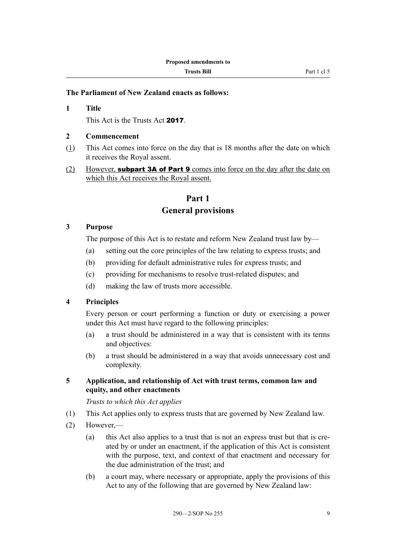#### <span id="page-12-0"></span>**The Parliament of New Zealand enacts as follows:**

**1 Title** This Act is the Trusts Act 2017.

#### **2 Commencement**

- (1) This Act comes into force on the day that is 18 months after the date on which it receives the Royal assent.
- (2) However, **subpart 3A of Part 9** comes into force on the day after the date on which this Act receives the Royal assent.

# **Part 1 General provisions**

#### **3 Purpose**

The purpose of this Act is to restate and reform New Zealand trust law by—

- (a) setting out the core principles of the law relating to express trusts; and
- (b) providing for default administrative rules for express trusts; and
- (c) providing for mechanisms to resolve trust-related disputes; and
- (d) making the law of trusts more accessible.

#### **4 Principles**

Every person or court performing a function or duty or exercising a power under this Act must have regard to the following principles:

- (a) a trust should be administered in a way that is consistent with its terms and objectives:
- (b) a trust should be administered in a way that avoids unnecessary cost and complexity.

#### **5 Application, and relationship of Act with trust terms, common law and equity, and other enactments**

*Trusts to which this Act applies*

- (1) This Act applies only to express trusts that are governed by New Zealand law.
- (2) However,—
	- (a) this Act also applies to a trust that is not an express trust but that is created by or under an enactment, if the application of this Act is consistent with the purpose, text, and context of that enactment and necessary for the due administration of the trust; and
	- (b) a court may, where necessary or appropriate, apply the provisions of this Act to any of the following that are governed by New Zealand law: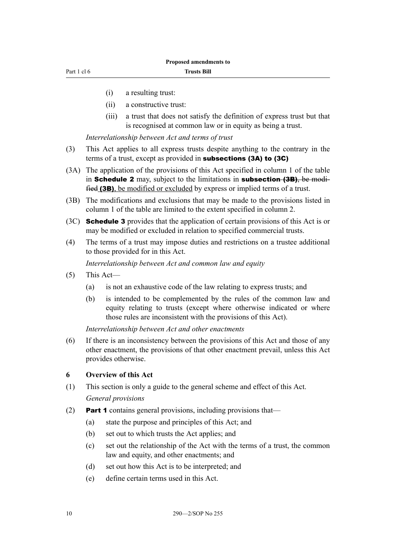- <span id="page-13-0"></span>(i) a resulting trust:
- (ii) a constructive trust:
- (iii) a trust that does not satisfy the definition of express trust but that is recognised at common law or in equity as being a trust.

*Interrelationship between Act and terms of trust*

- (3) This Act applies to all express trusts despite anything to the contrary in the terms of a trust, except as provided in subsections (3A) to (3C)
- (3A) The application of the provisions of this Act specified in column 1 of the table in **Schedule 2** may, subject to the limitations in **subsection (3B)**, be modified (3B), be modified or excluded by express or implied terms of a trust.
- (3B) The modifications and exclusions that may be made to the provisions listed in column 1 of the table are limited to the extent specified in column 2.
- (3C) Schedule 3 provides that the application of certain provisions of this Act is or may be modified or excluded in relation to specified commercial trusts.
- (4) The terms of a trust may impose duties and restrictions on a trustee additional to those provided for in this Act.

*Interrelationship between Act and common law and equity*

- (5) This Act—
	- (a) is not an exhaustive code of the law relating to express trusts; and
	- (b) is intended to be complemented by the rules of the common law and equity relating to trusts (except where otherwise indicated or where those rules are inconsistent with the provisions of this Act).

*Interrelationship between Act and other enactments*

(6) If there is an inconsistency between the provisions of this Act and those of any other enactment, the provisions of that other enactment prevail, unless this Act provides otherwise.

#### **6 Overview of this Act**

- (1) This section is only a guide to the general scheme and effect of this Act. *General provisions*
- (2) Part 1 contains general provisions, including provisions that—
	- (a) state the purpose and principles of this Act; and
	- (b) set out to which trusts the Act applies; and
	- (c) set out the relationship of the Act with the terms of a trust, the common law and equity, and other enactments; and
	- (d) set out how this Act is to be interpreted; and
	- (e) define certain terms used in this Act.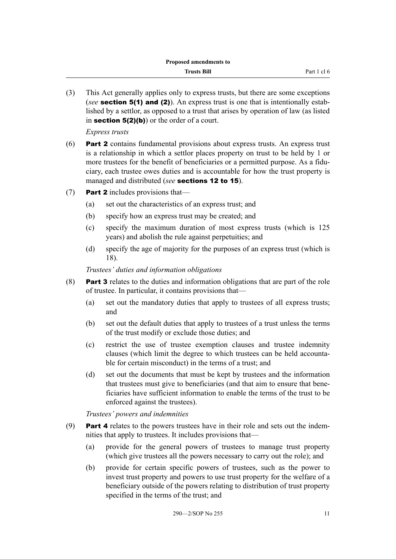(3) This Act generally applies only to express trusts, but there are some exceptions (*see* section 5(1) and (2)). An express trust is one that is intentionally established by a settlor, as opposed to a trust that arises by operation of law (as listed in section  $5(2)(b)$  or the order of a court.

*Express trusts*

- (6) Part 2 contains fundamental provisions about express trusts. An express trust is a relationship in which a settlor places property on trust to be held by 1 or more trustees for the benefit of beneficiaries or a permitted purpose. As a fiduciary, each trustee owes duties and is accountable for how the trust property is managed and distributed (*see* sections 12 to 15).
- (7) **Part 2** includes provisions that—
	- (a) set out the characteristics of an express trust; and
	- (b) specify how an express trust may be created; and
	- (c) specify the maximum duration of most express trusts (which is 125 years) and abolish the rule against perpetuities; and
	- (d) specify the age of majority for the purposes of an express trust (which is 18).

*Trustees' duties and information obligations*

- (8) Part 3 relates to the duties and information obligations that are part of the role of trustee. In particular, it contains provisions that—
	- (a) set out the mandatory duties that apply to trustees of all express trusts; and
	- (b) set out the default duties that apply to trustees of a trust unless the terms of the trust modify or exclude those duties; and
	- (c) restrict the use of trustee exemption clauses and trustee indemnity clauses (which limit the degree to which trustees can be held accountable for certain misconduct) in the terms of a trust; and
	- (d) set out the documents that must be kept by trustees and the information that trustees must give to beneficiaries (and that aim to ensure that beneficiaries have sufficient information to enable the terms of the trust to be enforced against the trustees).

*Trustees' powers and indemnities*

- (9) **Part 4** relates to the powers trustees have in their role and sets out the indemnities that apply to trustees. It includes provisions that—
	- (a) provide for the general powers of trustees to manage trust property (which give trustees all the powers necessary to carry out the role); and
	- (b) provide for certain specific powers of trustees, such as the power to invest trust property and powers to use trust property for the welfare of a beneficiary outside of the powers relating to distribution of trust property specified in the terms of the trust; and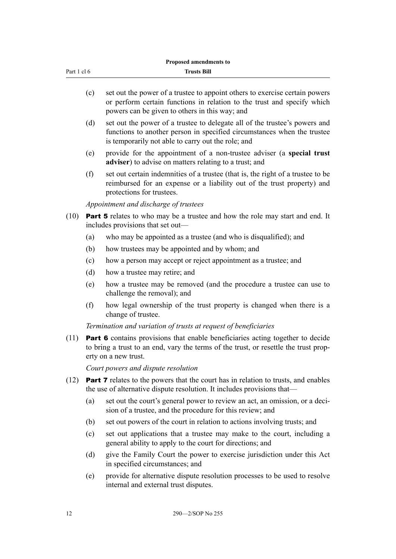| Part 1 cl 6 |  |  |
|-------------|--|--|
|             |  |  |

- (c) set out the power of a trustee to appoint others to exercise certain powers or perform certain functions in relation to the trust and specify which powers can be given to others in this way; and
- (d) set out the power of a trustee to delegate all of the trustee's powers and functions to another person in specified circumstances when the trustee is temporarily not able to carry out the role; and
- (e) provide for the appointment of a non-trustee adviser (a **special trust adviser**) to advise on matters relating to a trust; and
- (f) set out certain indemnities of a trustee (that is, the right of a trustee to be reimbursed for an expense or a liability out of the trust property) and protections for trustees.

*Appointment and discharge of trustees*

- (10) Part 5 relates to who may be a trustee and how the role may start and end. It includes provisions that set out—
	- (a) who may be appointed as a trustee (and who is disqualified); and
	- (b) how trustees may be appointed and by whom; and
	- (c) how a person may accept or reject appointment as a trustee; and
	- (d) how a trustee may retire; and
	- (e) how a trustee may be removed (and the procedure a trustee can use to challenge the removal); and
	- (f) how legal ownership of the trust property is changed when there is a change of trustee.

*Termination and variation of trusts at request of beneficiaries*

(11) Part 6 contains provisions that enable beneficiaries acting together to decide to bring a trust to an end, vary the terms of the trust, or resettle the trust property on a new trust.

*Court powers and dispute resolution*

- (12) Part 7 relates to the powers that the court has in relation to trusts, and enables the use of alternative dispute resolution. It includes provisions that—
	- (a) set out the court's general power to review an act, an omission, or a decision of a trustee, and the procedure for this review; and
	- (b) set out powers of the court in relation to actions involving trusts; and
	- (c) set out applications that a trustee may make to the court, including a general ability to apply to the court for directions; and
	- (d) give the Family Court the power to exercise jurisdiction under this Act in specified circumstances; and
	- (e) provide for alternative dispute resolution processes to be used to resolve internal and external trust disputes.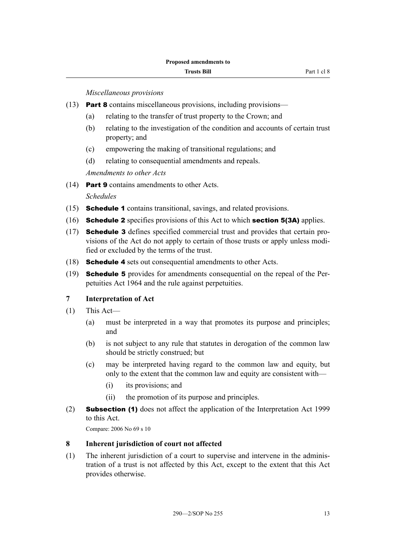*Miscellaneous provisions*

- <span id="page-16-0"></span>(13) Part 8 contains miscellaneous provisions, including provisions—
	- (a) relating to the transfer of trust property to the Crown; and
	- (b) relating to the investigation of the condition and accounts of certain trust property; and
	- (c) empowering the making of transitional regulations; and
	- (d) relating to consequential amendments and repeals.

*Amendments to other Acts*

(14) Part 9 contains amendments to other Acts.

*Schedules*

- (15) Schedule 1 contains transitional, savings, and related provisions.
- (16) Schedule 2 specifies provisions of this Act to which section 5(3A) applies.
- (17) Schedule 3 defines specified commercial trust and provides that certain provisions of the Act do not apply to certain of those trusts or apply unless modified or excluded by the terms of the trust.
- (18) Schedule 4 sets out consequential amendments to other Acts.
- (19) Schedule 5 provides for amendments consequential on the repeal of the Perpetuities Act 1964 and the rule against perpetuities.

#### **7 Interpretation of Act**

- (1) This Act—
	- (a) must be interpreted in a way that promotes its purpose and principles; and
	- (b) is not subject to any rule that statutes in derogation of the common law should be strictly construed; but
	- (c) may be interpreted having regard to the common law and equity, but only to the extent that the common law and equity are consistent with—
		- (i) its provisions; and
		- (ii) the promotion of its purpose and principles.
- (2) Subsection (1) does not affect the application of the Interpretation Act 1999 to this Act.

Compare: 2006 No 69 s 10

#### **8 Inherent jurisdiction of court not affected**

(1) The inherent jurisdiction of a court to supervise and intervene in the administration of a trust is not affected by this Act, except to the extent that this Act provides otherwise.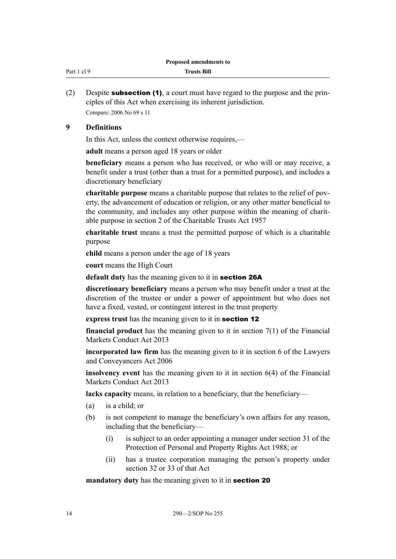<span id="page-17-0"></span>

| Part 1 cl 9 | <b>Trusts Bill</b> |
|-------------|--------------------|
|             |                    |

(2) Despite **subsection (1)**, a court must have regard to the purpose and the principles of this Act when exercising its inherent jurisdiction. Compare: 2006 No 69 s 11

#### **9 Definitions**

In this Act, unless the context otherwise requires,—

**adult** means a person aged 18 years or older

**beneficiary** means a person who has received, or who will or may receive, a benefit under a trust (other than a trust for a permitted purpose), and includes a discretionary beneficiary

**charitable purpose** means a charitable purpose that relates to the relief of poverty, the advancement of education or religion, or any other matter beneficial to the community, and includes any other purpose within the meaning of charitable purpose in section 2 of the Charitable Trusts Act 1957

**charitable trust** means a trust the permitted purpose of which is a charitable purpose

**child** means a person under the age of 18 years

**court** means the High Court

**default duty** has the meaning given to it in section 26A

**discretionary beneficiary** means a person who may benefit under a trust at the discretion of the trustee or under a power of appointment but who does not have a fixed, vested, or contingent interest in the trust property

**express trust** has the meaning given to it in section 12

**financial product** has the meaning given to it in section 7(1) of the Financial Markets Conduct Act 2013

**incorporated law firm** has the meaning given to it in section 6 of the Lawyers and Conveyancers Act 2006

**insolvency event** has the meaning given to it in section 6(4) of the Financial Markets Conduct Act 2013

**lacks capacity** means, in relation to a beneficiary, that the beneficiary—

- (a) is a child; or
- (b) is not competent to manage the beneficiary's own affairs for any reason, including that the beneficiary—
	- (i) is subject to an order appointing a manager under section 31 of the Protection of Personal and Property Rights Act 1988; or
	- (ii) has a trustee corporation managing the person's property under section 32 or 33 of that Act

**mandatory duty** has the meaning given to it in section 20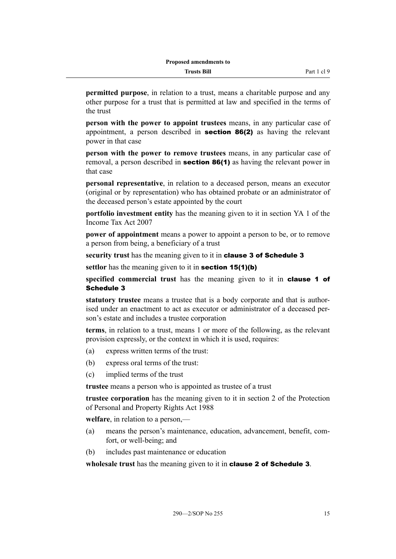**permitted purpose**, in relation to a trust, means a charitable purpose and any other purpose for a trust that is permitted at law and specified in the terms of the trust

**person with the power to appoint trustees** means, in any particular case of appointment, a person described in section 86(2) as having the relevant power in that case

**person with the power to remove trustees** means, in any particular case of removal, a person described in **section 86(1)** as having the relevant power in that case

**personal representative**, in relation to a deceased person, means an executor (original or by representation) who has obtained probate or an administrator of the deceased person's estate appointed by the court

**portfolio investment entity** has the meaning given to it in section YA 1 of the Income Tax Act 2007

**power of appointment** means a power to appoint a person to be, or to remove a person from being, a beneficiary of a trust

**security trust** has the meaning given to it in clause 3 of Schedule 3

**settlor** has the meaning given to it in **section 15(1)(b)** 

**specified commercial trust** has the meaning given to it in clause 1 of Schedule 3

**statutory trustee** means a trustee that is a body corporate and that is authorised under an enactment to act as executor or administrator of a deceased person's estate and includes a trustee corporation

**terms**, in relation to a trust, means 1 or more of the following, as the relevant provision expressly, or the context in which it is used, requires:

- (a) express written terms of the trust:
- (b) express oral terms of the trust:
- (c) implied terms of the trust

**trustee** means a person who is appointed as trustee of a trust

**trustee corporation** has the meaning given to it in section 2 of the Protection of Personal and Property Rights Act 1988

**welfare**, in relation to a person,—

- (a) means the person's maintenance, education, advancement, benefit, comfort, or well-being; and
- (b) includes past maintenance or education

**wholesale trust** has the meaning given to it in clause 2 of Schedule 3.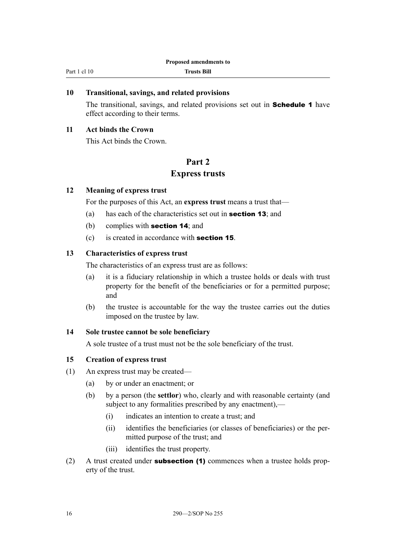#### <span id="page-19-0"></span>**10 Transitional, savings, and related provisions**

The transitional, savings, and related provisions set out in **Schedule 1** have effect according to their terms.

#### **11 Act binds the Crown**

This Act binds the Crown.

#### **Part 2**

#### **Express trusts**

#### **12 Meaning of express trust**

For the purposes of this Act, an **express trust** means a trust that—

- (a) has each of the characteristics set out in section 13; and
- (b) complies with section 14; and
- (c) is created in accordance with section 15.

#### **13 Characteristics of express trust**

The characteristics of an express trust are as follows:

- (a) it is a fiduciary relationship in which a trustee holds or deals with trust property for the benefit of the beneficiaries or for a permitted purpose; and
- (b) the trustee is accountable for the way the trustee carries out the duties imposed on the trustee by law.

#### **14 Sole trustee cannot be sole beneficiary**

A sole trustee of a trust must not be the sole beneficiary of the trust.

#### **15 Creation of express trust**

- (1) An express trust may be created—
	- (a) by or under an enactment; or
	- (b) by a person (the **settlor**) who, clearly and with reasonable certainty (and subject to any formalities prescribed by any enactment).—
		- (i) indicates an intention to create a trust; and
		- (ii) identifies the beneficiaries (or classes of beneficiaries) or the permitted purpose of the trust; and
		- (iii) identifies the trust property.
- (2) A trust created under **subsection (1)** commences when a trustee holds property of the trust.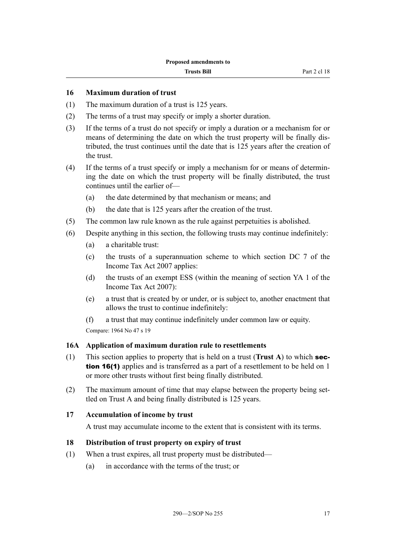#### <span id="page-20-0"></span>**16 Maximum duration of trust**

- (1) The maximum duration of a trust is 125 years.
- (2) The terms of a trust may specify or imply a shorter duration.
- (3) If the terms of a trust do not specify or imply a duration or a mechanism for or means of determining the date on which the trust property will be finally distributed, the trust continues until the date that is 125 years after the creation of the trust.
- (4) If the terms of a trust specify or imply a mechanism for or means of determining the date on which the trust property will be finally distributed, the trust continues until the earlier of—
	- (a) the date determined by that mechanism or means; and
	- (b) the date that is 125 years after the creation of the trust.
- (5) The common law rule known as the rule against perpetuities is abolished.
- (6) Despite anything in this section, the following trusts may continue indefinitely:
	- (a) a charitable trust:
	- (c) the trusts of a superannuation scheme to which section DC 7 of the Income Tax Act 2007 applies:
	- (d) the trusts of an exempt ESS (within the meaning of section YA 1 of the Income Tax Act 2007):
	- (e) a trust that is created by or under, or is subject to, another enactment that allows the trust to continue indefinitely:
	- (f) a trust that may continue indefinitely under common law or equity.

Compare: 1964 No 47 s 19

#### **16A Application of maximum duration rule to resettlements**

- (1) This section applies to property that is held on a trust (**Trust A**) to which section 16(1) applies and is transferred as a part of a resettlement to be held on 1 or more other trusts without first being finally distributed.
- (2) The maximum amount of time that may elapse between the property being settled on Trust A and being finally distributed is 125 years.

#### **17 Accumulation of income by trust**

A trust may accumulate income to the extent that is consistent with its terms.

#### **18 Distribution of trust property on expiry of trust**

- (1) When a trust expires, all trust property must be distributed—
	- (a) in accordance with the terms of the trust; or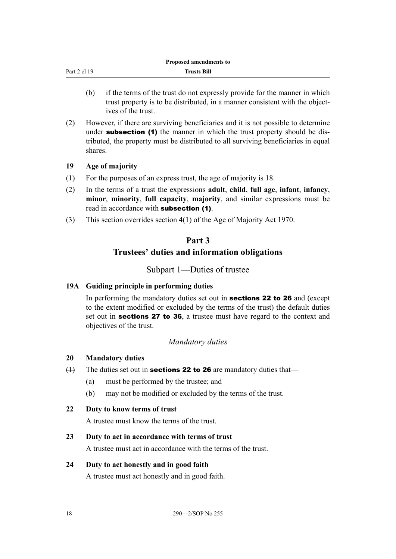<span id="page-21-0"></span>

|              | Proposed amendments to |  |
|--------------|------------------------|--|
| Part 2 cl 19 | <b>Trusts Bill</b>     |  |
|              |                        |  |

- (b) if the terms of the trust do not expressly provide for the manner in which trust property is to be distributed, in a manner consistent with the objectives of the trust.
- (2) However, if there are surviving beneficiaries and it is not possible to determine under **subsection** (1) the manner in which the trust property should be distributed, the property must be distributed to all surviving beneficiaries in equal shares.

#### **19 Age of majority**

- (1) For the purposes of an express trust, the age of majority is 18.
- (2) In the terms of a trust the expressions **adult**, **child**, **full age**, **infant**, **infancy**, **minor**, **minority**, **full capacity**, **majority**, and similar expressions must be read in accordance with subsection (1).
- (3) This section overrides section 4(1) of the Age of Majority Act 1970.

### **Part 3**

# **Trustees' duties and information obligations**

Subpart 1—Duties of trustee

#### **19A Guiding principle in performing duties**

In performing the mandatory duties set out in **sections 22 to 26** and (except to the extent modified or excluded by the terms of the trust) the default duties set out in **sections 27 to 36**, a trustee must have regard to the context and objectives of the trust.

#### *Mandatory duties*

#### **20 Mandatory duties**

- $(1)$  The duties set out in **sections 22 to 26** are mandatory duties that—
	- (a) must be performed by the trustee; and
	- (b) may not be modified or excluded by the terms of the trust.
- **22 Duty to know terms of trust**

A trustee must know the terms of the trust.

#### **23 Duty to act in accordance with terms of trust**

A trustee must act in accordance with the terms of the trust.

#### **24 Duty to act honestly and in good faith**

A trustee must act honestly and in good faith.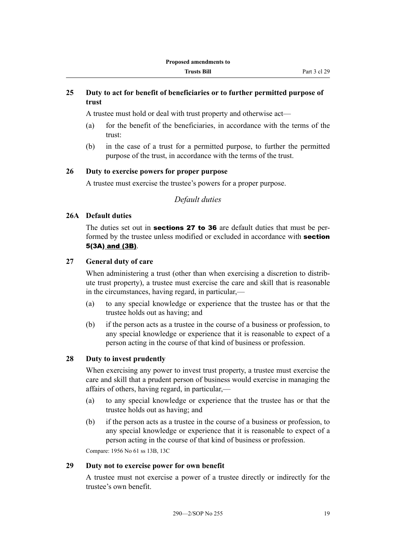#### <span id="page-22-0"></span>**25 Duty to act for benefit of beneficiaries or to further permitted purpose of trust**

A trustee must hold or deal with trust property and otherwise act—

- (a) for the benefit of the beneficiaries, in accordance with the terms of the trust:
- (b) in the case of a trust for a permitted purpose, to further the permitted purpose of the trust, in accordance with the terms of the trust.

#### **26 Duty to exercise powers for proper purpose**

A trustee must exercise the trustee's powers for a proper purpose.

*Default duties*

## **26A Default duties**

The duties set out in **sections 27 to 36** are default duties that must be performed by the trustee unless modified or excluded in accordance with **section** 5(3A) and (3B).

#### **27 General duty of care**

When administering a trust (other than when exercising a discretion to distribute trust property), a trustee must exercise the care and skill that is reasonable in the circumstances, having regard, in particular,—

- (a) to any special knowledge or experience that the trustee has or that the trustee holds out as having; and
- (b) if the person acts as a trustee in the course of a business or profession, to any special knowledge or experience that it is reasonable to expect of a person acting in the course of that kind of business or profession.

#### **28 Duty to invest prudently**

When exercising any power to invest trust property, a trustee must exercise the care and skill that a prudent person of business would exercise in managing the affairs of others, having regard, in particular,—

- (a) to any special knowledge or experience that the trustee has or that the trustee holds out as having; and
- (b) if the person acts as a trustee in the course of a business or profession, to any special knowledge or experience that it is reasonable to expect of a person acting in the course of that kind of business or profession.

Compare: 1956 No 61 ss 13B, 13C

#### **29 Duty not to exercise power for own benefit**

A trustee must not exercise a power of a trustee directly or indirectly for the trustee's own benefit.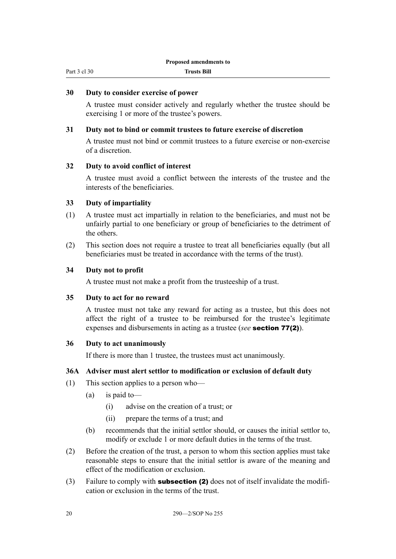#### <span id="page-23-0"></span>**30 Duty to consider exercise of power**

A trustee must consider actively and regularly whether the trustee should be exercising 1 or more of the trustee's powers.

#### **31 Duty not to bind or commit trustees to future exercise of discretion**

A trustee must not bind or commit trustees to a future exercise or non-exercise of a discretion.

#### **32 Duty to avoid conflict of interest**

A trustee must avoid a conflict between the interests of the trustee and the interests of the beneficiaries.

#### **33 Duty of impartiality**

- (1) A trustee must act impartially in relation to the beneficiaries, and must not be unfairly partial to one beneficiary or group of beneficiaries to the detriment of the others.
- (2) This section does not require a trustee to treat all beneficiaries equally (but all beneficiaries must be treated in accordance with the terms of the trust).

#### **34 Duty not to profit**

A trustee must not make a profit from the trusteeship of a trust.

#### **35 Duty to act for no reward**

A trustee must not take any reward for acting as a trustee, but this does not affect the right of a trustee to be reimbursed for the trustee's legitimate expenses and disbursements in acting as a trustee (*see* section 77(2)).

#### **36 Duty to act unanimously**

If there is more than 1 trustee, the trustees must act unanimously.

#### **36A Adviser must alert settlor to modification or exclusion of default duty**

- (1) This section applies to a person who—
	- (a) is paid to—
		- (i) advise on the creation of a trust; or
		- (ii) prepare the terms of a trust; and
	- (b) recommends that the initial settlor should, or causes the initial settlor to, modify or exclude 1 or more default duties in the terms of the trust.
- (2) Before the creation of the trust, a person to whom this section applies must take reasonable steps to ensure that the initial settlor is aware of the meaning and effect of the modification or exclusion.
- (3) Failure to comply with **subsection (2)** does not of itself invalidate the modification or exclusion in the terms of the trust.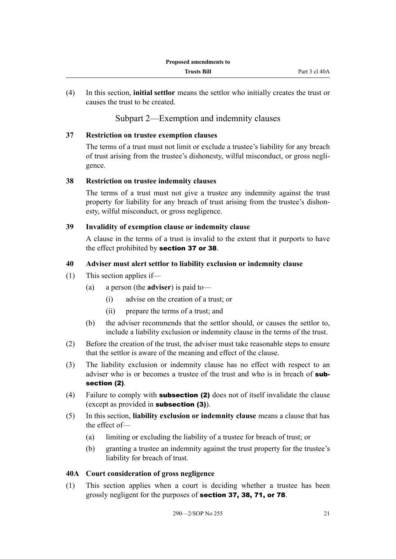<span id="page-24-0"></span>(4) In this section, **initial settlor** means the settlor who initially creates the trust or causes the trust to be created.

### Subpart 2—Exemption and indemnity clauses

#### **37 Restriction on trustee exemption clauses**

The terms of a trust must not limit or exclude a trustee's liability for any breach of trust arising from the trustee's dishonesty, wilful misconduct, or gross negligence.

#### **38 Restriction on trustee indemnity clauses**

The terms of a trust must not give a trustee any indemnity against the trust property for liability for any breach of trust arising from the trustee's dishonesty, wilful misconduct, or gross negligence.

#### **39 Invalidity of exemption clause or indemnity clause**

A clause in the terms of a trust is invalid to the extent that it purports to have the effect prohibited by section 37 or 38.

#### **40 Adviser must alert settlor to liability exclusion or indemnity clause**

- (1) This section applies if—
	- (a) a person (the **adviser**) is paid to—
		- (i) advise on the creation of a trust; or
		- (ii) prepare the terms of a trust; and
	- (b) the adviser recommends that the settlor should, or causes the settlor to, include a liability exclusion or indemnity clause in the terms of the trust.
- (2) Before the creation of the trust, the adviser must take reasonable steps to ensure that the settlor is aware of the meaning and effect of the clause.
- (3) The liability exclusion or indemnity clause has no effect with respect to an adviser who is or becomes a trustee of the trust and who is in breach of **sub**section (2).
- (4) Failure to comply with **subsection (2)** does not of itself invalidate the clause (except as provided in subsection (3)).
- (5) In this section, **liability exclusion or indemnity clause** means a clause that has the effect of—
	- (a) limiting or excluding the liability of a trustee for breach of trust; or
	- (b) granting a trustee an indemnity against the trust property for the trustee's liability for breach of trust.

#### **40A Court consideration of gross negligence**

(1) This section applies when a court is deciding whether a trustee has been grossly negligent for the purposes of section 37, 38, 71, or 78.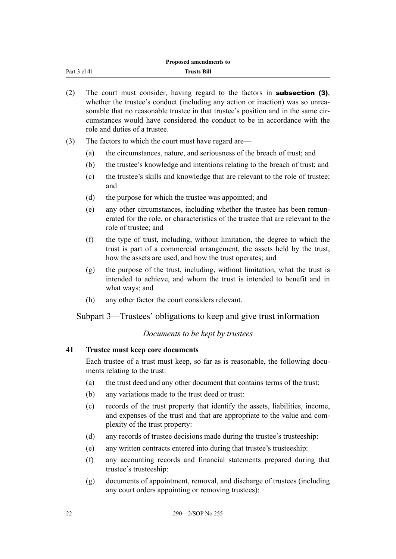<span id="page-25-0"></span>

|              | Proposed amendments to |  |
|--------------|------------------------|--|
| Part 3 cl 41 | Trusts Bill            |  |

- (2) The court must consider, having regard to the factors in **subsection (3)**, whether the trustee's conduct (including any action or inaction) was so unreasonable that no reasonable trustee in that trustee's position and in the same circumstances would have considered the conduct to be in accordance with the role and duties of a trustee.
- (3) The factors to which the court must have regard are—
	- (a) the circumstances, nature, and seriousness of the breach of trust; and
	- (b) the trustee's knowledge and intentions relating to the breach of trust; and
	- (c) the trustee's skills and knowledge that are relevant to the role of trustee; and
	- (d) the purpose for which the trustee was appointed; and
	- (e) any other circumstances, including whether the trustee has been remunerated for the role, or characteristics of the trustee that are relevant to the role of trustee; and
	- (f) the type of trust, including, without limitation, the degree to which the trust is part of a commercial arrangement, the assets held by the trust, how the assets are used, and how the trust operates; and
	- (g) the purpose of the trust, including, without limitation, what the trust is intended to achieve, and whom the trust is intended to benefit and in what ways; and
	- (h) any other factor the court considers relevant.

Subpart 3—Trustees' obligations to keep and give trust information

#### *Documents to be kept by trustees*

#### **41 Trustee must keep core documents**

Each trustee of a trust must keep, so far as is reasonable, the following documents relating to the trust:

- (a) the trust deed and any other document that contains terms of the trust:
- (b) any variations made to the trust deed or trust:
- (c) records of the trust property that identify the assets, liabilities, income, and expenses of the trust and that are appropriate to the value and complexity of the trust property:
- (d) any records of trustee decisions made during the trustee's trusteeship:
- (e) any written contracts entered into during that trustee's trusteeship:
- (f) any accounting records and financial statements prepared during that trustee's trusteeship:
- (g) documents of appointment, removal, and discharge of trustees (including any court orders appointing or removing trustees):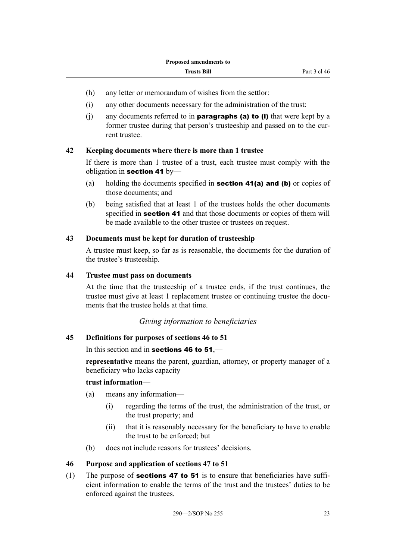- <span id="page-26-0"></span>(h) any letter or memorandum of wishes from the settlor:
- (i) any other documents necessary for the administration of the trust:
- (i) any documents referred to in **paragraphs (a) to (i)** that were kept by a former trustee during that person's trusteeship and passed on to the current trustee.

#### **42 Keeping documents where there is more than 1 trustee**

If there is more than 1 trustee of a trust, each trustee must comply with the obligation in section 41 by—

- (a) holding the documents specified in **section 41(a) and (b)** or copies of those documents; and
- (b) being satisfied that at least 1 of the trustees holds the other documents specified in **section 41** and that those documents or copies of them will be made available to the other trustee or trustees on request.

#### **43 Documents must be kept for duration of trusteeship**

A trustee must keep, so far as is reasonable, the documents for the duration of the trustee's trusteeship.

#### **44 Trustee must pass on documents**

At the time that the trusteeship of a trustee ends, if the trust continues, the trustee must give at least 1 replacement trustee or continuing trustee the documents that the trustee holds at that time.

#### *Giving information to beneficiaries*

#### **45 Definitions for purposes of sections 46 to 51**

In this section and in **sections 46 to 51**,—

**representative** means the parent, guardian, attorney, or property manager of a beneficiary who lacks capacity

#### **trust information**—

- (a) means any information—
	- (i) regarding the terms of the trust, the administration of the trust, or the trust property; and
	- (ii) that it is reasonably necessary for the beneficiary to have to enable the trust to be enforced; but
- (b) does not include reasons for trustees' decisions.

#### **46 Purpose and application of sections 47 to 51**

(1) The purpose of **sections 47 to 51** is to ensure that beneficiaries have sufficient information to enable the terms of the trust and the trustees' duties to be enforced against the trustees.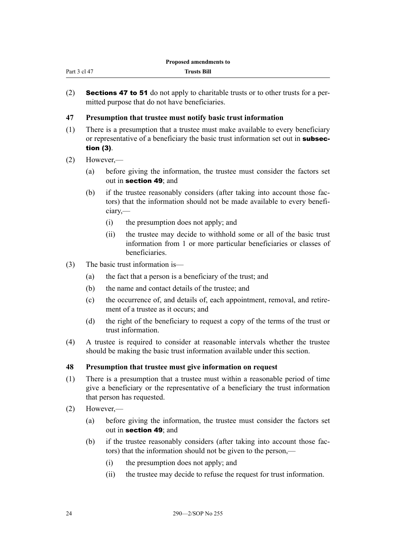<span id="page-27-0"></span>

| Part 3 cl 47<br><b>Trusts Bill</b> |  |
|------------------------------------|--|
|------------------------------------|--|

(2) **Sections 47 to 51** do not apply to charitable trusts or to other trusts for a permitted purpose that do not have beneficiaries.

#### **47 Presumption that trustee must notify basic trust information**

- (1) There is a presumption that a trustee must make available to every beneficiary or representative of a beneficiary the basic trust information set out in **subsec**tion (3).
- (2) However,—
	- (a) before giving the information, the trustee must consider the factors set out in section 49; and
	- (b) if the trustee reasonably considers (after taking into account those factors) that the information should not be made available to every beneficiary,—
		- (i) the presumption does not apply; and
		- (ii) the trustee may decide to withhold some or all of the basic trust information from 1 or more particular beneficiaries or classes of beneficiaries.
- (3) The basic trust information is—
	- (a) the fact that a person is a beneficiary of the trust; and
	- (b) the name and contact details of the trustee; and
	- (c) the occurrence of, and details of, each appointment, removal, and retirement of a trustee as it occurs; and
	- (d) the right of the beneficiary to request a copy of the terms of the trust or trust information.
- (4) A trustee is required to consider at reasonable intervals whether the trustee should be making the basic trust information available under this section.

#### **48 Presumption that trustee must give information on request**

- (1) There is a presumption that a trustee must within a reasonable period of time give a beneficiary or the representative of a beneficiary the trust information that person has requested.
- (2) However,—
	- (a) before giving the information, the trustee must consider the factors set out in section 49; and
	- (b) if the trustee reasonably considers (after taking into account those factors) that the information should not be given to the person,—
		- (i) the presumption does not apply; and
		- (ii) the trustee may decide to refuse the request for trust information.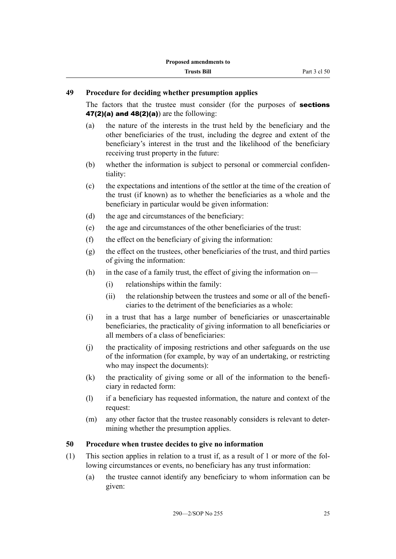#### <span id="page-28-0"></span>**49 Procedure for deciding whether presumption applies**

The factors that the trustee must consider (for the purposes of **sections** 47(2)(a) and  $48(2)(a)$  are the following:

- (a) the nature of the interests in the trust held by the beneficiary and the other beneficiaries of the trust, including the degree and extent of the beneficiary's interest in the trust and the likelihood of the beneficiary receiving trust property in the future:
- (b) whether the information is subject to personal or commercial confidentiality:
- (c) the expectations and intentions of the settlor at the time of the creation of the trust (if known) as to whether the beneficiaries as a whole and the beneficiary in particular would be given information:
- (d) the age and circumstances of the beneficiary:
- (e) the age and circumstances of the other beneficiaries of the trust:
- (f) the effect on the beneficiary of giving the information:
- (g) the effect on the trustees, other beneficiaries of the trust, and third parties of giving the information:
- (h) in the case of a family trust, the effect of giving the information on—
	- (i) relationships within the family:
	- (ii) the relationship between the trustees and some or all of the beneficiaries to the detriment of the beneficiaries as a whole:
- (i) in a trust that has a large number of beneficiaries or unascertainable beneficiaries, the practicality of giving information to all beneficiaries or all members of a class of beneficiaries:
- (j) the practicality of imposing restrictions and other safeguards on the use of the information (for example, by way of an undertaking, or restricting who may inspect the documents):
- (k) the practicality of giving some or all of the information to the beneficiary in redacted form:
- (l) if a beneficiary has requested information, the nature and context of the request:
- (m) any other factor that the trustee reasonably considers is relevant to determining whether the presumption applies.

#### **50 Procedure when trustee decides to give no information**

- (1) This section applies in relation to a trust if, as a result of 1 or more of the following circumstances or events, no beneficiary has any trust information:
	- (a) the trustee cannot identify any beneficiary to whom information can be given: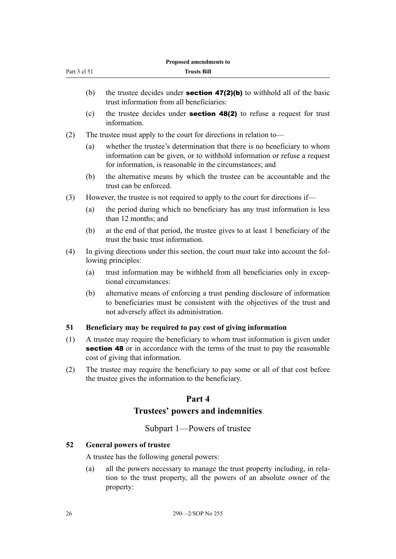<span id="page-29-0"></span>

|              |     | Proposed amendments to                                                                                                                                                                                           |
|--------------|-----|------------------------------------------------------------------------------------------------------------------------------------------------------------------------------------------------------------------|
| Part 3 cl 51 |     | <b>Trusts Bill</b>                                                                                                                                                                                               |
|              | (b) | the trustee decides under <b>section 47(2)(b)</b> to withhold all of the basic<br>trust information from all beneficiaries:                                                                                      |
|              | (c) | the trustee decides under <b>section 48(2)</b> to refuse a request for trust<br>information.                                                                                                                     |
| (2)          |     | The trustee must apply to the court for directions in relation to—                                                                                                                                               |
|              | (a) | whether the trustee's determination that there is no beneficiary to whom<br>information can be given, or to withhold information or refuse a request<br>for information, is reasonable in the circumstances; and |
|              | (b) | the alternative means by which the trustee can be accountable and the<br>trust can be enforced.                                                                                                                  |
| (3)          |     | However, the trustee is not required to apply to the court for directions if—                                                                                                                                    |
|              | (a) | the period during which no beneficiary has any trust information is less<br>than 12 months; and                                                                                                                  |
|              | (b) | at the end of that period, the trustee gives to at least 1 beneficiary of the<br>trust the basic trust information.                                                                                              |
| (4)          |     | In giving directions under this section, the court must take into account the fol-<br>lowing principles:                                                                                                         |
|              | (a) | trust information may be withheld from all beneficiaries only in excep-<br>tional circumstances:                                                                                                                 |
|              | (b) | alternative means of enforcing a trust pending disclosure of information<br>to beneficiaries must be consistent with the objectives of the trust and<br>not adversely affect its administration.                 |
| 51           |     | Beneficiary may be required to pay cost of giving information                                                                                                                                                    |
| (1)          |     | A trustee may require the beneficiary to whom trust information is given under<br><b>section 48</b> or in accordance with the terms of the trust to pay the reasonable<br>cost of giving that information.       |
| (2)          |     | The trustee may require the beneficiary to pay some or all of that cost before<br>the trustee gives the information to the beneficiary.                                                                          |
|              |     | Part 4                                                                                                                                                                                                           |
|              |     | Trustees' powers and indemnities                                                                                                                                                                                 |
|              |     | Subpart 1—Powers of trustee                                                                                                                                                                                      |
| 52           |     | <b>General powers of trustee</b>                                                                                                                                                                                 |
|              |     | A trustee has the following general powers:                                                                                                                                                                      |
|              | (a) | all the powers necessary to manage the trust property including, in rela-<br>tion to the trust property, all the powers of an absolute owner of the                                                              |

property: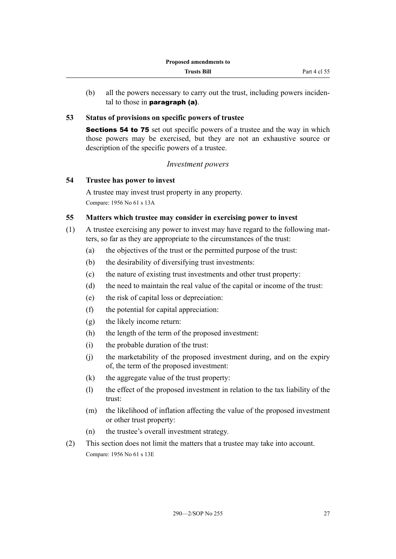<span id="page-30-0"></span>(b) all the powers necessary to carry out the trust, including powers incidental to those in paragraph (a).

#### **53 Status of provisions on specific powers of trustee**

Sections 54 to 75 set out specific powers of a trustee and the way in which those powers may be exercised, but they are not an exhaustive source or description of the specific powers of a trustee.

#### *Investment powers*

#### **54 Trustee has power to invest**

A trustee may invest trust property in any property. Compare: 1956 No 61 s 13A

#### **55 Matters which trustee may consider in exercising power to invest**

- (1) A trustee exercising any power to invest may have regard to the following matters, so far as they are appropriate to the circumstances of the trust:
	- (a) the objectives of the trust or the permitted purpose of the trust:
	- (b) the desirability of diversifying trust investments:
	- (c) the nature of existing trust investments and other trust property:
	- (d) the need to maintain the real value of the capital or income of the trust:
	- (e) the risk of capital loss or depreciation:
	- (f) the potential for capital appreciation:
	- (g) the likely income return:
	- (h) the length of the term of the proposed investment:
	- (i) the probable duration of the trust:
	- (j) the marketability of the proposed investment during, and on the expiry of, the term of the proposed investment:
	- $(k)$  the aggregate value of the trust property:
	- (l) the effect of the proposed investment in relation to the tax liability of the trust:
	- (m) the likelihood of inflation affecting the value of the proposed investment or other trust property:
	- (n) the trustee's overall investment strategy.
- (2) This section does not limit the matters that a trustee may take into account. Compare: 1956 No 61 s 13E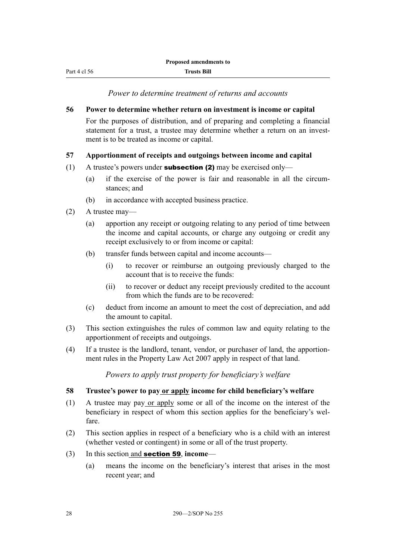<span id="page-31-0"></span>Part 4 cl 56

*Power to determine treatment of returns and accounts*

#### **56 Power to determine whether return on investment is income or capital**

For the purposes of distribution, and of preparing and completing a financial statement for a trust, a trustee may determine whether a return on an investment is to be treated as income or capital.

#### **57 Apportionment of receipts and outgoings between income and capital**

- (1) A trustee's powers under **subsection (2)** may be exercised only—
	- (a) if the exercise of the power is fair and reasonable in all the circumstances; and
	- (b) in accordance with accepted business practice.
- (2) A trustee may—
	- (a) apportion any receipt or outgoing relating to any period of time between the income and capital accounts, or charge any outgoing or credit any receipt exclusively to or from income or capital:
	- (b) transfer funds between capital and income accounts—
		- (i) to recover or reimburse an outgoing previously charged to the account that is to receive the funds:
		- (ii) to recover or deduct any receipt previously credited to the account from which the funds are to be recovered:
	- (c) deduct from income an amount to meet the cost of depreciation, and add the amount to capital.
- (3) This section extinguishes the rules of common law and equity relating to the apportionment of receipts and outgoings.
- (4) If a trustee is the landlord, tenant, vendor, or purchaser of land, the apportionment rules in the Property Law Act 2007 apply in respect of that land.

*Powers to apply trust property for beneficiary's welfare*

#### **58 Trustee's power to pay or apply income for child beneficiary's welfare**

- (1) A trustee may pay or apply some or all of the income on the interest of the beneficiary in respect of whom this section applies for the beneficiary's welfare.
- (2) This section applies in respect of a beneficiary who is a child with an interest (whether vested or contingent) in some or all of the trust property.
- (3) In this section and section 59, **income**
	- (a) means the income on the beneficiary's interest that arises in the most recent year; and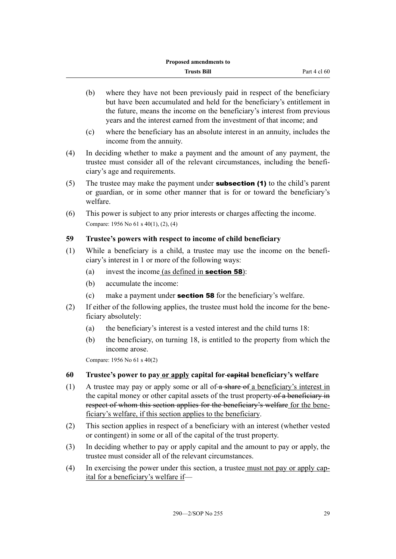- <span id="page-32-0"></span>(b) where they have not been previously paid in respect of the beneficiary but have been accumulated and held for the beneficiary's entitlement in the future, means the income on the beneficiary's interest from previous years and the interest earned from the investment of that income; and
- (c) where the beneficiary has an absolute interest in an annuity, includes the income from the annuity.
- (4) In deciding whether to make a payment and the amount of any payment, the trustee must consider all of the relevant circumstances, including the beneficiary's age and requirements.
- (5) The trustee may make the payment under **subsection (1)** to the child's parent or guardian, or in some other manner that is for or toward the beneficiary's welfare.
- (6) This power is subject to any prior interests or charges affecting the income. Compare: 1956 No 61 s 40(1), (2), (4)

#### **59 Trustee's powers with respect to income of child beneficiary**

- (1) While a beneficiary is a child, a trustee may use the income on the beneficiary's interest in 1 or more of the following ways:
	- (a) invest the income  $(as defined in **section 58**)$ :
	- (b) accumulate the income:
	- (c) make a payment under section 58 for the beneficiary's welfare.
- (2) If either of the following applies, the trustee must hold the income for the beneficiary absolutely:
	- (a) the beneficiary's interest is a vested interest and the child turns 18:
	- (b) the beneficiary, on turning 18, is entitled to the property from which the income arose.

Compare: 1956 No 61 s 40(2)

#### **60 Trustee's power to pay or apply capital for capital beneficiary's welfare**

- (1) A trustee may pay or apply some or all of  $\frac{a}{b}$  share of a beneficiary's interest in the capital money or other capital assets of the trust property of a beneficiary in respect of whom this section applies for the beneficiary's welfare for the beneficiary's welfare, if this section applies to the beneficiary.
- (2) This section applies in respect of a beneficiary with an interest (whether vested or contingent) in some or all of the capital of the trust property.
- (3) In deciding whether to pay or apply capital and the amount to pay or apply, the trustee must consider all of the relevant circumstances.
- (4) In exercising the power under this section, a trustee must not pay or apply capital for a beneficiary's welfare if—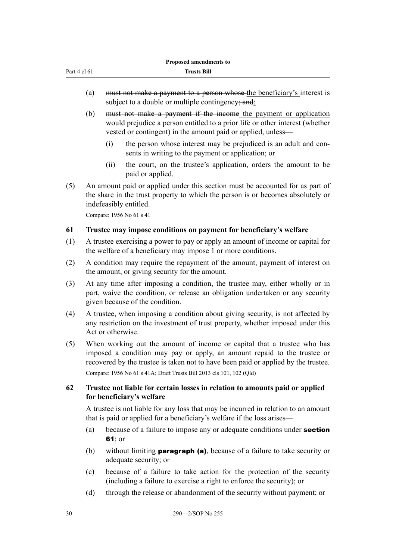<span id="page-33-0"></span>

| <b>Proposed amendments to</b> |                                                                         |
|-------------------------------|-------------------------------------------------------------------------|
| Part 4 cl 61                  | <b>Trusts Bill</b>                                                      |
|                               |                                                                         |
| (a)                           | must not make a payment to a person whose the beneficiary's interest is |

subject to a double or multiple contingency; and:

- (b) must not make a payment if the income the payment or application would prejudice a person entitled to a prior life or other interest (whether vested or contingent) in the amount paid or applied, unless—
	- (i) the person whose interest may be prejudiced is an adult and consents in writing to the payment or application; or
	- (ii) the court, on the trustee's application, orders the amount to be paid or applied.
- (5) An amount paid or applied under this section must be accounted for as part of the share in the trust property to which the person is or becomes absolutely or indefeasibly entitled.

Compare: 1956 No 61 s 41

#### **61 Trustee may impose conditions on payment for beneficiary's welfare**

- (1) A trustee exercising a power to pay or apply an amount of income or capital for the welfare of a beneficiary may impose 1 or more conditions.
- (2) A condition may require the repayment of the amount, payment of interest on the amount, or giving security for the amount.
- (3) At any time after imposing a condition, the trustee may, either wholly or in part, waive the condition, or release an obligation undertaken or any security given because of the condition.
- (4) A trustee, when imposing a condition about giving security, is not affected by any restriction on the investment of trust property, whether imposed under this Act or otherwise.
- (5) When working out the amount of income or capital that a trustee who has imposed a condition may pay or apply, an amount repaid to the trustee or recovered by the trustee is taken not to have been paid or applied by the trustee. Compare: 1956 No 61 s 41A; Draft Trusts Bill 2013 cls 101, 102 (Qld)

#### **62 Trustee not liable for certain losses in relation to amounts paid or applied for beneficiary's welfare**

A trustee is not liable for any loss that may be incurred in relation to an amount that is paid or applied for a beneficiary's welfare if the loss arises—

- (a) because of a failure to impose any or adequate conditions under **section** 61; or
- (b) without limiting **paragraph (a)**, because of a failure to take security or adequate security; or
- (c) because of a failure to take action for the protection of the security (including a failure to exercise a right to enforce the security); or
- (d) through the release or abandonment of the security without payment; or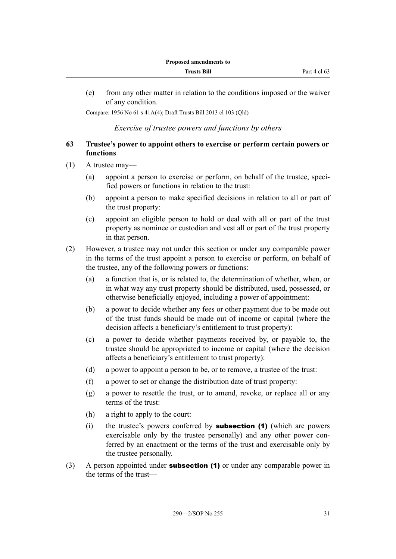<span id="page-34-0"></span>(e) from any other matter in relation to the conditions imposed or the waiver of any condition.

Compare: 1956 No 61 s 41A(4); Draft Trusts Bill 2013 cl 103 (Qld)

*Exercise of trustee powers and functions by others*

#### **63 Trustee's power to appoint others to exercise or perform certain powers or functions**

- (1) A trustee may—
	- (a) appoint a person to exercise or perform, on behalf of the trustee, specified powers or functions in relation to the trust:
	- (b) appoint a person to make specified decisions in relation to all or part of the trust property:
	- (c) appoint an eligible person to hold or deal with all or part of the trust property as nominee or custodian and vest all or part of the trust property in that person.
- (2) However, a trustee may not under this section or under any comparable power in the terms of the trust appoint a person to exercise or perform, on behalf of the trustee, any of the following powers or functions:
	- (a) a function that is, or is related to, the determination of whether, when, or in what way any trust property should be distributed, used, possessed, or otherwise beneficially enjoyed, including a power of appointment:
	- (b) a power to decide whether any fees or other payment due to be made out of the trust funds should be made out of income or capital (where the decision affects a beneficiary's entitlement to trust property):
	- (c) a power to decide whether payments received by, or payable to, the trustee should be appropriated to income or capital (where the decision affects a beneficiary's entitlement to trust property):
	- (d) a power to appoint a person to be, or to remove, a trustee of the trust:
	- (f) a power to set or change the distribution date of trust property:
	- (g) a power to resettle the trust, or to amend, revoke, or replace all or any terms of the trust:
	- (h) a right to apply to the court:
	- (i) the trustee's powers conferred by subsection (1) (which are powers exercisable only by the trustee personally) and any other power conferred by an enactment or the terms of the trust and exercisable only by the trustee personally.
- (3) A person appointed under **subsection (1)** or under any comparable power in the terms of the trust—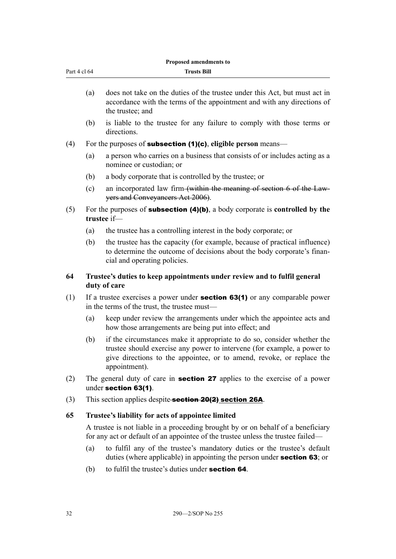<span id="page-35-0"></span>

| Part 4 cl 64 |                                                                                                                                                                      | <b>Trusts Bill</b>                                                                                                                                                                                                                           |  |
|--------------|----------------------------------------------------------------------------------------------------------------------------------------------------------------------|----------------------------------------------------------------------------------------------------------------------------------------------------------------------------------------------------------------------------------------------|--|
|              | (a)                                                                                                                                                                  | does not take on the duties of the trustee under this Act, but must act in<br>accordance with the terms of the appointment and with any directions of<br>the trustee; and                                                                    |  |
|              | (b)                                                                                                                                                                  | is liable to the trustee for any failure to comply with those terms or<br>directions.                                                                                                                                                        |  |
| (4)          |                                                                                                                                                                      | For the purposes of <b>subsection (1)(c)</b> , eligible person means—                                                                                                                                                                        |  |
|              | (a)                                                                                                                                                                  | a person who carries on a business that consists of or includes acting as a<br>nominee or custodian; or                                                                                                                                      |  |
|              | (b)                                                                                                                                                                  | a body corporate that is controlled by the trustee; or                                                                                                                                                                                       |  |
|              | (c)                                                                                                                                                                  | an incorporated law firm (within the meaning of section 6 of the Law-<br>yers and Conveyancers Act 2006).                                                                                                                                    |  |
| (5)          |                                                                                                                                                                      | For the purposes of <b>subsection <math>(4)(b)</math></b> , a body corporate is <b>controlled</b> by the<br>trustee if-                                                                                                                      |  |
|              | (a)                                                                                                                                                                  | the trustee has a controlling interest in the body corporate; or                                                                                                                                                                             |  |
|              | (b)                                                                                                                                                                  | the trustee has the capacity (for example, because of practical influence)<br>to determine the outcome of decisions about the body corporate's finan-<br>cial and operating policies.                                                        |  |
| 64           |                                                                                                                                                                      | Trustee's duties to keep appointments under review and to fulfil general<br>duty of care                                                                                                                                                     |  |
| (1)          |                                                                                                                                                                      | If a trustee exercises a power under <b>section 63(1)</b> or any comparable power<br>in the terms of the trust, the trustee must—                                                                                                            |  |
|              | (a)                                                                                                                                                                  | keep under review the arrangements under which the appointee acts and<br>how those arrangements are being put into effect; and                                                                                                               |  |
|              | (b)                                                                                                                                                                  | if the circumstances make it appropriate to do so, consider whether the<br>trustee should exercise any power to intervene (for example, a power to<br>give directions to the appointee, or to amend, revoke, or replace the<br>appointment). |  |
| (2)          | The general duty of care in <b>section 27</b> applies to the exercise of a power<br>under section 63(1).                                                             |                                                                                                                                                                                                                                              |  |
| (3)          |                                                                                                                                                                      | This section applies despite-section 20(2) section 26A.                                                                                                                                                                                      |  |
| 65           |                                                                                                                                                                      | Trustee's liability for acts of appointee limited                                                                                                                                                                                            |  |
|              | A trustee is not liable in a proceeding brought by or on behalf of a beneficiary<br>for any act or default of an appointee of the trustee unless the trustee failed— |                                                                                                                                                                                                                                              |  |
|              | (a)                                                                                                                                                                  | to fulfil any of the trustee's mandatory duties or the trustee's default<br>duties (where applicable) in appointing the person under <b>section 63</b> ; or                                                                                  |  |
|              |                                                                                                                                                                      |                                                                                                                                                                                                                                              |  |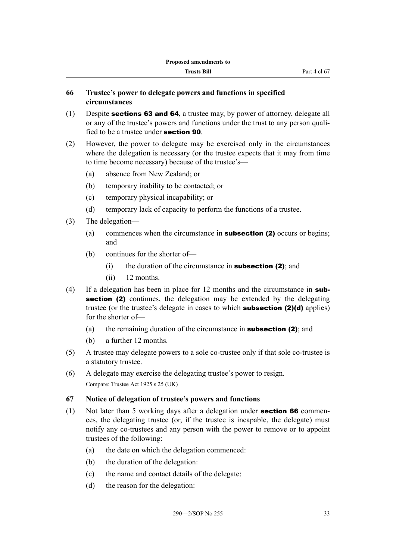# **66 Trustee's power to delegate powers and functions in specified circumstances**

- (1) Despite sections 63 and 64, a trustee may, by power of attorney, delegate all or any of the trustee's powers and functions under the trust to any person qualified to be a trustee under section 90.
- (2) However, the power to delegate may be exercised only in the circumstances where the delegation is necessary (or the trustee expects that it may from time to time become necessary) because of the trustee's—
	- (a) absence from New Zealand; or
	- (b) temporary inability to be contacted; or
	- (c) temporary physical incapability; or
	- (d) temporary lack of capacity to perform the functions of a trustee.
- (3) The delegation—
	- (a) commences when the circumstance in **subsection (2)** occurs or begins; and
	- (b) continues for the shorter of—
		- $(i)$  the duration of the circumstance in **subsection (2)**; and
		- (ii) 12 months.
- (4) If a delegation has been in place for 12 months and the circumstance in **sub**section (2) continues, the delegation may be extended by the delegating trustee (or the trustee's delegate in cases to which subsection (2)(d) applies) for the shorter of—
	- (a) the remaining duration of the circumstance in **subsection (2)**; and
	- (b) a further 12 months.
- (5) A trustee may delegate powers to a sole co-trustee only if that sole co-trustee is a statutory trustee.
- (6) A delegate may exercise the delegating trustee's power to resign. Compare: Trustee Act 1925 s 25 (UK)

#### **67 Notice of delegation of trustee's powers and functions**

- (1) Not later than 5 working days after a delegation under section 66 commences, the delegating trustee (or, if the trustee is incapable, the delegate) must notify any co-trustees and any person with the power to remove or to appoint trustees of the following:
	- (a) the date on which the delegation commenced:
	- (b) the duration of the delegation:
	- (c) the name and contact details of the delegate:
	- (d) the reason for the delegation: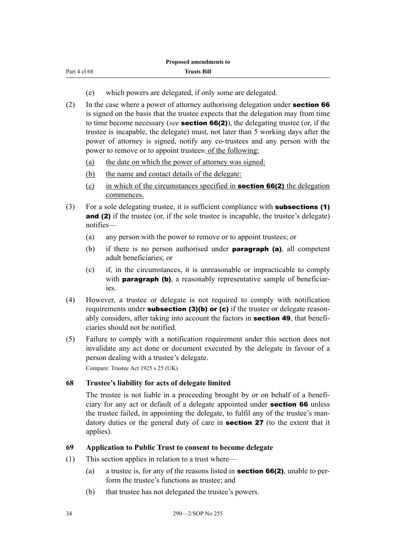| Part 4 cl 68 |  |  |
|--------------|--|--|
|              |  |  |

- (e) which powers are delegated, if only some are delegated.
- (2) In the case where a power of attorney authorising delegation under **section 66** is signed on the basis that the trustee expects that the delegation may from time to time become necessary (*see* section 66(2)), the delegating trustee (or, if the trustee is incapable, the delegate) must, not later than 5 working days after the power of attorney is signed, notify any co-trustees and any person with the power to remove or to appoint trustees. of the following:
	- (a) the date on which the power of attorney was signed:
	- (b) the name and contact details of the delegate:
	- (c) in which of the circumstances specified in **section 66(2)** the delegation commences.
- (3) For a sole delegating trustee, it is sufficient compliance with subsections (1) and (2) if the trustee (or, if the sole trustee is incapable, the trustee's delegate) notifies—
	- (a) any person with the power to remove or to appoint trustees; or
	- (b) if there is no person authorised under **paragraph (a)**, all competent adult beneficiaries; or
	- (c) if, in the circumstances, it is unreasonable or impracticable to comply with **paragraph (b)**, a reasonably representative sample of beneficiaries.
- (4) However, a trustee or delegate is not required to comply with notification requirements under **subsection (3)(b) or (c)** if the trustee or delegate reasonably considers, after taking into account the factors in **section 49**, that beneficiaries should not be notified.
- (5) Failure to comply with a notification requirement under this section does not invalidate any act done or document executed by the delegate in favour of a person dealing with a trustee's delegate.

Compare: Trustee Act 1925 s 25 (UK)

## **68 Trustee's liability for acts of delegate limited**

The trustee is not liable in a proceeding brought by or on behalf of a beneficiary for any act or default of a delegate appointed under section 66 unless the trustee failed, in appointing the delegate, to fulfil any of the trustee's mandatory duties or the general duty of care in **section 27** (to the extent that it applies).

#### **69 Application to Public Trust to consent to become delegate**

- (1) This section applies in relation to a trust where—
	- (a) a trustee is, for any of the reasons listed in **section 66(2)**, unable to perform the trustee's functions as trustee; and
	- (b) that trustee has not delegated the trustee's powers.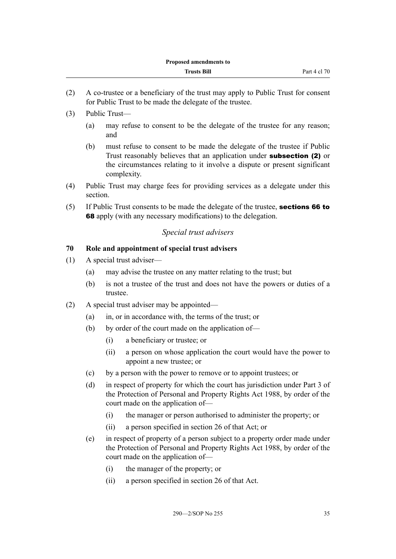- (2) A co-trustee or a beneficiary of the trust may apply to Public Trust for consent for Public Trust to be made the delegate of the trustee.
- (3) Public Trust—
	- (a) may refuse to consent to be the delegate of the trustee for any reason; and
	- (b) must refuse to consent to be made the delegate of the trustee if Public Trust reasonably believes that an application under subsection (2) or the circumstances relating to it involve a dispute or present significant complexity.
- (4) Public Trust may charge fees for providing services as a delegate under this section.
- (5) If Public Trust consents to be made the delegate of the trustee, sections 66 to 68 apply (with any necessary modifications) to the delegation.

## *Special trust advisers*

## **70 Role and appointment of special trust advisers**

- (1) A special trust adviser—
	- (a) may advise the trustee on any matter relating to the trust; but
	- (b) is not a trustee of the trust and does not have the powers or duties of a trustee.
- (2) A special trust adviser may be appointed—
	- (a) in, or in accordance with, the terms of the trust; or
	- (b) by order of the court made on the application of—
		- (i) a beneficiary or trustee; or
		- (ii) a person on whose application the court would have the power to appoint a new trustee; or
	- (c) by a person with the power to remove or to appoint trustees; or
	- (d) in respect of property for which the court has jurisdiction under Part 3 of the Protection of Personal and Property Rights Act 1988, by order of the court made on the application of—
		- (i) the manager or person authorised to administer the property; or
		- (ii) a person specified in section 26 of that Act; or
	- (e) in respect of property of a person subject to a property order made under the Protection of Personal and Property Rights Act 1988, by order of the court made on the application of—
		- (i) the manager of the property; or
		- (ii) a person specified in section 26 of that Act.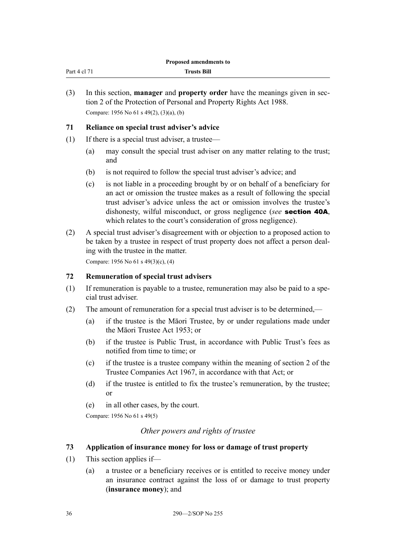| Part 4 cl 7<br>$1 - 1$ | <b>Trusts Bill</b> |
|------------------------|--------------------|
|                        |                    |

(3) In this section, **manager** and **property order** have the meanings given in section 2 of the Protection of Personal and Property Rights Act 1988. Compare: 1956 No 61 s 49(2), (3)(a), (b)

#### **71 Reliance on special trust adviser's advice**

- (1) If there is a special trust adviser, a trustee—
	- (a) may consult the special trust adviser on any matter relating to the trust; and
	- (b) is not required to follow the special trust adviser's advice; and
	- (c) is not liable in a proceeding brought by or on behalf of a beneficiary for an act or omission the trustee makes as a result of following the special trust adviser's advice unless the act or omission involves the trustee's dishonesty, wilful misconduct, or gross negligence (*see* section 40A, which relates to the court's consideration of gross negligence).
- (2) A special trust adviser's disagreement with or objection to a proposed action to be taken by a trustee in respect of trust property does not affect a person dealing with the trustee in the matter.

Compare: 1956 No 61 s 49(3)(c), (4)

#### **72 Remuneration of special trust advisers**

- (1) If remuneration is payable to a trustee, remuneration may also be paid to a special trust adviser.
- (2) The amount of remuneration for a special trust adviser is to be determined,—
	- (a) if the trustee is the Māori Trustee, by or under regulations made under the Māori Trustee Act 1953; or
	- (b) if the trustee is Public Trust, in accordance with Public Trust's fees as notified from time to time; or
	- (c) if the trustee is a trustee company within the meaning of section 2 of the Trustee Companies Act 1967, in accordance with that Act; or
	- (d) if the trustee is entitled to fix the trustee's remuneration, by the trustee; or
	- (e) in all other cases, by the court.

Compare: 1956 No 61 s 49(5)

## *Other powers and rights of trustee*

#### **73 Application of insurance money for loss or damage of trust property**

- (1) This section applies if—
	- (a) a trustee or a beneficiary receives or is entitled to receive money under an insurance contract against the loss of or damage to trust property (**insurance money**); and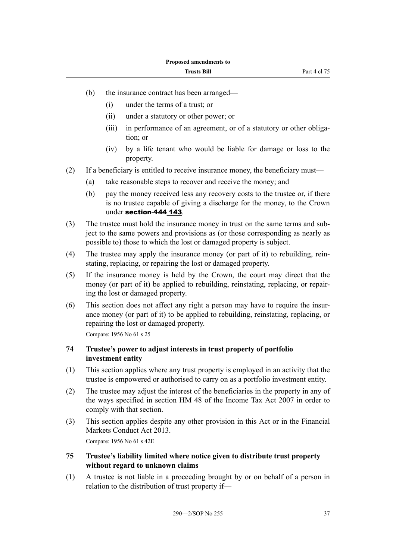- (b) the insurance contract has been arranged—
	- (i) under the terms of a trust; or
	- (ii) under a statutory or other power; or
	- (iii) in performance of an agreement, or of a statutory or other obligation; or
	- (iv) by a life tenant who would be liable for damage or loss to the property.
- (2) If a beneficiary is entitled to receive insurance money, the beneficiary must—
	- (a) take reasonable steps to recover and receive the money; and
	- (b) pay the money received less any recovery costs to the trustee or, if there is no trustee capable of giving a discharge for the money, to the Crown under section 144 143.
- (3) The trustee must hold the insurance money in trust on the same terms and subject to the same powers and provisions as (or those corresponding as nearly as possible to) those to which the lost or damaged property is subject.
- (4) The trustee may apply the insurance money (or part of it) to rebuilding, reinstating, replacing, or repairing the lost or damaged property.
- (5) If the insurance money is held by the Crown, the court may direct that the money (or part of it) be applied to rebuilding, reinstating, replacing, or repairing the lost or damaged property.
- (6) This section does not affect any right a person may have to require the insurance money (or part of it) to be applied to rebuilding, reinstating, replacing, or repairing the lost or damaged property.

Compare: 1956 No 61 s 25

## **74 Trustee's power to adjust interests in trust property of portfolio investment entity**

- (1) This section applies where any trust property is employed in an activity that the trustee is empowered or authorised to carry on as a portfolio investment entity.
- (2) The trustee may adjust the interest of the beneficiaries in the property in any of the ways specified in section HM 48 of the Income Tax Act 2007 in order to comply with that section.
- (3) This section applies despite any other provision in this Act or in the Financial Markets Conduct Act 2013. Compare: 1956 No 61 s 42E
- **75 Trustee's liability limited where notice given to distribute trust property without regard to unknown claims**
- (1) A trustee is not liable in a proceeding brought by or on behalf of a person in relation to the distribution of trust property if—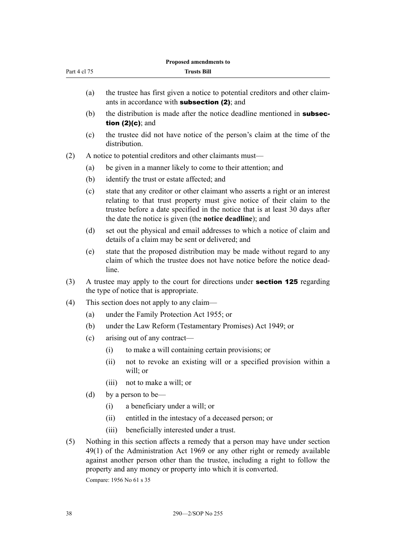|              |     |       | Proposed amendments to                                                                                                                                                                                                                                                                                                                       |
|--------------|-----|-------|----------------------------------------------------------------------------------------------------------------------------------------------------------------------------------------------------------------------------------------------------------------------------------------------------------------------------------------------|
| Part 4 cl 75 |     |       | <b>Trusts Bill</b>                                                                                                                                                                                                                                                                                                                           |
|              | (a) |       | the trustee has first given a notice to potential creditors and other claim-<br>ants in accordance with <b>subsection (2)</b> ; and                                                                                                                                                                                                          |
|              | (b) |       | the distribution is made after the notice deadline mentioned in <b>subsec-</b><br>tion $(2)(c)$ ; and                                                                                                                                                                                                                                        |
|              | (c) |       | the trustee did not have notice of the person's claim at the time of the<br>distribution.                                                                                                                                                                                                                                                    |
| (2)          |     |       | A notice to potential creditors and other claimants must—                                                                                                                                                                                                                                                                                    |
|              | (a) |       | be given in a manner likely to come to their attention; and                                                                                                                                                                                                                                                                                  |
|              | (b) |       | identify the trust or estate affected; and                                                                                                                                                                                                                                                                                                   |
|              | (c) |       | state that any creditor or other claimant who asserts a right or an interest<br>relating to that trust property must give notice of their claim to the<br>trustee before a date specified in the notice that is at least 30 days after<br>the date the notice is given (the notice deadline); and                                            |
|              | (d) |       | set out the physical and email addresses to which a notice of claim and<br>details of a claim may be sent or delivered; and                                                                                                                                                                                                                  |
|              | (e) | line. | state that the proposed distribution may be made without regard to any<br>claim of which the trustee does not have notice before the notice dead-                                                                                                                                                                                            |
| (3)          |     |       | A trustee may apply to the court for directions under <b>section 125</b> regarding<br>the type of notice that is appropriate.                                                                                                                                                                                                                |
| (4)          |     |       | This section does not apply to any claim—                                                                                                                                                                                                                                                                                                    |
|              | (a) |       | under the Family Protection Act 1955; or                                                                                                                                                                                                                                                                                                     |
|              | (b) |       | under the Law Reform (Testamentary Promises) Act 1949; or                                                                                                                                                                                                                                                                                    |
|              | (c) |       | arising out of any contract—                                                                                                                                                                                                                                                                                                                 |
|              |     | (i)   | to make a will containing certain provisions; or                                                                                                                                                                                                                                                                                             |
|              |     | (ii)  | not to revoke an existing will or a specified provision within a<br>will; or                                                                                                                                                                                                                                                                 |
|              |     | (iii) | not to make a will; or                                                                                                                                                                                                                                                                                                                       |
|              | (d) |       | by a person to be—                                                                                                                                                                                                                                                                                                                           |
|              |     | (i)   | a beneficiary under a will; or                                                                                                                                                                                                                                                                                                               |
|              |     | (ii)  | entitled in the intestacy of a deceased person; or                                                                                                                                                                                                                                                                                           |
|              |     | (iii) | beneficially interested under a trust.                                                                                                                                                                                                                                                                                                       |
| (5)          |     |       | Nothing in this section affects a remedy that a person may have under section<br>49(1) of the Administration Act 1969 or any other right or remedy available<br>against another person other than the trustee, including a right to follow the<br>property and any money or property into which it is converted.<br>Compare: 1956 No 61 s 35 |
|              |     |       |                                                                                                                                                                                                                                                                                                                                              |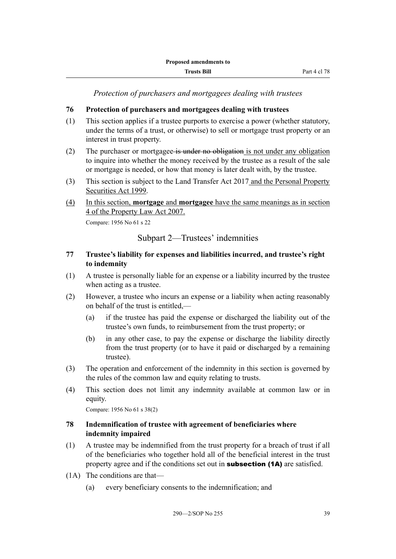*Protection of purchasers and mortgagees dealing with trustees*

# **76 Protection of purchasers and mortgagees dealing with trustees**

- (1) This section applies if a trustee purports to exercise a power (whether statutory, under the terms of a trust, or otherwise) to sell or mortgage trust property or an interest in trust property.
- (2) The purchaser or mortgagee is under no obligation is not under any obligation to inquire into whether the money received by the trustee as a result of the sale or mortgage is needed, or how that money is later dealt with, by the trustee.
- (3) This section is subject to the Land Transfer Act 2017 and the Personal Property Securities Act 1999.
- (4) In this section, **mortgage** and **mortgagee** have the same meanings as in section 4 of the Property Law Act 2007.

Compare: 1956 No 61 s 22

Subpart 2—Trustees' indemnities

## **77 Trustee's liability for expenses and liabilities incurred, and trustee's right to indemnity**

- (1) A trustee is personally liable for an expense or a liability incurred by the trustee when acting as a trustee.
- (2) However, a trustee who incurs an expense or a liability when acting reasonably on behalf of the trust is entitled,—
	- (a) if the trustee has paid the expense or discharged the liability out of the trustee's own funds, to reimbursement from the trust property; or
	- (b) in any other case, to pay the expense or discharge the liability directly from the trust property (or to have it paid or discharged by a remaining trustee).
- (3) The operation and enforcement of the indemnity in this section is governed by the rules of the common law and equity relating to trusts.
- (4) This section does not limit any indemnity available at common law or in equity.

Compare: 1956 No 61 s 38(2)

## **78 Indemnification of trustee with agreement of beneficiaries where indemnity impaired**

- (1) A trustee may be indemnified from the trust property for a breach of trust if all of the beneficiaries who together hold all of the beneficial interest in the trust property agree and if the conditions set out in **subsection (1A)** are satisfied.
- (1A) The conditions are that—
	- (a) every beneficiary consents to the indemnification; and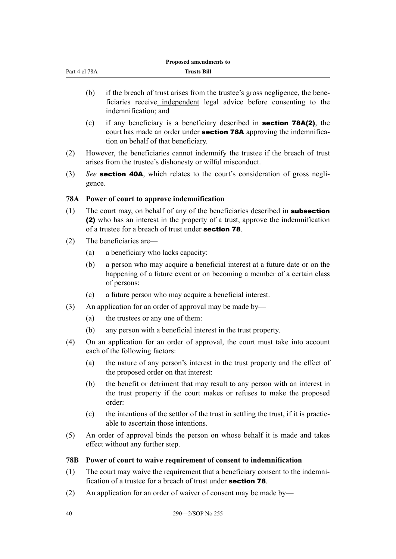| Part 4 cl 78A |
|---------------|
|               |

| <b>Trusts Bill</b> |  |
|--------------------|--|

- (b) if the breach of trust arises from the trustee's gross negligence, the beneficiaries receive independent legal advice before consenting to the indemnification; and
- (c) if any beneficiary is a beneficiary described in section 78A(2), the court has made an order under section 78A approving the indemnification on behalf of that beneficiary.
- (2) However, the beneficiaries cannot indemnify the trustee if the breach of trust arises from the trustee's dishonesty or wilful misconduct.
- (3) *See* section 40A, which relates to the court's consideration of gross negligence.

# **78A Power of court to approve indemnification**

- (1) The court may, on behalf of any of the beneficiaries described in **subsection** (2) who has an interest in the property of a trust, approve the indemnification of a trustee for a breach of trust under section 78.
- (2) The beneficiaries are—
	- (a) a beneficiary who lacks capacity:
	- (b) a person who may acquire a beneficial interest at a future date or on the happening of a future event or on becoming a member of a certain class of persons:
	- (c) a future person who may acquire a beneficial interest.
- (3) An application for an order of approval may be made by—
	- (a) the trustees or any one of them:
	- (b) any person with a beneficial interest in the trust property.
- (4) On an application for an order of approval, the court must take into account each of the following factors:
	- (a) the nature of any person's interest in the trust property and the effect of the proposed order on that interest:
	- (b) the benefit or detriment that may result to any person with an interest in the trust property if the court makes or refuses to make the proposed order:
	- (c) the intentions of the settlor of the trust in settling the trust, if it is practicable to ascertain those intentions.
- (5) An order of approval binds the person on whose behalf it is made and takes effect without any further step.

## **78B Power of court to waive requirement of consent to indemnification**

- (1) The court may waive the requirement that a beneficiary consent to the indemnification of a trustee for a breach of trust under section 78.
- (2) An application for an order of waiver of consent may be made by—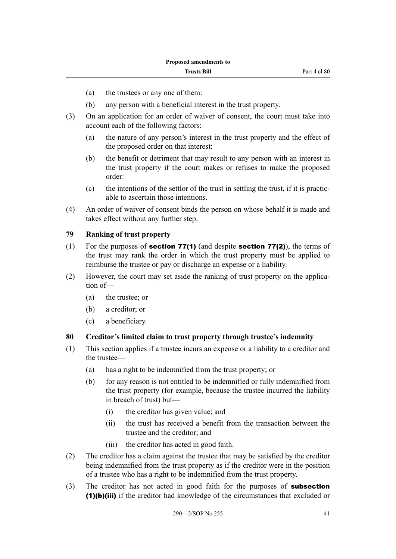- (a) the trustees or any one of them:
- (b) any person with a beneficial interest in the trust property.
- (3) On an application for an order of waiver of consent, the court must take into account each of the following factors:
	- (a) the nature of any person's interest in the trust property and the effect of the proposed order on that interest:
	- (b) the benefit or detriment that may result to any person with an interest in the trust property if the court makes or refuses to make the proposed order:
	- (c) the intentions of the settlor of the trust in settling the trust, if it is practicable to ascertain those intentions.
- (4) An order of waiver of consent binds the person on whose behalf it is made and takes effect without any further step.

#### **79 Ranking of trust property**

- (1) For the purposes of **section 77(1)** (and despite **section 77(2)**), the terms of the trust may rank the order in which the trust property must be applied to reimburse the trustee or pay or discharge an expense or a liability.
- (2) However, the court may set aside the ranking of trust property on the application of—
	- (a) the trustee; or
	- (b) a creditor; or
	- (c) a beneficiary.

## **80 Creditor's limited claim to trust property through trustee's indemnity**

- (1) This section applies if a trustee incurs an expense or a liability to a creditor and the trustee—
	- (a) has a right to be indemnified from the trust property; or
	- (b) for any reason is not entitled to be indemnified or fully indemnified from the trust property (for example, because the trustee incurred the liability in breach of trust) but—
		- (i) the creditor has given value; and
		- (ii) the trust has received a benefit from the transaction between the trustee and the creditor; and
		- (iii) the creditor has acted in good faith.
- (2) The creditor has a claim against the trustee that may be satisfied by the creditor being indemnified from the trust property as if the creditor were in the position of a trustee who has a right to be indemnified from the trust property.
- (3) The creditor has not acted in good faith for the purposes of **subsection** (1)(b)(iii) if the creditor had knowledge of the circumstances that excluded or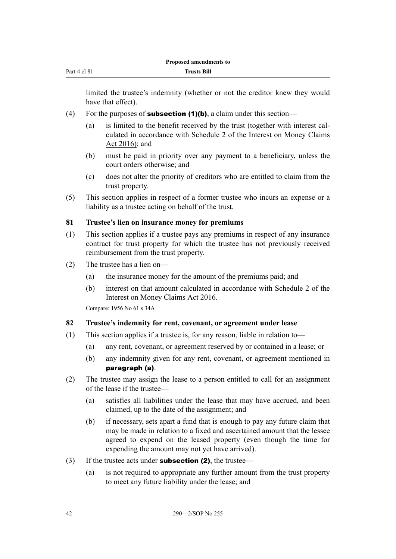limited the trustee's indemnity (whether or not the creditor knew they would have that effect).

- (4) For the purposes of **subsection (1)(b)**, a claim under this section—
	- (a) is limited to the benefit received by the trust (together with interest calculated in accordance with Schedule 2 of the Interest on Money Claims Act 2016); and
	- (b) must be paid in priority over any payment to a beneficiary, unless the court orders otherwise; and
	- (c) does not alter the priority of creditors who are entitled to claim from the trust property.
- (5) This section applies in respect of a former trustee who incurs an expense or a liability as a trustee acting on behalf of the trust.

#### **81 Trustee's lien on insurance money for premiums**

- (1) This section applies if a trustee pays any premiums in respect of any insurance contract for trust property for which the trustee has not previously received reimbursement from the trust property.
- (2) The trustee has a lien on—
	- (a) the insurance money for the amount of the premiums paid; and
	- (b) interest on that amount calculated in accordance with Schedule 2 of the Interest on Money Claims Act 2016.

Compare: 1956 No 61 s 34A

#### **82 Trustee's indemnity for rent, covenant, or agreement under lease**

- (1) This section applies if a trustee is, for any reason, liable in relation to—
	- (a) any rent, covenant, or agreement reserved by or contained in a lease; or
	- (b) any indemnity given for any rent, covenant, or agreement mentioned in paragraph (a).
- (2) The trustee may assign the lease to a person entitled to call for an assignment of the lease if the trustee—
	- (a) satisfies all liabilities under the lease that may have accrued, and been claimed, up to the date of the assignment; and
	- (b) if necessary, sets apart a fund that is enough to pay any future claim that may be made in relation to a fixed and ascertained amount that the lessee agreed to expend on the leased property (even though the time for expending the amount may not yet have arrived).
- (3) If the trustee acts under **subsection (2)**, the trustee—
	- (a) is not required to appropriate any further amount from the trust property to meet any future liability under the lease; and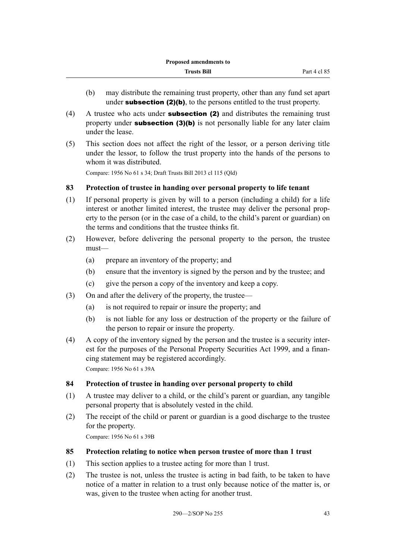- (b) may distribute the remaining trust property, other than any fund set apart under **subsection (2)(b)**, to the persons entitled to the trust property.
- (4) A trustee who acts under **subsection (2)** and distributes the remaining trust property under **subsection (3)(b)** is not personally liable for any later claim under the lease.
- (5) This section does not affect the right of the lessor, or a person deriving title under the lessor, to follow the trust property into the hands of the persons to whom it was distributed.

Compare: 1956 No 61 s 34; Draft Trusts Bill 2013 cl 115 (Qld)

## **83 Protection of trustee in handing over personal property to life tenant**

- (1) If personal property is given by will to a person (including a child) for a life interest or another limited interest, the trustee may deliver the personal property to the person (or in the case of a child, to the child's parent or guardian) on the terms and conditions that the trustee thinks fit.
- (2) However, before delivering the personal property to the person, the trustee must—
	- (a) prepare an inventory of the property; and
	- (b) ensure that the inventory is signed by the person and by the trustee; and
	- (c) give the person a copy of the inventory and keep a copy.
- (3) On and after the delivery of the property, the trustee—
	- (a) is not required to repair or insure the property; and
	- (b) is not liable for any loss or destruction of the property or the failure of the person to repair or insure the property.
- (4) A copy of the inventory signed by the person and the trustee is a security interest for the purposes of the Personal Property Securities Act 1999, and a financing statement may be registered accordingly. Compare: 1956 No 61 s 39A

**84 Protection of trustee in handing over personal property to child**

- (1) A trustee may deliver to a child, or the child's parent or guardian, any tangible personal property that is absolutely vested in the child.
- (2) The receipt of the child or parent or guardian is a good discharge to the trustee for the property.

Compare: 1956 No 61 s 39B

## **85 Protection relating to notice when person trustee of more than 1 trust**

- (1) This section applies to a trustee acting for more than 1 trust.
- (2) The trustee is not, unless the trustee is acting in bad faith, to be taken to have notice of a matter in relation to a trust only because notice of the matter is, or was, given to the trustee when acting for another trust.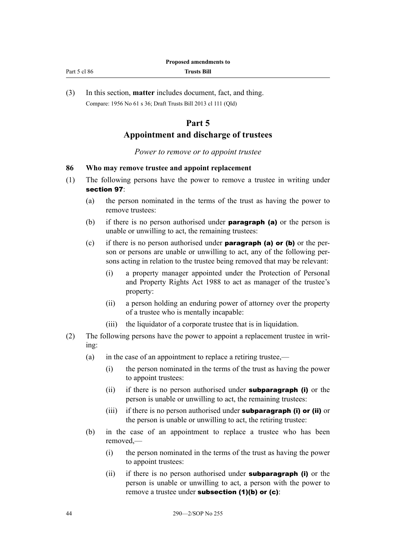| Part 5 cl 86 |  |  |
|--------------|--|--|
|              |  |  |

(3) In this section, **matter** includes document, fact, and thing. Compare: 1956 No 61 s 36; Draft Trusts Bill 2013 cl 111 (Qld)

# **Part 5**

#### **Appointment and discharge of trustees**

#### *Power to remove or to appoint trustee*

#### **86 Who may remove trustee and appoint replacement**

- (1) The following persons have the power to remove a trustee in writing under section 97:
	- (a) the person nominated in the terms of the trust as having the power to remove trustees:
	- (b) if there is no person authorised under **paragraph (a)** or the person is unable or unwilling to act, the remaining trustees:
	- (c) if there is no person authorised under **paragraph (a) or (b)** or the person or persons are unable or unwilling to act, any of the following persons acting in relation to the trustee being removed that may be relevant:
		- (i) a property manager appointed under the Protection of Personal and Property Rights Act 1988 to act as manager of the trustee's property:
		- (ii) a person holding an enduring power of attorney over the property of a trustee who is mentally incapable:
		- (iii) the liquidator of a corporate trustee that is in liquidation.
- (2) The following persons have the power to appoint a replacement trustee in writing:
	- (a) in the case of an appointment to replace a retiring trustee,—
		- (i) the person nominated in the terms of the trust as having the power to appoint trustees:
		- (ii) if there is no person authorised under **subparagraph (i)** or the person is unable or unwilling to act, the remaining trustees:
		- (iii) if there is no person authorised under **subparagraph (i) or (ii)** or the person is unable or unwilling to act, the retiring trustee:
	- (b) in the case of an appointment to replace a trustee who has been removed,—
		- (i) the person nominated in the terms of the trust as having the power to appoint trustees:
		- (ii) if there is no person authorised under **subparagraph (i)** or the person is unable or unwilling to act, a person with the power to remove a trustee under **subsection (1)(b) or (c)**: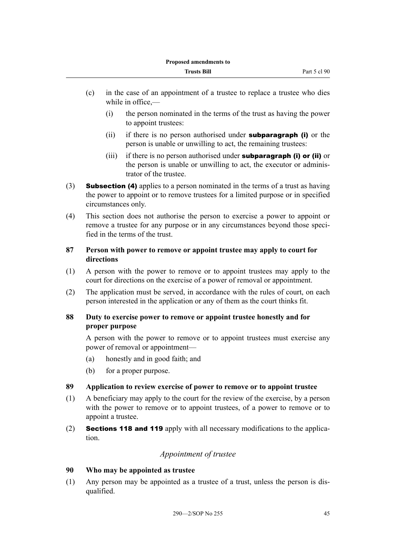- (c) in the case of an appointment of a trustee to replace a trustee who dies while in office,—
	- (i) the person nominated in the terms of the trust as having the power to appoint trustees:
	- (ii) if there is no person authorised under **subparagraph (i)** or the person is unable or unwilling to act, the remaining trustees:
	- (iii) if there is no person authorised under **subparagraph (i) or (ii)** or the person is unable or unwilling to act, the executor or administrator of the trustee.
- (3) **Subsection (4)** applies to a person nominated in the terms of a trust as having the power to appoint or to remove trustees for a limited purpose or in specified circumstances only.
- (4) This section does not authorise the person to exercise a power to appoint or remove a trustee for any purpose or in any circumstances beyond those specified in the terms of the trust.

# **87 Person with power to remove or appoint trustee may apply to court for directions**

- (1) A person with the power to remove or to appoint trustees may apply to the court for directions on the exercise of a power of removal or appointment.
- (2) The application must be served, in accordance with the rules of court, on each person interested in the application or any of them as the court thinks fit.

## **88 Duty to exercise power to remove or appoint trustee honestly and for proper purpose**

A person with the power to remove or to appoint trustees must exercise any power of removal or appointment—

- (a) honestly and in good faith; and
- (b) for a proper purpose.

# **89 Application to review exercise of power to remove or to appoint trustee**

- (1) A beneficiary may apply to the court for the review of the exercise, by a person with the power to remove or to appoint trustees, of a power to remove or to appoint a trustee.
- (2) Sections 118 and 119 apply with all necessary modifications to the application.

# *Appointment of trustee*

## **90 Who may be appointed as trustee**

(1) Any person may be appointed as a trustee of a trust, unless the person is disqualified.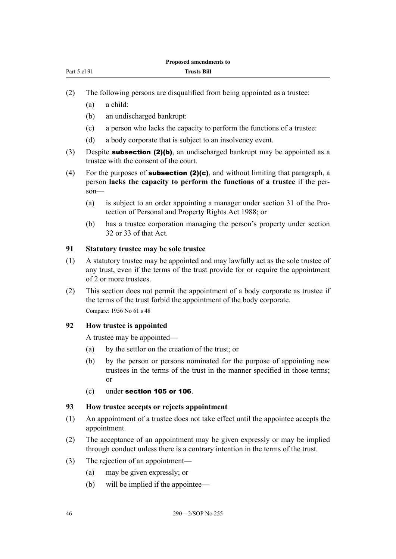| Part 5 cl 91 |  |  |
|--------------|--|--|
|              |  |  |

- (2) The following persons are disqualified from being appointed as a trustee:
	- (a) a child:
	- (b) an undischarged bankrupt:
	- (c) a person who lacks the capacity to perform the functions of a trustee:
	- (d) a body corporate that is subject to an insolvency event.
- (3) Despite **subsection (2)(b)**, an undischarged bankrupt may be appointed as a trustee with the consent of the court.
- (4) For the purposes of **subsection (2)(c)**, and without limiting that paragraph, a person **lacks the capacity to perform the functions of a trustee** if the person—
	- (a) is subject to an order appointing a manager under section 31 of the Protection of Personal and Property Rights Act 1988; or
	- (b) has a trustee corporation managing the person's property under section 32 or 33 of that Act.

#### **91 Statutory trustee may be sole trustee**

- (1) A statutory trustee may be appointed and may lawfully act as the sole trustee of any trust, even if the terms of the trust provide for or require the appointment of 2 or more trustees.
- (2) This section does not permit the appointment of a body corporate as trustee if the terms of the trust forbid the appointment of the body corporate. Compare: 1956 No 61 s 48

# **92 How trustee is appointed**

A trustee may be appointed—

- (a) by the settlor on the creation of the trust; or
- (b) by the person or persons nominated for the purpose of appointing new trustees in the terms of the trust in the manner specified in those terms; or
- (c) under section 105 or 106.

#### **93 How trustee accepts or rejects appointment**

- (1) An appointment of a trustee does not take effect until the appointee accepts the appointment.
- (2) The acceptance of an appointment may be given expressly or may be implied through conduct unless there is a contrary intention in the terms of the trust.
- (3) The rejection of an appointment—
	- (a) may be given expressly; or
	- (b) will be implied if the appointee—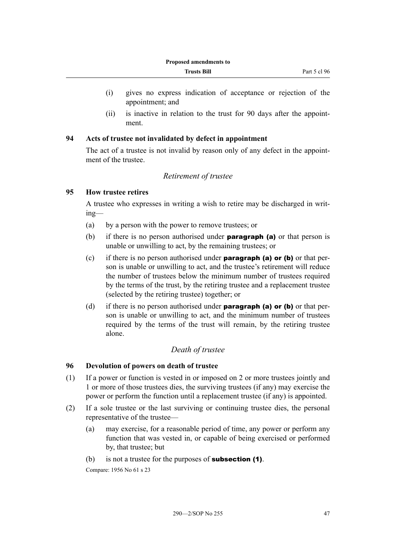- (i) gives no express indication of acceptance or rejection of the appointment; and
- (ii) is inactive in relation to the trust for 90 days after the appointment.

## **94 Acts of trustee not invalidated by defect in appointment**

The act of a trustee is not invalid by reason only of any defect in the appointment of the trustee.

## *Retirement of trustee*

#### **95 How trustee retires**

A trustee who expresses in writing a wish to retire may be discharged in writing—

- (a) by a person with the power to remove trustees; or
- (b) if there is no person authorised under **paragraph (a)** or that person is unable or unwilling to act, by the remaining trustees; or
- (c) if there is no person authorised under **paragraph (a) or (b)** or that person is unable or unwilling to act, and the trustee's retirement will reduce the number of trustees below the minimum number of trustees required by the terms of the trust, by the retiring trustee and a replacement trustee (selected by the retiring trustee) together; or
- (d) if there is no person authorised under **paragraph (a) or (b)** or that person is unable or unwilling to act, and the minimum number of trustees required by the terms of the trust will remain, by the retiring trustee alone.

## *Death of trustee*

## **96 Devolution of powers on death of trustee**

- (1) If a power or function is vested in or imposed on 2 or more trustees jointly and 1 or more of those trustees dies, the surviving trustees (if any) may exercise the power or perform the function until a replacement trustee (if any) is appointed.
- (2) If a sole trustee or the last surviving or continuing trustee dies, the personal representative of the trustee—
	- (a) may exercise, for a reasonable period of time, any power or perform any function that was vested in, or capable of being exercised or performed by, that trustee; but
	- (b) is not a trustee for the purposes of **subsection (1)**.

Compare: 1956 No 61 s 23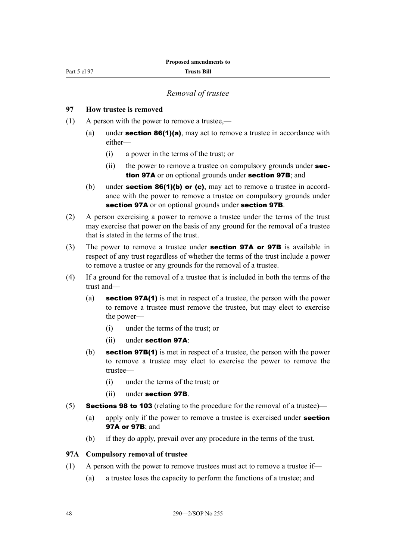Part 5 cl 97

#### *Removal of trustee*

#### **97 How trustee is removed**

- (1) A person with the power to remove a trustee,—
	- (a) under **section 86(1)(a)**, may act to remove a trustee in accordance with either—
		- (i) a power in the terms of the trust; or
		- (ii) the power to remove a trustee on compulsory grounds under **sec**tion 97A or on optional grounds under section 97B; and
	- (b) under **section 86(1)(b) or (c)**, may act to remove a trustee in accordance with the power to remove a trustee on compulsory grounds under section 97A or on optional grounds under section 97B.
- (2) A person exercising a power to remove a trustee under the terms of the trust may exercise that power on the basis of any ground for the removal of a trustee that is stated in the terms of the trust.
- (3) The power to remove a trustee under **section 97A or 97B** is available in respect of any trust regardless of whether the terms of the trust include a power to remove a trustee or any grounds for the removal of a trustee.
- (4) If a ground for the removal of a trustee that is included in both the terms of the trust and—
	- (a) section 97A(1) is met in respect of a trustee, the person with the power to remove a trustee must remove the trustee, but may elect to exercise the power—
		- (i) under the terms of the trust; or
		- (ii) under section 97A:
	- (b) section 97B(1) is met in respect of a trustee, the person with the power to remove a trustee may elect to exercise the power to remove the trustee—
		- (i) under the terms of the trust; or
		- (ii) under section 97B.
- (5) Sections 98 to 103 (relating to the procedure for the removal of a trustee)—
	- (a) apply only if the power to remove a trustee is exercised under **section** 97A or 97B; and
	- (b) if they do apply, prevail over any procedure in the terms of the trust.

#### **97A Compulsory removal of trustee**

- (1) A person with the power to remove trustees must act to remove a trustee if—
	- (a) a trustee loses the capacity to perform the functions of a trustee; and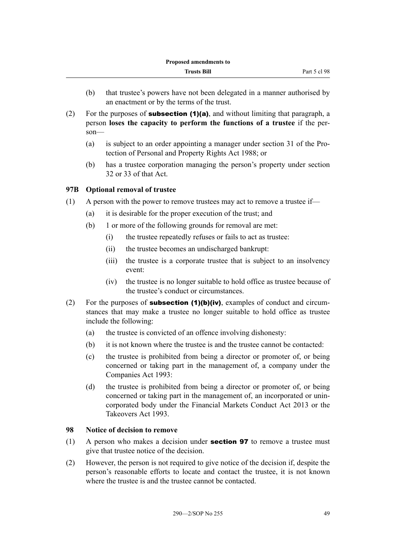- (b) that trustee's powers have not been delegated in a manner authorised by an enactment or by the terms of the trust.
- (2) For the purposes of **subsection (1)(a)**, and without limiting that paragraph, a person **loses the capacity to perform the functions of a trustee** if the person—
	- (a) is subject to an order appointing a manager under section 31 of the Protection of Personal and Property Rights Act 1988; or
	- (b) has a trustee corporation managing the person's property under section 32 or 33 of that Act.

# **97B Optional removal of trustee**

- (1) A person with the power to remove trustees may act to remove a trustee if—
	- (a) it is desirable for the proper execution of the trust; and
	- (b) 1 or more of the following grounds for removal are met:
		- (i) the trustee repeatedly refuses or fails to act as trustee:
		- (ii) the trustee becomes an undischarged bankrupt:
		- (iii) the trustee is a corporate trustee that is subject to an insolvency event:
		- (iv) the trustee is no longer suitable to hold office as trustee because of the trustee's conduct or circumstances.
- (2) For the purposes of **subsection (1)(b)(iv)**, examples of conduct and circumstances that may make a trustee no longer suitable to hold office as trustee include the following:
	- (a) the trustee is convicted of an offence involving dishonesty:
	- (b) it is not known where the trustee is and the trustee cannot be contacted:
	- (c) the trustee is prohibited from being a director or promoter of, or being concerned or taking part in the management of, a company under the Companies Act 1993:
	- (d) the trustee is prohibited from being a director or promoter of, or being concerned or taking part in the management of, an incorporated or unincorporated body under the Financial Markets Conduct Act 2013 or the Takeovers Act 1993.

## **98 Notice of decision to remove**

- (1) A person who makes a decision under **section 97** to remove a trustee must give that trustee notice of the decision.
- (2) However, the person is not required to give notice of the decision if, despite the person's reasonable efforts to locate and contact the trustee, it is not known where the trustee is and the trustee cannot be contacted.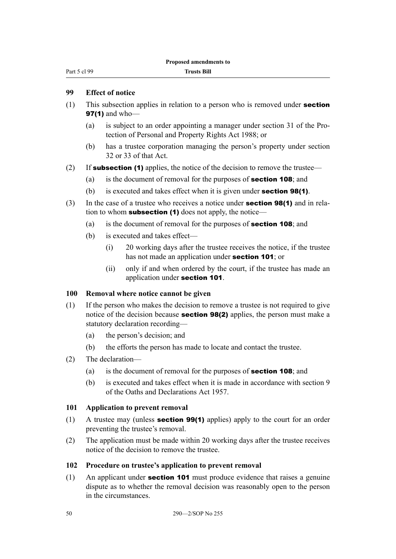Part 5 cl 99

## **99 Effect of notice**

- (1) This subsection applies in relation to a person who is removed under section 97(1) and who-
	- (a) is subject to an order appointing a manager under section 31 of the Protection of Personal and Property Rights Act 1988; or
	- (b) has a trustee corporation managing the person's property under section 32 or 33 of that Act.
- (2) If **subsection (1)** applies, the notice of the decision to remove the trustee—
	- (a) is the document of removal for the purposes of section 108; and
	- (b) is executed and takes effect when it is given under **section 98(1)**.
- (3) In the case of a trustee who receives a notice under **section 98(1)** and in relation to whom **subsection (1)** does not apply, the notice—
	- (a) is the document of removal for the purposes of section 108; and
	- (b) is executed and takes effect—
		- (i) 20 working days after the trustee receives the notice, if the trustee has not made an application under section 101; or
		- (ii) only if and when ordered by the court, if the trustee has made an application under section 101.

## **100 Removal where notice cannot be given**

- (1) If the person who makes the decision to remove a trustee is not required to give notice of the decision because **section 98(2)** applies, the person must make a statutory declaration recording—
	- (a) the person's decision; and
	- (b) the efforts the person has made to locate and contact the trustee.
- (2) The declaration—
	- (a) is the document of removal for the purposes of **section 108**; and
	- (b) is executed and takes effect when it is made in accordance with section 9 of the Oaths and Declarations Act 1957.

## **101 Application to prevent removal**

- (1) A trustee may (unless section 99(1) applies) apply to the court for an order preventing the trustee's removal.
- (2) The application must be made within 20 working days after the trustee receives notice of the decision to remove the trustee.

## **102 Procedure on trustee's application to prevent removal**

(1) An applicant under section 101 must produce evidence that raises a genuine dispute as to whether the removal decision was reasonably open to the person in the circumstances.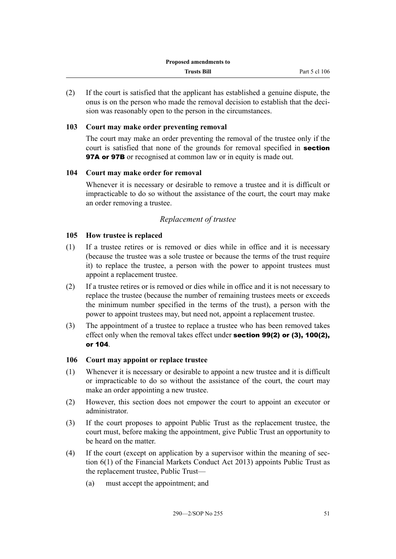(2) If the court is satisfied that the applicant has established a genuine dispute, the onus is on the person who made the removal decision to establish that the decision was reasonably open to the person in the circumstances.

## **103 Court may make order preventing removal**

The court may make an order preventing the removal of the trustee only if the court is satisfied that none of the grounds for removal specified in **section 97A or 97B** or recognised at common law or in equity is made out.

#### **104 Court may make order for removal**

Whenever it is necessary or desirable to remove a trustee and it is difficult or impracticable to do so without the assistance of the court, the court may make an order removing a trustee.

#### *Replacement of trustee*

#### **105 How trustee is replaced**

- (1) If a trustee retires or is removed or dies while in office and it is necessary (because the trustee was a sole trustee or because the terms of the trust require it) to replace the trustee, a person with the power to appoint trustees must appoint a replacement trustee.
- (2) If a trustee retires or is removed or dies while in office and it is not necessary to replace the trustee (because the number of remaining trustees meets or exceeds the minimum number specified in the terms of the trust), a person with the power to appoint trustees may, but need not, appoint a replacement trustee.
- (3) The appointment of a trustee to replace a trustee who has been removed takes effect only when the removal takes effect under section 99(2) or (3), 100(2), or 104.

#### **106 Court may appoint or replace trustee**

- (1) Whenever it is necessary or desirable to appoint a new trustee and it is difficult or impracticable to do so without the assistance of the court, the court may make an order appointing a new trustee.
- (2) However, this section does not empower the court to appoint an executor or administrator.
- (3) If the court proposes to appoint Public Trust as the replacement trustee, the court must, before making the appointment, give Public Trust an opportunity to be heard on the matter.
- (4) If the court (except on application by a supervisor within the meaning of section 6(1) of the Financial Markets Conduct Act 2013) appoints Public Trust as the replacement trustee, Public Trust—
	- (a) must accept the appointment; and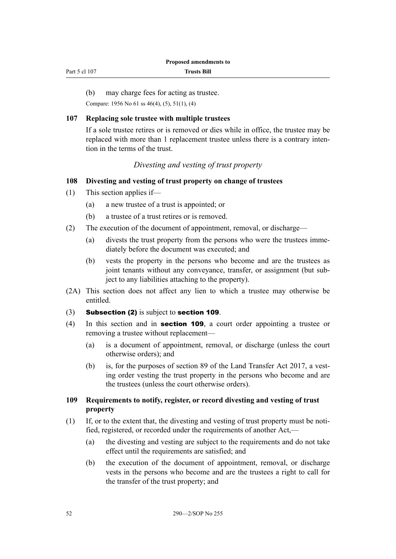| Part 5 cl 107 |  |
|---------------|--|
|---------------|--|

(b) may charge fees for acting as trustee.

Compare: 1956 No 61 ss 46(4), (5), 51(1), (4)

#### **107 Replacing sole trustee with multiple trustees**

If a sole trustee retires or is removed or dies while in office, the trustee may be replaced with more than 1 replacement trustee unless there is a contrary intention in the terms of the trust.

## *Divesting and vesting of trust property*

# **108 Divesting and vesting of trust property on change of trustees**

- (1) This section applies if—
	- (a) a new trustee of a trust is appointed; or
	- (b) a trustee of a trust retires or is removed.
- (2) The execution of the document of appointment, removal, or discharge—
	- (a) divests the trust property from the persons who were the trustees immediately before the document was executed; and
	- (b) vests the property in the persons who become and are the trustees as joint tenants without any conveyance, transfer, or assignment (but subject to any liabilities attaching to the property).
- (2A) This section does not affect any lien to which a trustee may otherwise be entitled.
- (3) Subsection (2) is subject to section 109.
- (4) In this section and in section 109, a court order appointing a trustee or removing a trustee without replacement—
	- (a) is a document of appointment, removal, or discharge (unless the court otherwise orders); and
	- (b) is, for the purposes of section 89 of the Land Transfer Act 2017, a vesting order vesting the trust property in the persons who become and are the trustees (unless the court otherwise orders).

#### **109 Requirements to notify, register, or record divesting and vesting of trust property**

- (1) If, or to the extent that, the divesting and vesting of trust property must be notified, registered, or recorded under the requirements of another Act,—
	- (a) the divesting and vesting are subject to the requirements and do not take effect until the requirements are satisfied; and
	- (b) the execution of the document of appointment, removal, or discharge vests in the persons who become and are the trustees a right to call for the transfer of the trust property; and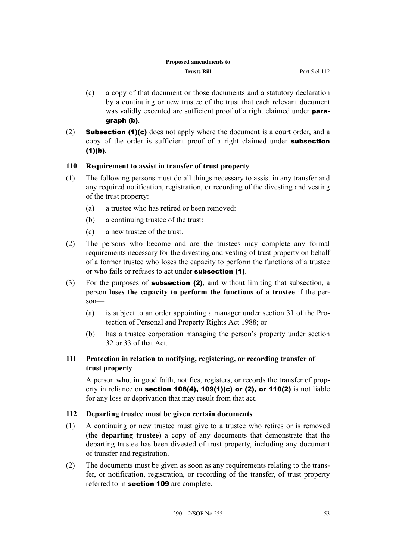- (c) a copy of that document or those documents and a statutory declaration by a continuing or new trustee of the trust that each relevant document was validly executed are sufficient proof of a right claimed under **para**graph (b).
- (2) **Subsection (1)(c)** does not apply where the document is a court order, and a copy of the order is sufficient proof of a right claimed under subsection  $(1)(b)$ .

## **110 Requirement to assist in transfer of trust property**

- (1) The following persons must do all things necessary to assist in any transfer and any required notification, registration, or recording of the divesting and vesting of the trust property:
	- (a) a trustee who has retired or been removed:
	- (b) a continuing trustee of the trust:
	- (c) a new trustee of the trust.
- (2) The persons who become and are the trustees may complete any formal requirements necessary for the divesting and vesting of trust property on behalf of a former trustee who loses the capacity to perform the functions of a trustee or who fails or refuses to act under subsection (1).
- (3) For the purposes of subsection (2), and without limiting that subsection, a person **loses the capacity to perform the functions of a trustee** if the person—
	- (a) is subject to an order appointing a manager under section 31 of the Protection of Personal and Property Rights Act 1988; or
	- (b) has a trustee corporation managing the person's property under section 32 or 33 of that Act.

# **111 Protection in relation to notifying, registering, or recording transfer of trust property**

A person who, in good faith, notifies, registers, or records the transfer of property in reliance on section 108(4), 109(1)(c) or (2), or 110(2) is not liable for any loss or deprivation that may result from that act.

## **112 Departing trustee must be given certain documents**

- (1) A continuing or new trustee must give to a trustee who retires or is removed (the **departing trustee**) a copy of any documents that demonstrate that the departing trustee has been divested of trust property, including any document of transfer and registration.
- (2) The documents must be given as soon as any requirements relating to the transfer, or notification, registration, or recording of the transfer, of trust property referred to in **section 109** are complete.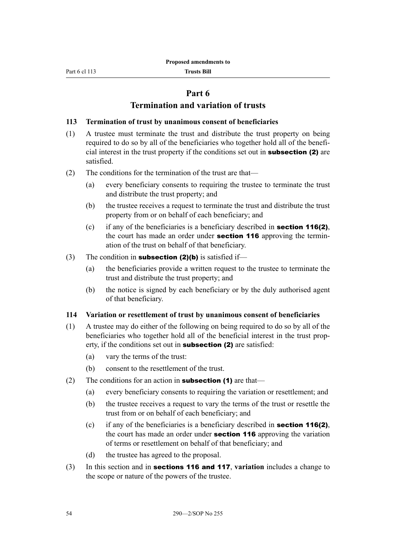# **Part 6**

# **Termination and variation of trusts**

#### **113 Termination of trust by unanimous consent of beneficiaries**

- (1) A trustee must terminate the trust and distribute the trust property on being required to do so by all of the beneficiaries who together hold all of the beneficial interest in the trust property if the conditions set out in subsection (2) are satisfied.
- (2) The conditions for the termination of the trust are that—
	- (a) every beneficiary consents to requiring the trustee to terminate the trust and distribute the trust property; and
	- (b) the trustee receives a request to terminate the trust and distribute the trust property from or on behalf of each beneficiary; and
	- (c) if any of the beneficiaries is a beneficiary described in **section 116(2)**, the court has made an order under **section 116** approving the termination of the trust on behalf of that beneficiary.
- (3) The condition in **subsection (2)(b)** is satisfied if—
	- (a) the beneficiaries provide a written request to the trustee to terminate the trust and distribute the trust property; and
	- (b) the notice is signed by each beneficiary or by the duly authorised agent of that beneficiary.

#### **114 Variation or resettlement of trust by unanimous consent of beneficiaries**

- (1) A trustee may do either of the following on being required to do so by all of the beneficiaries who together hold all of the beneficial interest in the trust property, if the conditions set out in **subsection (2)** are satisfied:
	- (a) vary the terms of the trust:
	- (b) consent to the resettlement of the trust.
- (2) The conditions for an action in **subsection (1)** are that—
	- (a) every beneficiary consents to requiring the variation or resettlement; and
	- (b) the trustee receives a request to vary the terms of the trust or resettle the trust from or on behalf of each beneficiary; and
	- (c) if any of the beneficiaries is a beneficiary described in **section 116(2)**, the court has made an order under **section 116** approving the variation of terms or resettlement on behalf of that beneficiary; and
	- (d) the trustee has agreed to the proposal.
- (3) In this section and in sections 116 and 117, **variation** includes a change to the scope or nature of the powers of the trustee.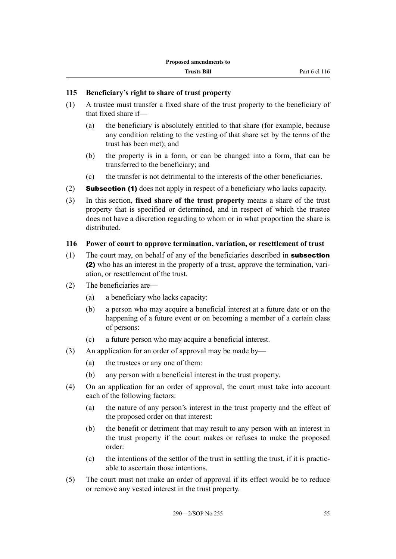#### **115 Beneficiary's right to share of trust property**

- (1) A trustee must transfer a fixed share of the trust property to the beneficiary of that fixed share if—
	- (a) the beneficiary is absolutely entitled to that share (for example, because any condition relating to the vesting of that share set by the terms of the trust has been met); and
	- (b) the property is in a form, or can be changed into a form, that can be transferred to the beneficiary; and
	- (c) the transfer is not detrimental to the interests of the other beneficiaries.
- (2) Subsection (1) does not apply in respect of a beneficiary who lacks capacity.
- (3) In this section, **fixed share of the trust property** means a share of the trust property that is specified or determined, and in respect of which the trustee does not have a discretion regarding to whom or in what proportion the share is distributed.

#### **116 Power of court to approve termination, variation, or resettlement of trust**

- (1) The court may, on behalf of any of the beneficiaries described in **subsection** (2) who has an interest in the property of a trust, approve the termination, variation, or resettlement of the trust.
- (2) The beneficiaries are—
	- (a) a beneficiary who lacks capacity:
	- (b) a person who may acquire a beneficial interest at a future date or on the happening of a future event or on becoming a member of a certain class of persons:
	- (c) a future person who may acquire a beneficial interest.
- (3) An application for an order of approval may be made by—
	- (a) the trustees or any one of them:
	- (b) any person with a beneficial interest in the trust property.
- (4) On an application for an order of approval, the court must take into account each of the following factors:
	- (a) the nature of any person's interest in the trust property and the effect of the proposed order on that interest:
	- (b) the benefit or detriment that may result to any person with an interest in the trust property if the court makes or refuses to make the proposed order:
	- (c) the intentions of the settlor of the trust in settling the trust, if it is practicable to ascertain those intentions.
- (5) The court must not make an order of approval if its effect would be to reduce or remove any vested interest in the trust property.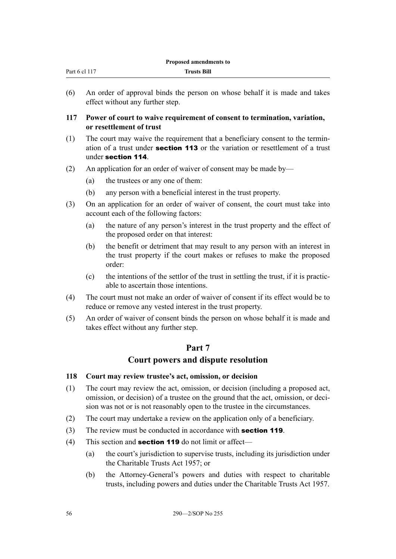| Part 6 cl 117<br><b>Trusts Bill</b> | _ |
|-------------------------------------|---|
|                                     |   |

(6) An order of approval binds the person on whose behalf it is made and takes effect without any further step.

# **117 Power of court to waive requirement of consent to termination, variation, or resettlement of trust**

- (1) The court may waive the requirement that a beneficiary consent to the termination of a trust under section 113 or the variation or resettlement of a trust under section 114.
- (2) An application for an order of waiver of consent may be made by—
	- (a) the trustees or any one of them:
	- (b) any person with a beneficial interest in the trust property.
- (3) On an application for an order of waiver of consent, the court must take into account each of the following factors:
	- (a) the nature of any person's interest in the trust property and the effect of the proposed order on that interest:
	- (b) the benefit or detriment that may result to any person with an interest in the trust property if the court makes or refuses to make the proposed order:
	- (c) the intentions of the settlor of the trust in settling the trust, if it is practicable to ascertain those intentions.
- (4) The court must not make an order of waiver of consent if its effect would be to reduce or remove any vested interest in the trust property.
- (5) An order of waiver of consent binds the person on whose behalf it is made and takes effect without any further step.

# **Part 7**

# **Court powers and dispute resolution**

## **118 Court may review trustee's act, omission, or decision**

- (1) The court may review the act, omission, or decision (including a proposed act, omission, or decision) of a trustee on the ground that the act, omission, or decision was not or is not reasonably open to the trustee in the circumstances.
- (2) The court may undertake a review on the application only of a beneficiary.
- (3) The review must be conducted in accordance with **section 119**.
- (4) This section and **section 119** do not limit or affect—
	- (a) the court's jurisdiction to supervise trusts, including its jurisdiction under the Charitable Trusts Act 1957; or
	- (b) the Attorney-General's powers and duties with respect to charitable trusts, including powers and duties under the Charitable Trusts Act 1957.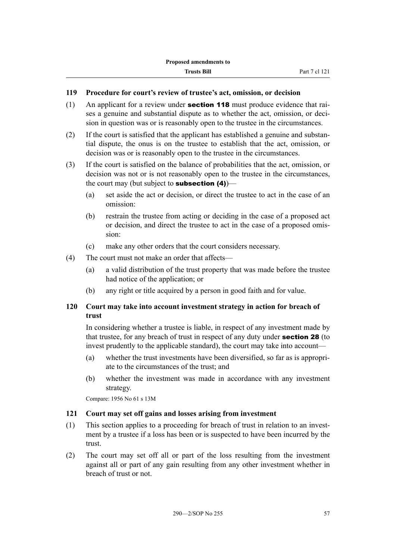# **119 Procedure for court's review of trustee's act, omission, or decision**

- (1) An applicant for a review under **section 118** must produce evidence that raises a genuine and substantial dispute as to whether the act, omission, or decision in question was or is reasonably open to the trustee in the circumstances.
- (2) If the court is satisfied that the applicant has established a genuine and substantial dispute, the onus is on the trustee to establish that the act, omission, or decision was or is reasonably open to the trustee in the circumstances.
- (3) If the court is satisfied on the balance of probabilities that the act, omission, or decision was not or is not reasonably open to the trustee in the circumstances, the court may (but subject to **subsection (4)**)—
	- (a) set aside the act or decision, or direct the trustee to act in the case of an omission:
	- (b) restrain the trustee from acting or deciding in the case of a proposed act or decision, and direct the trustee to act in the case of a proposed omission:
	- (c) make any other orders that the court considers necessary.
- (4) The court must not make an order that affects—
	- (a) a valid distribution of the trust property that was made before the trustee had notice of the application; or
	- (b) any right or title acquired by a person in good faith and for value.

# **120 Court may take into account investment strategy in action for breach of trust**

In considering whether a trustee is liable, in respect of any investment made by that trustee, for any breach of trust in respect of any duty under section 28 (to invest prudently to the applicable standard), the court may take into account—

- (a) whether the trust investments have been diversified, so far as is appropriate to the circumstances of the trust; and
- (b) whether the investment was made in accordance with any investment strategy.

Compare: 1956 No 61 s 13M

#### **121 Court may set off gains and losses arising from investment**

- (1) This section applies to a proceeding for breach of trust in relation to an investment by a trustee if a loss has been or is suspected to have been incurred by the trust.
- (2) The court may set off all or part of the loss resulting from the investment against all or part of any gain resulting from any other investment whether in breach of trust or not.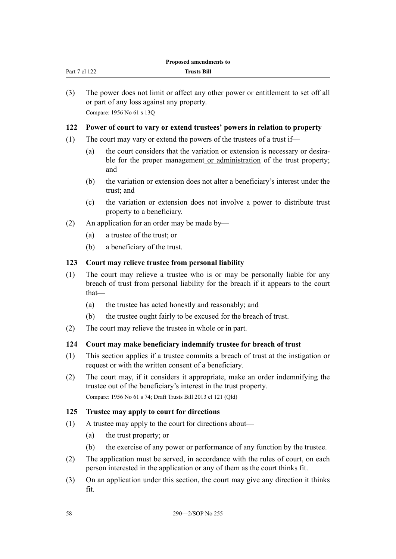| (3) |                                                                        | The power does not limit or affect any other power or entitlement to set off all<br>or part of any loss against any property.                         |
|-----|------------------------------------------------------------------------|-------------------------------------------------------------------------------------------------------------------------------------------------------|
|     |                                                                        | Compare: 1956 No 61 s 130                                                                                                                             |
| 122 |                                                                        | Power of court to vary or extend trustees' powers in relation to property                                                                             |
| (1) | The court may vary or extend the powers of the trustees of a trust if— |                                                                                                                                                       |
|     | (a)                                                                    | the court considers that the variation or extension is necessary or desira-<br>ble for the proper management or administration of the trust property; |

- (b) the variation or extension does not alter a beneficiary's interest under the trust; and
- (c) the variation or extension does not involve a power to distribute trust property to a beneficiary.
- (2) An application for an order may be made by—
	- (a) a trustee of the trust; or

Part 7 cl 122

(b) a beneficiary of the trust.

## **123 Court may relieve trustee from personal liability**

- (1) The court may relieve a trustee who is or may be personally liable for any breach of trust from personal liability for the breach if it appears to the court that—
	- (a) the trustee has acted honestly and reasonably; and
	- (b) the trustee ought fairly to be excused for the breach of trust.
- (2) The court may relieve the trustee in whole or in part.

# **124 Court may make beneficiary indemnify trustee for breach of trust**

- (1) This section applies if a trustee commits a breach of trust at the instigation or request or with the written consent of a beneficiary.
- (2) The court may, if it considers it appropriate, make an order indemnifying the trustee out of the beneficiary's interest in the trust property. Compare: 1956 No 61 s 74; Draft Trusts Bill 2013 cl 121 (Qld)

## **125 Trustee may apply to court for directions**

- (1) A trustee may apply to the court for directions about—
	- (a) the trust property; or
	- (b) the exercise of any power or performance of any function by the trustee.
- (2) The application must be served, in accordance with the rules of court, on each person interested in the application or any of them as the court thinks fit.
- (3) On an application under this section, the court may give any direction it thinks fit.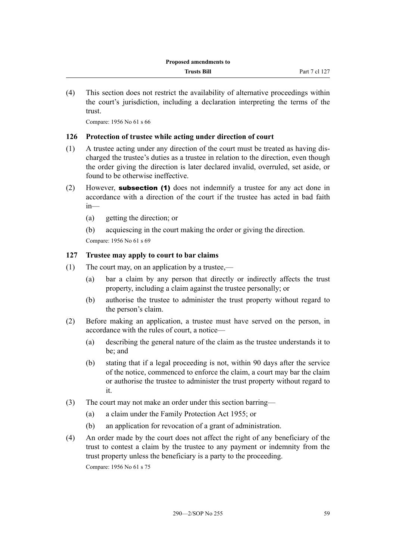(4) This section does not restrict the availability of alternative proceedings within the court's jurisdiction, including a declaration interpreting the terms of the trust.

Compare: 1956 No 61 s 66

#### **126 Protection of trustee while acting under direction of court**

- (1) A trustee acting under any direction of the court must be treated as having discharged the trustee's duties as a trustee in relation to the direction, even though the order giving the direction is later declared invalid, overruled, set aside, or found to be otherwise ineffective.
- (2) However, subsection (1) does not indemnify a trustee for any act done in accordance with a direction of the court if the trustee has acted in bad faith in—
	- (a) getting the direction; or
	- (b) acquiescing in the court making the order or giving the direction. Compare: 1956 No 61 s 69

## **127 Trustee may apply to court to bar claims**

- (1) The court may, on an application by a trustee,—
	- (a) bar a claim by any person that directly or indirectly affects the trust property, including a claim against the trustee personally; or
	- (b) authorise the trustee to administer the trust property without regard to the person's claim.
- (2) Before making an application, a trustee must have served on the person, in accordance with the rules of court, a notice—
	- (a) describing the general nature of the claim as the trustee understands it to be; and
	- (b) stating that if a legal proceeding is not, within 90 days after the service of the notice, commenced to enforce the claim, a court may bar the claim or authorise the trustee to administer the trust property without regard to it.
- (3) The court may not make an order under this section barring—
	- (a) a claim under the Family Protection Act 1955; or
	- (b) an application for revocation of a grant of administration.
- (4) An order made by the court does not affect the right of any beneficiary of the trust to contest a claim by the trustee to any payment or indemnity from the trust property unless the beneficiary is a party to the proceeding. Compare: 1956 No 61 s 75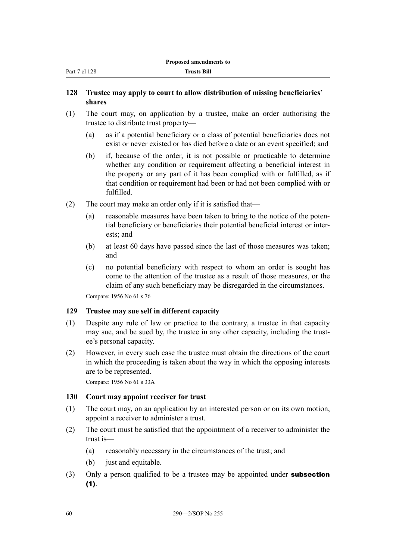| Part 7 cl 128 |  |  |
|---------------|--|--|
|               |  |  |

|  | <b>Trusts Bill</b> |
|--|--------------------|
|--|--------------------|

#### **128 Trustee may apply to court to allow distribution of missing beneficiaries' shares**

- (1) The court may, on application by a trustee, make an order authorising the trustee to distribute trust property—
	- (a) as if a potential beneficiary or a class of potential beneficiaries does not exist or never existed or has died before a date or an event specified; and
	- (b) if, because of the order, it is not possible or practicable to determine whether any condition or requirement affecting a beneficial interest in the property or any part of it has been complied with or fulfilled, as if that condition or requirement had been or had not been complied with or fulfilled.
- (2) The court may make an order only if it is satisfied that—
	- (a) reasonable measures have been taken to bring to the notice of the potential beneficiary or beneficiaries their potential beneficial interest or interests; and
	- (b) at least 60 days have passed since the last of those measures was taken; and
	- (c) no potential beneficiary with respect to whom an order is sought has come to the attention of the trustee as a result of those measures, or the claim of any such beneficiary may be disregarded in the circumstances.

Compare: 1956 No 61 s 76

## **129 Trustee may sue self in different capacity**

- (1) Despite any rule of law or practice to the contrary, a trustee in that capacity may sue, and be sued by, the trustee in any other capacity, including the trustee's personal capacity.
- (2) However, in every such case the trustee must obtain the directions of the court in which the proceeding is taken about the way in which the opposing interests are to be represented.

Compare: 1956 No 61 s 33A

#### **130 Court may appoint receiver for trust**

- (1) The court may, on an application by an interested person or on its own motion, appoint a receiver to administer a trust.
- (2) The court must be satisfied that the appointment of a receiver to administer the trust is—
	- (a) reasonably necessary in the circumstances of the trust; and
	- (b) just and equitable.
- (3) Only a person qualified to be a trustee may be appointed under **subsection**  $(1)$ .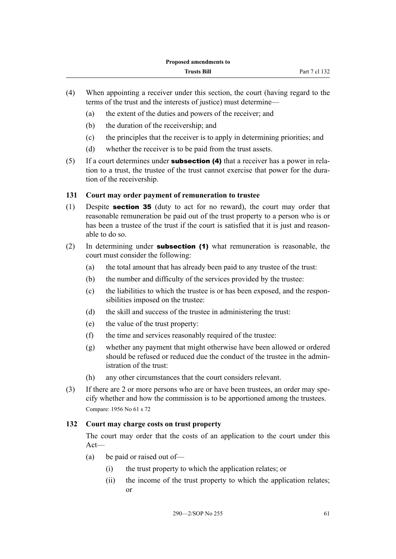- (4) When appointing a receiver under this section, the court (having regard to the terms of the trust and the interests of justice) must determine—
	- (a) the extent of the duties and powers of the receiver; and
	- (b) the duration of the receivership; and
	- (c) the principles that the receiver is to apply in determining priorities; and
	- (d) whether the receiver is to be paid from the trust assets.
- (5) If a court determines under **subsection (4)** that a receiver has a power in relation to a trust, the trustee of the trust cannot exercise that power for the duration of the receivership.

## **131 Court may order payment of remuneration to trustee**

- (1) Despite section 35 (duty to act for no reward), the court may order that reasonable remuneration be paid out of the trust property to a person who is or has been a trustee of the trust if the court is satisfied that it is just and reasonable to do so.
- (2) In determining under **subsection (1)** what remuneration is reasonable, the court must consider the following:
	- (a) the total amount that has already been paid to any trustee of the trust:
	- (b) the number and difficulty of the services provided by the trustee:
	- (c) the liabilities to which the trustee is or has been exposed, and the responsibilities imposed on the trustee:
	- (d) the skill and success of the trustee in administering the trust:
	- (e) the value of the trust property:
	- (f) the time and services reasonably required of the trustee:
	- (g) whether any payment that might otherwise have been allowed or ordered should be refused or reduced due the conduct of the trustee in the administration of the trust:
	- (h) any other circumstances that the court considers relevant.
- (3) If there are 2 or more persons who are or have been trustees, an order may specify whether and how the commission is to be apportioned among the trustees. Compare: 1956 No 61 s 72

# **132 Court may charge costs on trust property**

The court may order that the costs of an application to the court under this Act—

- (a) be paid or raised out of—
	- (i) the trust property to which the application relates; or
	- (ii) the income of the trust property to which the application relates; or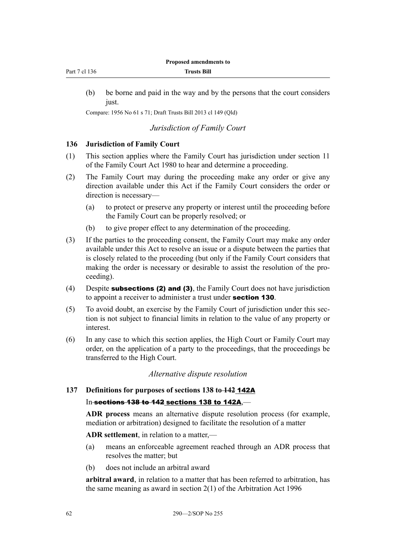| Part 7 cl 136 |  |  |
|---------------|--|--|
|               |  |  |

| <b>Trusts Bill</b> |  |
|--------------------|--|

(b) be borne and paid in the way and by the persons that the court considers just.

Compare: 1956 No 61 s 71; Draft Trusts Bill 2013 cl 149 (Qld)

#### *Jurisdiction of Family Court*

#### **136 Jurisdiction of Family Court**

- (1) This section applies where the Family Court has jurisdiction under section 11 of the Family Court Act 1980 to hear and determine a proceeding.
- (2) The Family Court may during the proceeding make any order or give any direction available under this Act if the Family Court considers the order or direction is necessary—
	- (a) to protect or preserve any property or interest until the proceeding before the Family Court can be properly resolved; or
	- (b) to give proper effect to any determination of the proceeding.
- (3) If the parties to the proceeding consent, the Family Court may make any order available under this Act to resolve an issue or a dispute between the parties that is closely related to the proceeding (but only if the Family Court considers that making the order is necessary or desirable to assist the resolution of the proceeding).
- (4) Despite subsections (2) and (3), the Family Court does not have jurisdiction to appoint a receiver to administer a trust under section 130.
- (5) To avoid doubt, an exercise by the Family Court of jurisdiction under this section is not subject to financial limits in relation to the value of any property or interest.
- (6) In any case to which this section applies, the High Court or Family Court may order, on the application of a party to the proceedings, that the proceedings be transferred to the High Court.

## *Alternative dispute resolution*

## **137 Definitions for purposes of sections 138 to 142** 142A

## In-sections 138 to 142 sections 138 to 142A,—

**ADR process** means an alternative dispute resolution process (for example, mediation or arbitration) designed to facilitate the resolution of a matter

**ADR settlement**, in relation to a matter,—

- (a) means an enforceable agreement reached through an ADR process that resolves the matter; but
- (b) does not include an arbitral award

**arbitral award**, in relation to a matter that has been referred to arbitration, has the same meaning as award in section 2(1) of the Arbitration Act 1996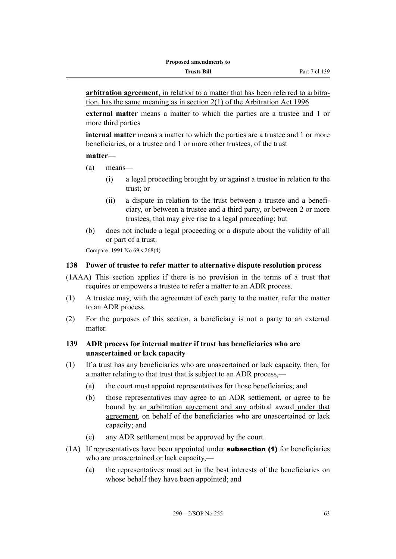**arbitration agreement**, in relation to a matter that has been referred to arbitration, has the same meaning as in section 2(1) of the Arbitration Act 1996

**external matter** means a matter to which the parties are a trustee and 1 or more third parties

**internal matter** means a matter to which the parties are a trustee and 1 or more beneficiaries, or a trustee and 1 or more other trustees, of the trust

#### **matter**—

- (a) means—
	- (i) a legal proceeding brought by or against a trustee in relation to the trust; or
	- (ii) a dispute in relation to the trust between a trustee and a beneficiary, or between a trustee and a third party, or between 2 or more trustees, that may give rise to a legal proceeding; but
- (b) does not include a legal proceeding or a dispute about the validity of all or part of a trust.

Compare: 1991 No 69 s 268(4)

#### **138 Power of trustee to refer matter to alternative dispute resolution process**

- (1AAA) This section applies if there is no provision in the terms of a trust that requires or empowers a trustee to refer a matter to an ADR process.
- (1) A trustee may, with the agreement of each party to the matter, refer the matter to an ADR process.
- (2) For the purposes of this section, a beneficiary is not a party to an external matter.

## **139 ADR process for internal matter if trust has beneficiaries who are unascertained or lack capacity**

- (1) If a trust has any beneficiaries who are unascertained or lack capacity, then, for a matter relating to that trust that is subject to an ADR process,—
	- (a) the court must appoint representatives for those beneficiaries; and
	- (b) those representatives may agree to an ADR settlement, or agree to be bound by an arbitration agreement and any arbitral award under that agreement, on behalf of the beneficiaries who are unascertained or lack capacity; and
	- (c) any ADR settlement must be approved by the court.
- $(1)$  If representatives have been appointed under **subsection (1)** for beneficiaries who are unascertained or lack capacity,—
	- (a) the representatives must act in the best interests of the beneficiaries on whose behalf they have been appointed; and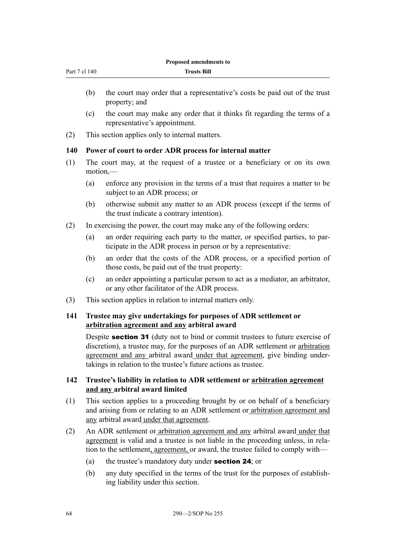| Part 7 cl 140 |
|---------------|
|               |

- (b) the court may order that a representative's costs be paid out of the trust property; and
- (c) the court may make any order that it thinks fit regarding the terms of a representative's appointment.
- (2) This section applies only to internal matters.

## **140 Power of court to order ADR process for internal matter**

- (1) The court may, at the request of a trustee or a beneficiary or on its own motion,—
	- (a) enforce any provision in the terms of a trust that requires a matter to be subject to an ADR process; or
	- (b) otherwise submit any matter to an ADR process (except if the terms of the trust indicate a contrary intention).
- (2) In exercising the power, the court may make any of the following orders:
	- (a) an order requiring each party to the matter, or specified parties, to participate in the ADR process in person or by a representative:
	- (b) an order that the costs of the ADR process, or a specified portion of those costs, be paid out of the trust property:
	- (c) an order appointing a particular person to act as a mediator, an arbitrator, or any other facilitator of the ADR process.
- (3) This section applies in relation to internal matters only.

# **141 Trustee may give undertakings for purposes of ADR settlement or arbitration agreement and any arbitral award**

Despite **section 31** (duty not to bind or commit trustees to future exercise of discretion), a trustee may, for the purposes of an ADR settlement or arbitration agreement and any arbitral award under that agreement, give binding undertakings in relation to the trustee's future actions as trustee.

## **142 Trustee's liability in relation to ADR settlement or arbitration agreement and any arbitral award limited**

- (1) This section applies to a proceeding brought by or on behalf of a beneficiary and arising from or relating to an ADR settlement or arbitration agreement and any arbitral award under that agreement.
- (2) An ADR settlement or arbitration agreement and any arbitral award under that agreement is valid and a trustee is not liable in the proceeding unless, in relation to the settlement, agreement, or award, the trustee failed to comply with—
	- (a) the trustee's mandatory duty under section 24; or
	- (b) any duty specified in the terms of the trust for the purposes of establishing liability under this section.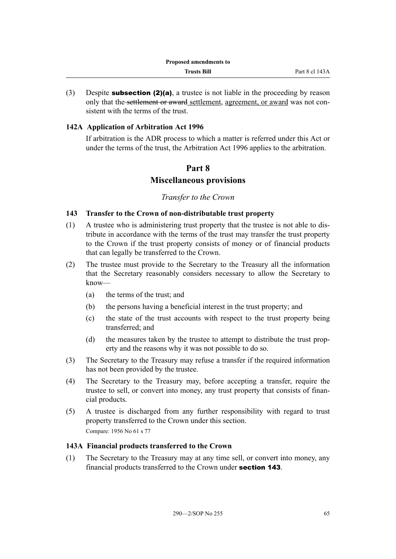(3) Despite **subsection (2)(a)**, a trustee is not liable in the proceeding by reason only that the settlement or award settlement, agreement, or award was not consistent with the terms of the trust.

## **142A Application of Arbitration Act 1996**

If arbitration is the ADR process to which a matter is referred under this Act or under the terms of the trust, the Arbitration Act 1996 applies to the arbitration.

# **Part 8**

# **Miscellaneous provisions**

#### *Transfer to the Crown*

#### **143 Transfer to the Crown of non-distributable trust property**

- (1) A trustee who is administering trust property that the trustee is not able to distribute in accordance with the terms of the trust may transfer the trust property to the Crown if the trust property consists of money or of financial products that can legally be transferred to the Crown.
- (2) The trustee must provide to the Secretary to the Treasury all the information that the Secretary reasonably considers necessary to allow the Secretary to know—
	- (a) the terms of the trust; and
	- (b) the persons having a beneficial interest in the trust property; and
	- (c) the state of the trust accounts with respect to the trust property being transferred; and
	- (d) the measures taken by the trustee to attempt to distribute the trust property and the reasons why it was not possible to do so.
- (3) The Secretary to the Treasury may refuse a transfer if the required information has not been provided by the trustee.
- (4) The Secretary to the Treasury may, before accepting a transfer, require the trustee to sell, or convert into money, any trust property that consists of financial products.
- (5) A trustee is discharged from any further responsibility with regard to trust property transferred to the Crown under this section. Compare: 1956 No 61 s 77

#### **143A Financial products transferred to the Crown**

(1) The Secretary to the Treasury may at any time sell, or convert into money, any financial products transferred to the Crown under section 143.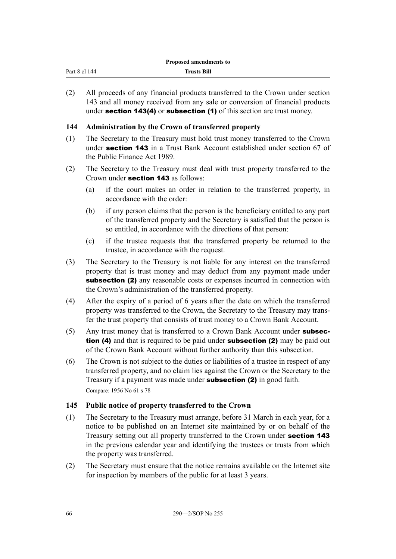| Part 8 cl<br>144 | <b>Trusts Bill</b> |
|------------------|--------------------|
|                  |                    |

(2) All proceeds of any financial products transferred to the Crown under section 143 and all money received from any sale or conversion of financial products under section 143(4) or subsection (1) of this section are trust money.

# **144 Administration by the Crown of transferred property**

- (1) The Secretary to the Treasury must hold trust money transferred to the Crown under section 143 in a Trust Bank Account established under section 67 of the Public Finance Act 1989.
- (2) The Secretary to the Treasury must deal with trust property transferred to the Crown under section 143 as follows:
	- (a) if the court makes an order in relation to the transferred property, in accordance with the order:
	- (b) if any person claims that the person is the beneficiary entitled to any part of the transferred property and the Secretary is satisfied that the person is so entitled, in accordance with the directions of that person:
	- (c) if the trustee requests that the transferred property be returned to the trustee, in accordance with the request.
- (3) The Secretary to the Treasury is not liable for any interest on the transferred property that is trust money and may deduct from any payment made under subsection (2) any reasonable costs or expenses incurred in connection with the Crown's administration of the transferred property.
- (4) After the expiry of a period of 6 years after the date on which the transferred property was transferred to the Crown, the Secretary to the Treasury may transfer the trust property that consists of trust money to a Crown Bank Account.
- (5) Any trust money that is transferred to a Crown Bank Account under subsection (4) and that is required to be paid under **subsection (2)** may be paid out of the Crown Bank Account without further authority than this subsection.
- (6) The Crown is not subject to the duties or liabilities of a trustee in respect of any transferred property, and no claim lies against the Crown or the Secretary to the Treasury if a payment was made under subsection (2) in good faith. Compare: 1956 No 61 s 78

# **145 Public notice of property transferred to the Crown**

- (1) The Secretary to the Treasury must arrange, before 31 March in each year, for a notice to be published on an Internet site maintained by or on behalf of the Treasury setting out all property transferred to the Crown under section 143 in the previous calendar year and identifying the trustees or trusts from which the property was transferred.
- (2) The Secretary must ensure that the notice remains available on the Internet site for inspection by members of the public for at least 3 years.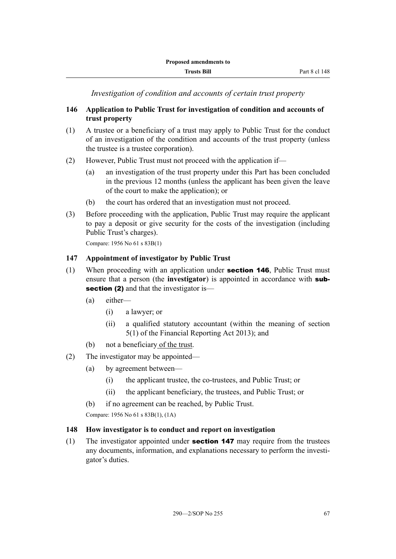*Investigation of condition and accounts of certain trust property*

# **146 Application to Public Trust for investigation of condition and accounts of trust property**

- (1) A trustee or a beneficiary of a trust may apply to Public Trust for the conduct of an investigation of the condition and accounts of the trust property (unless the trustee is a trustee corporation).
- (2) However, Public Trust must not proceed with the application if—
	- (a) an investigation of the trust property under this Part has been concluded in the previous 12 months (unless the applicant has been given the leave of the court to make the application); or
	- (b) the court has ordered that an investigation must not proceed.
- (3) Before proceeding with the application, Public Trust may require the applicant to pay a deposit or give security for the costs of the investigation (including Public Trust's charges).

Compare: 1956 No 61 s 83B(1)

#### **147 Appointment of investigator by Public Trust**

- (1) When proceeding with an application under **section 146**, Public Trust must ensure that a person (the **investigator**) is appointed in accordance with subsection (2) and that the investigator is—
	- (a) either—
		- (i) a lawyer; or
		- (ii) a qualified statutory accountant (within the meaning of section 5(1) of the Financial Reporting Act 2013); and
	- (b) not a beneficiary of the trust.
- (2) The investigator may be appointed—
	- (a) by agreement between—
		- (i) the applicant trustee, the co-trustees, and Public Trust; or
		- (ii) the applicant beneficiary, the trustees, and Public Trust; or
	- (b) if no agreement can be reached, by Public Trust.

Compare: 1956 No 61 s 83B(1), (1A)

#### **148 How investigator is to conduct and report on investigation**

(1) The investigator appointed under **section 147** may require from the trustees any documents, information, and explanations necessary to perform the investigator's duties.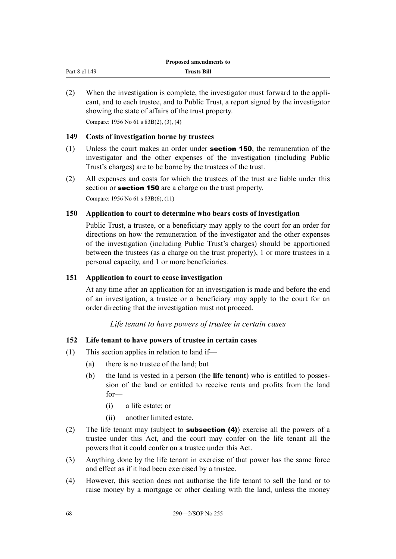| Part 8 cl 149 | <b>Trusts Bill</b> |
|---------------|--------------------|
|               |                    |

(2) When the investigation is complete, the investigator must forward to the applicant, and to each trustee, and to Public Trust, a report signed by the investigator showing the state of affairs of the trust property.

Compare: 1956 No 61 s 83B(2), (3), (4)

#### **149 Costs of investigation borne by trustees**

- (1) Unless the court makes an order under section 150, the remuneration of the investigator and the other expenses of the investigation (including Public Trust's charges) are to be borne by the trustees of the trust.
- (2) All expenses and costs for which the trustees of the trust are liable under this section or **section 150** are a charge on the trust property.

Compare: 1956 No 61 s 83B(6), (11)

## **150 Application to court to determine who bears costs of investigation**

Public Trust, a trustee, or a beneficiary may apply to the court for an order for directions on how the remuneration of the investigator and the other expenses of the investigation (including Public Trust's charges) should be apportioned between the trustees (as a charge on the trust property), 1 or more trustees in a personal capacity, and 1 or more beneficiaries.

## **151 Application to court to cease investigation**

At any time after an application for an investigation is made and before the end of an investigation, a trustee or a beneficiary may apply to the court for an order directing that the investigation must not proceed.

*Life tenant to have powers of trustee in certain cases*

## **152 Life tenant to have powers of trustee in certain cases**

- (1) This section applies in relation to land if—
	- (a) there is no trustee of the land; but
	- (b) the land is vested in a person (the **life tenant**) who is entitled to possession of the land or entitled to receive rents and profits from the land for—
		- (i) a life estate; or
		- (ii) another limited estate.
- (2) The life tenant may (subject to **subsection (4)**) exercise all the powers of a trustee under this Act, and the court may confer on the life tenant all the powers that it could confer on a trustee under this Act.
- (3) Anything done by the life tenant in exercise of that power has the same force and effect as if it had been exercised by a trustee.
- (4) However, this section does not authorise the life tenant to sell the land or to raise money by a mortgage or other dealing with the land, unless the money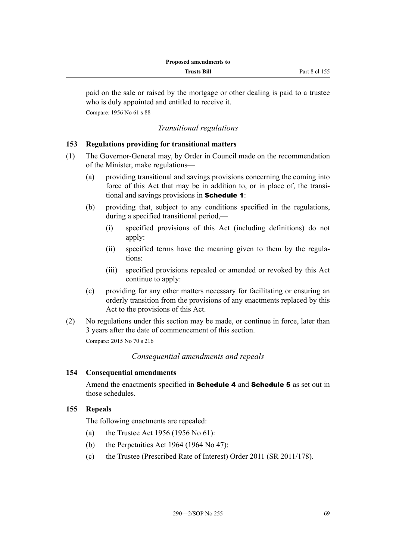paid on the sale or raised by the mortgage or other dealing is paid to a trustee who is duly appointed and entitled to receive it. Compare: 1956 No 61 s 88

### *Transitional regulations*

### **153 Regulations providing for transitional matters**

- (1) The Governor-General may, by Order in Council made on the recommendation of the Minister, make regulations—
	- (a) providing transitional and savings provisions concerning the coming into force of this Act that may be in addition to, or in place of, the transitional and savings provisions in Schedule 1:
	- (b) providing that, subject to any conditions specified in the regulations, during a specified transitional period,—
		- (i) specified provisions of this Act (including definitions) do not apply:
		- (ii) specified terms have the meaning given to them by the regulations:
		- (iii) specified provisions repealed or amended or revoked by this Act continue to apply:
	- (c) providing for any other matters necessary for facilitating or ensuring an orderly transition from the provisions of any enactments replaced by this Act to the provisions of this Act.
- (2) No regulations under this section may be made, or continue in force, later than 3 years after the date of commencement of this section. Compare: 2015 No 70 s 216

*Consequential amendments and repeals*

### **154 Consequential amendments**

Amend the enactments specified in **Schedule 4** and **Schedule 5** as set out in those schedules.

### **155 Repeals**

The following enactments are repealed:

- (a) the Trustee Act 1956 (1956 No 61):
- (b) the Perpetuities Act 1964 (1964 No 47):
- (c) the Trustee (Prescribed Rate of Interest) Order 2011 (SR 2011/178).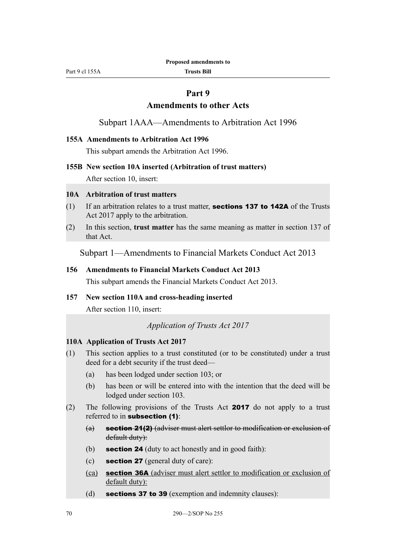Part 9 cl 155A

**Trusts Bill**

### **Part 9**

### **Amendments to other Acts**

Subpart 1AAA—Amendments to Arbitration Act 1996

#### **155A Amendments to Arbitration Act 1996**

This subpart amends the Arbitration Act 1996.

#### **155B New section 10A inserted (Arbitration of trust matters)**

After section 10, insert:

#### **10A Arbitration of trust matters**

- (1) If an arbitration relates to a trust matter, **sections 137 to 142A** of the Trusts Act 2017 apply to the arbitration.
- (2) In this section, **trust matter** has the same meaning as matter in section 137 of that Act.

Subpart 1—Amendments to Financial Markets Conduct Act 2013

#### **156 Amendments to Financial Markets Conduct Act 2013**

This subpart amends the Financial Markets Conduct Act 2013.

#### **157 New section 110A and cross-heading inserted**

After section 110, insert:

*Application of Trusts Act 2017*

#### **110A Application of Trusts Act 2017**

- (1) This section applies to a trust constituted (or to be constituted) under a trust deed for a debt security if the trust deed—
	- (a) has been lodged under section 103; or
	- (b) has been or will be entered into with the intention that the deed will be lodged under section 103.
- (2) The following provisions of the Trusts Act 2017 do not apply to a trust referred to in subsection (1):
	- (a) section 21(2) (adviser must alert settlor to modification or exclusion of default duty):
	- (b) **section 24** (duty to act honestly and in good faith):
	- (c) section 27 (general duty of care):
	- (ca) section 36A (adviser must alert settlor to modification or exclusion of default duty):
	- (d) sections 37 to 39 (exemption and indemnity clauses):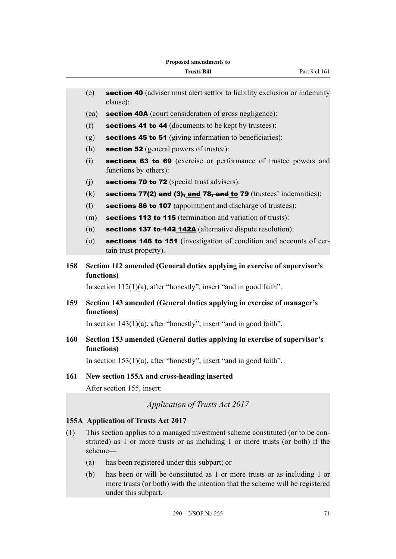|     | (e)        | section 40 (adviser must alert settlor to liability exclusion or indemnity<br>clause):                                                                            |
|-----|------------|-------------------------------------------------------------------------------------------------------------------------------------------------------------------|
|     | (ea)       | <b>section 40A</b> (court consideration of gross negligence):                                                                                                     |
|     | (f)        | <b>sections 41 to 44</b> (documents to be kept by trustees):                                                                                                      |
|     | (g)        | <b>sections 45 to 51</b> (giving information to beneficiaries):                                                                                                   |
|     | (h)        | <b>section 52</b> (general powers of trustee):                                                                                                                    |
|     | (i)        | sections 63 to 69 (exercise or performance of trustee powers and<br>functions by others):                                                                         |
|     | (j)        | sections 70 to 72 (special trust advisers):                                                                                                                       |
|     | (k)        | sections 77(2) and $(3)$ , and 78, and to 79 (trustees' indemnities):                                                                                             |
|     | (1)        | sections 86 to 107 (appointment and discharge of trustees):                                                                                                       |
|     | (m)        | sections 113 to 115 (termination and variation of trusts):                                                                                                        |
|     | (n)        | <b>sections 137 to-442 142A</b> (alternative dispute resolution):                                                                                                 |
|     | $\circ$    | sections 146 to 151 (investigation of condition and accounts of cer-<br>tain trust property).                                                                     |
| 158 | functions) | Section 112 amended (General duties applying in exercise of supervisor's                                                                                          |
|     |            | In section $112(1)(a)$ , after "honestly", insert "and in good faith".                                                                                            |
| 159 | functions) | Section 143 amended (General duties applying in exercise of manager's                                                                                             |
|     |            | In section $143(1)(a)$ , after "honestly", insert "and in good faith".                                                                                            |
| 160 | functions) | Section 153 amended (General duties applying in exercise of supervisor's                                                                                          |
|     |            | In section $153(1)(a)$ , after "honestly", insert "and in good faith".                                                                                            |
| 161 |            | New section 155A and cross-heading inserted                                                                                                                       |
|     |            | After section 155, insert:                                                                                                                                        |
|     |            | <b>Application of Trusts Act 2017</b>                                                                                                                             |
|     |            | 155A Application of Trusts Act 2017                                                                                                                               |
| (1) | scheme-    | This section applies to a managed investment scheme constituted (or to be con-<br>stituted) as 1 or more trusts or as including 1 or more trusts (or both) if the |
|     |            |                                                                                                                                                                   |

- (a) has been registered under this subpart; or
- (b) has been or will be constituted as 1 or more trusts or as including 1 or more trusts (or both) with the intention that the scheme will be registered under this subpart.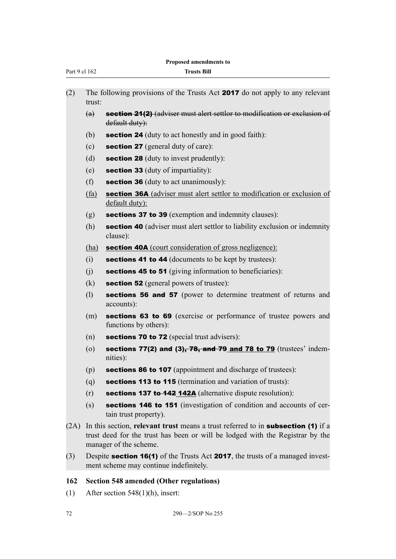|  | <b>Proposed amendments to</b> |  |
|--|-------------------------------|--|
|--|-------------------------------|--|

| Proposed amendments to |                    |                                                                                                                                                                                                    |
|------------------------|--------------------|----------------------------------------------------------------------------------------------------------------------------------------------------------------------------------------------------|
| Part 9 cl 162          |                    | <b>Trusts Bill</b>                                                                                                                                                                                 |
| (2)                    | trust:             | The following provisions of the Trusts Act 2017 do not apply to any relevant                                                                                                                       |
|                        | (a)                | <b>section 21(2)</b> (adviser must alert settlor to modification or exclusion of<br>default duty):                                                                                                 |
|                        | (b)                | <b>section 24</b> (duty to act honestly and in good faith):                                                                                                                                        |
|                        | (c)                | section 27 (general duty of care):                                                                                                                                                                 |
|                        | (d)                | <b>section 28</b> (duty to invest prudently):                                                                                                                                                      |
|                        | (e)                | section 33 (duty of impartiality):                                                                                                                                                                 |
|                        | (f)                | <b>section 36</b> (duty to act unanimously):                                                                                                                                                       |
|                        | (fa)               | <b>section 36A</b> (adviser must alert settlor to modification or exclusion of<br>default duty):                                                                                                   |
|                        | (g)                | sections 37 to 39 (exemption and indemnity clauses):                                                                                                                                               |
|                        | (h)                | section 40 (adviser must alert settlor to liability exclusion or indemnity<br>clause):                                                                                                             |
|                        | (ha)               | <b>section 40A</b> (court consideration of gross negligence):                                                                                                                                      |
|                        | (i)                | <b>sections 41 to 44</b> (documents to be kept by trustees):                                                                                                                                       |
|                        | (j)                | sections 45 to 51 (giving information to beneficiaries):                                                                                                                                           |
|                        | (k)                | <b>section 52</b> (general powers of trustee):                                                                                                                                                     |
|                        | (1)                | sections 56 and 57 (power to determine treatment of returns and<br>accounts):                                                                                                                      |
|                        | (m)                | sections 63 to 69 (exercise or performance of trustee powers and<br>functions by others):                                                                                                          |
|                        | (n)                | sections 70 to 72 (special trust advisers):                                                                                                                                                        |
|                        | $\left( 0 \right)$ | sections 77(2) and (3), 78, and 79 and 78 to 79 (trustees' indem-<br>nities):                                                                                                                      |
|                        | (p)                | <b>sections 86 to 107</b> (appointment and discharge of trustees):                                                                                                                                 |
|                        | (q)                | sections 113 to 115 (termination and variation of trusts):                                                                                                                                         |
|                        | (r)                | sections 137 to-142_142A (alternative dispute resolution):                                                                                                                                         |
|                        | (s)                | <b>sections 146 to 151</b> (investigation of condition and accounts of cer-<br>tain trust property).                                                                                               |
| (2A)                   |                    | In this section, relevant trust means a trust referred to in <b>subsection</b> (1) if a<br>trust deed for the trust has been or will be lodged with the Registrar by the<br>manager of the scheme. |
| (3)                    |                    | Despite <b>section 16(1)</b> of the Trusts Act <b>2017</b> , the trusts of a managed invest-<br>ment scheme may continue indefinitely.                                                             |

# **162 Section 548 amended (Other regulations)**

(1) After section 548(1)(h), insert: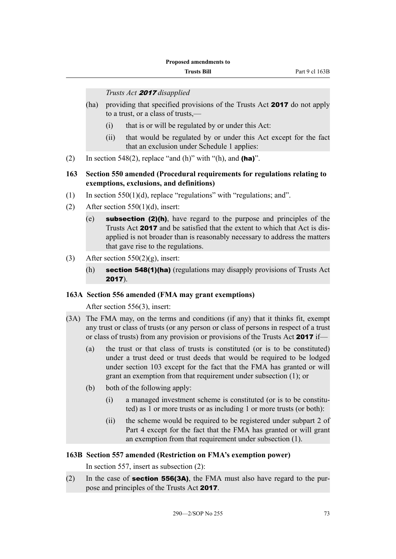#### *Trusts Act* 2017 *disapplied*

- (ha) providing that specified provisions of the Trusts Act **2017** do not apply to a trust, or a class of trusts,—
	- (i) that is or will be regulated by or under this Act:
	- (ii) that would be regulated by or under this Act except for the fact that an exclusion under Schedule 1 applies:
- (2) In section 548(2), replace "and (h)" with "(h), and  $(ha)$ ".

### **163 Section 550 amended (Procedural requirements for regulations relating to exemptions, exclusions, and definitions)**

- (1) In section  $550(1)(d)$ , replace "regulations" with "regulations; and".
- (2) After section  $550(1)(d)$ , insert:
	- (e) subsection (2)(h), have regard to the purpose and principles of the Trusts Act 2017 and be satisfied that the extent to which that Act is disapplied is not broader than is reasonably necessary to address the matters that gave rise to the regulations.
- (3) After section  $550(2)(g)$ , insert:
	- (h) section 548(1)(ha) (regulations may disapply provisions of Trusts Act 2017).

### **163A Section 556 amended (FMA may grant exemptions)**

After section 556(3), insert:

- (3A) The FMA may, on the terms and conditions (if any) that it thinks fit, exempt any trust or class of trusts (or any person or class of persons in respect of a trust or class of trusts) from any provision or provisions of the Trusts Act 2017 if—
	- (a) the trust or that class of trusts is constituted (or is to be constituted) under a trust deed or trust deeds that would be required to be lodged under section 103 except for the fact that the FMA has granted or will grant an exemption from that requirement under subsection (1); or
	- (b) both of the following apply:
		- (i) a managed investment scheme is constituted (or is to be constituted) as 1 or more trusts or as including 1 or more trusts (or both):
		- (ii) the scheme would be required to be registered under subpart 2 of Part 4 except for the fact that the FMA has granted or will grant an exemption from that requirement under subsection (1).

### **163B Section 557 amended (Restriction on FMA's exemption power)**

In section 557, insert as subsection (2):

(2) In the case of **section 556(3A)**, the FMA must also have regard to the purpose and principles of the Trusts Act 2017.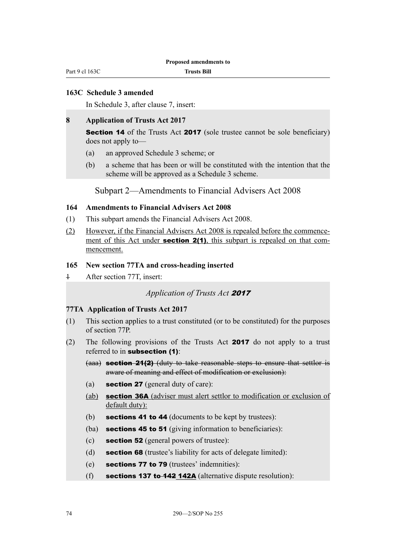#### **163C Schedule 3 amended**

In Schedule 3, after clause 7, insert:

#### **8 Application of Trusts Act 2017**

**Section 14** of the Trusts Act **2017** (sole trustee cannot be sole beneficiary) does not apply to—

- (a) an approved Schedule 3 scheme; or
- (b) a scheme that has been or will be constituted with the intention that the scheme will be approved as a Schedule 3 scheme.

Subpart 2—Amendments to Financial Advisers Act 2008

### **164 Amendments to Financial Advisers Act 2008**

- (1) This subpart amends the Financial Advisers Act 2008.
- (2) However, if the Financial Advisers Act 2008 is repealed before the commencement of this Act under **section 2(1)**, this subpart is repealed on that commencement.

#### **165 New section 77TA and cross-heading inserted**

1 After section 77T, insert:

#### *Application of Trusts Act* <sup>2017</sup>

#### **77TA Application of Trusts Act 2017**

- (1) This section applies to a trust constituted (or to be constituted) for the purposes of section 77P.
- (2) The following provisions of the Trusts Act 2017 do not apply to a trust referred to in subsection (1):
	- (aaa) **section 21(2)** (duty to take reasonable steps to ensure that settlor is aware of meaning and effect of modification or exclusion):
	- (a) section 27 (general duty of care):
	- (ab) section 36A (adviser must alert settlor to modification or exclusion of default duty):
	- (b) sections 41 to 44 (documents to be kept by trustees):
	- (ba) **sections 45 to 51** (giving information to beneficiaries):
	- (c) section 52 (general powers of trustee):
	- (d) **section 68** (trustee's liability for acts of delegate limited):
	- (e) sections 77 to 79 (trustees' indemnities):
	- (f) sections 137 to 142 142A (alternative dispute resolution):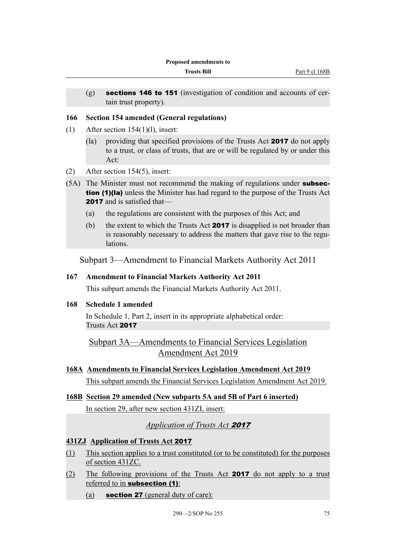(g) sections 146 to 151 (investigation of condition and accounts of certain trust property).

#### **166 Section 154 amended (General regulations)**

- (1) After section  $154(1)(l)$ , insert:
	- (la) providing that specified provisions of the Trusts Act 2017 do not apply to a trust, or class of trusts, that are or will be regulated by or under this Act:
- (2) After section 154(5), insert:
- (5A) The Minister must not recommend the making of regulations under **subsec**tion (1)(la) unless the Minister has had regard to the purpose of the Trusts Act 2017 and is satisfied that-
	- (a) the regulations are consistent with the purposes of this Act; and
	- (b) the extent to which the Trusts Act 2017 is disapplied is not broader than is reasonably necessary to address the matters that gave rise to the regulations.

Subpart 3—Amendment to Financial Markets Authority Act 2011

#### **167 Amendment to Financial Markets Authority Act 2011**

This subpart amends the Financial Markets Authority Act 2011.

#### **168 Schedule 1 amended**

In Schedule 1, Part 2, insert in its appropriate alphabetical order: Trusts Act 2017

Subpart 3A—Amendments to Financial Services Legislation Amendment Act 2019

**168A Amendments to Financial Services Legislation Amendment Act 2019**

This subpart amends the Financial Services Legislation Amendment Act 2019.

**168B Section 29 amended (New subparts 5A and 5B of Part 6 inserted)** In section 29, after new section 431ZI, insert:

### *Application of Trusts Act* <sup>2017</sup>

#### **431ZJ Application of Trusts Act** 2017

- (1) This section applies to a trust constituted (or to be constituted) for the purposes of section 431ZC.
- (2) The following provisions of the Trusts Act 2017 do not apply to a trust referred to in subsection (1):
	- (a) **section 27** (general duty of care):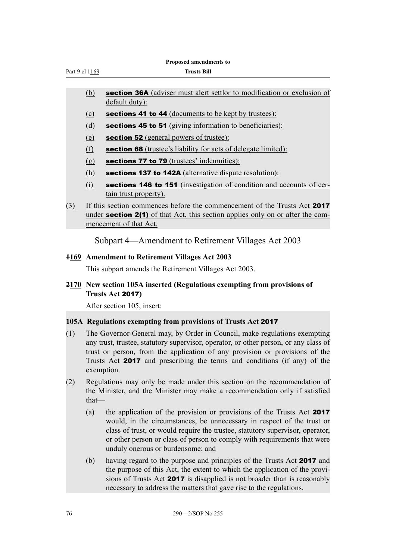|                |            | Proposed amendments to                                                                                                                                                                                                                                                                                                              |
|----------------|------------|-------------------------------------------------------------------------------------------------------------------------------------------------------------------------------------------------------------------------------------------------------------------------------------------------------------------------------------|
| Part 9 cl 4169 |            | <b>Trusts Bill</b>                                                                                                                                                                                                                                                                                                                  |
|                |            |                                                                                                                                                                                                                                                                                                                                     |
|                | (b)        | section 36A (adviser must alert settlor to modification or exclusion of<br>default duty):                                                                                                                                                                                                                                           |
|                | (c)        | sections 41 to 44 (documents to be kept by trustees):                                                                                                                                                                                                                                                                               |
|                | (d)        | sections 45 to 51 (giving information to beneficiaries):                                                                                                                                                                                                                                                                            |
|                | (e)        | section 52 (general powers of trustee):                                                                                                                                                                                                                                                                                             |
|                | (f)        | <b>section 68</b> (trustee's liability for acts of delegate limited):                                                                                                                                                                                                                                                               |
|                | (g)        | sections 77 to 79 (trustees' indemnities):                                                                                                                                                                                                                                                                                          |
|                | <u>(h)</u> | sections 137 to 142A (alternative dispute resolution):                                                                                                                                                                                                                                                                              |
|                | (i)        | sections 146 to 151 (investigation of condition and accounts of cer-<br>tain trust property).                                                                                                                                                                                                                                       |
| (3)            |            | If this section commences before the commencement of the Trusts Act 2017<br>under <b>section 2(1)</b> of that Act, this section applies only on or after the com-<br>mencement of that Act.                                                                                                                                         |
|                |            | Subpart 4—Amendment to Retirement Villages Act 2003                                                                                                                                                                                                                                                                                 |
|                |            | 4169 Amendment to Retirement Villages Act 2003                                                                                                                                                                                                                                                                                      |
|                |            | This subpart amends the Retirement Villages Act 2003.                                                                                                                                                                                                                                                                               |
|                |            | 2170 New section 105A inserted (Regulations exempting from provisions of<br>Trusts Act 2017)                                                                                                                                                                                                                                        |
|                |            | After section 105, insert:                                                                                                                                                                                                                                                                                                          |
|                |            | 105A Regulations exempting from provisions of Trusts Act 2017                                                                                                                                                                                                                                                                       |
| (1)            | exemption. | The Governor-General may, by Order in Council, make regulations exempting<br>any trust, trustee, statutory supervisor, operator, or other person, or any class of<br>trust or person, from the application of any provision or provisions of the<br>Trusts Act <b>2017</b> and prescribing the terms and conditions (if any) of the |

- (2) Regulations may only be made under this section on the recommendation of the Minister, and the Minister may make a recommendation only if satisfied that—
	- (a) the application of the provision or provisions of the Trusts Act 2017 would, in the circumstances, be unnecessary in respect of the trust or class of trust, or would require the trustee, statutory supervisor, operator, or other person or class of person to comply with requirements that were unduly onerous or burdensome; and
	- (b) having regard to the purpose and principles of the Trusts Act 2017 and the purpose of this Act, the extent to which the application of the provisions of Trusts Act 2017 is disapplied is not broader than is reasonably necessary to address the matters that gave rise to the regulations.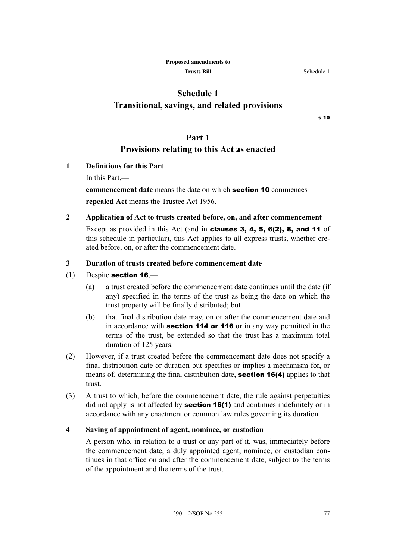## **Schedule 1 Transitional, savings, and related provisions**

s 10

### **Part 1**

### **Provisions relating to this Act as enacted**

- **1 Definitions for this Part**
	- In this Part,—

**commencement date** means the date on which section 10 commences **repealed Act** means the Trustee Act 1956.

**2 Application of Act to trusts created before, on, and after commencement** Except as provided in this Act (and in clauses 3, 4, 5, 6(2), 8, and 11 of this schedule in particular), this Act applies to all express trusts, whether created before, on, or after the commencement date.

### **3 Duration of trusts created before commencement date**

- $(1)$  Despite section 16,—
	- (a) a trust created before the commencement date continues until the date (if any) specified in the terms of the trust as being the date on which the trust property will be finally distributed; but
	- (b) that final distribution date may, on or after the commencement date and in accordance with section 114 or 116 or in any way permitted in the terms of the trust, be extended so that the trust has a maximum total duration of 125 years.
- (2) However, if a trust created before the commencement date does not specify a final distribution date or duration but specifies or implies a mechanism for, or means of, determining the final distribution date, **section 16(4)** applies to that trust.
- (3) A trust to which, before the commencement date, the rule against perpetuities did not apply is not affected by **section 16(1)** and continues indefinitely or in accordance with any enactment or common law rules governing its duration.

### **4 Saving of appointment of agent, nominee, or custodian**

A person who, in relation to a trust or any part of it, was, immediately before the commencement date, a duly appointed agent, nominee, or custodian continues in that office on and after the commencement date, subject to the terms of the appointment and the terms of the trust.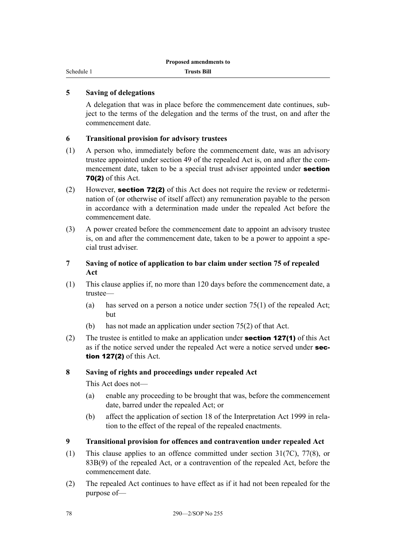Schedule 1

### **5 Saving of delegations**

A delegation that was in place before the commencement date continues, subject to the terms of the delegation and the terms of the trust, on and after the commencement date.

### **6 Transitional provision for advisory trustees**

- (1) A person who, immediately before the commencement date, was an advisory trustee appointed under section 49 of the repealed Act is, on and after the commencement date, taken to be a special trust adviser appointed under **section** 70(2) of this Act.
- (2) However, section 72(2) of this Act does not require the review or redetermination of (or otherwise of itself affect) any remuneration payable to the person in accordance with a determination made under the repealed Act before the commencement date.
- (3) A power created before the commencement date to appoint an advisory trustee is, on and after the commencement date, taken to be a power to appoint a special trust adviser.
- **7 Saving of notice of application to bar claim under section 75 of repealed Act**
- (1) This clause applies if, no more than 120 days before the commencement date, a trustee—
	- (a) has served on a person a notice under section 75(1) of the repealed Act; but
	- (b) has not made an application under section 75(2) of that Act.
- (2) The trustee is entitled to make an application under **section 127(1)** of this Act as if the notice served under the repealed Act were a notice served under section 127(2) of this Act.

### **8 Saving of rights and proceedings under repealed Act**

This Act does not—

- (a) enable any proceeding to be brought that was, before the commencement date, barred under the repealed Act; or
- (b) affect the application of section 18 of the Interpretation Act 1999 in relation to the effect of the repeal of the repealed enactments.
- **9 Transitional provision for offences and contravention under repealed Act**
- (1) This clause applies to an offence committed under section 31(7C), 77(8), or 83B(9) of the repealed Act, or a contravention of the repealed Act, before the commencement date.
- (2) The repealed Act continues to have effect as if it had not been repealed for the purpose of—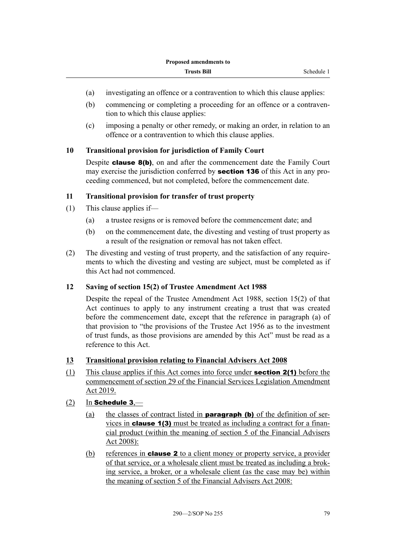- (a) investigating an offence or a contravention to which this clause applies:
- (b) commencing or completing a proceeding for an offence or a contravention to which this clause applies:
- (c) imposing a penalty or other remedy, or making an order, in relation to an offence or a contravention to which this clause applies.

### **10 Transitional provision for jurisdiction of Family Court**

Despite **clause 8(b)**, on and after the commencement date the Family Court may exercise the jurisdiction conferred by **section 136** of this Act in any proceeding commenced, but not completed, before the commencement date.

### **11 Transitional provision for transfer of trust property**

- (1) This clause applies if—
	- (a) a trustee resigns or is removed before the commencement date; and
	- (b) on the commencement date, the divesting and vesting of trust property as a result of the resignation or removal has not taken effect.
- (2) The divesting and vesting of trust property, and the satisfaction of any requirements to which the divesting and vesting are subject, must be completed as if this Act had not commenced.

### **12 Saving of section 15(2) of Trustee Amendment Act 1988**

Despite the repeal of the Trustee Amendment Act 1988, section 15(2) of that Act continues to apply to any instrument creating a trust that was created before the commencement date, except that the reference in paragraph (a) of that provision to "the provisions of the Trustee Act 1956 as to the investment of trust funds, as those provisions are amended by this Act" must be read as a reference to this Act.

### **13 Transitional provision relating to Financial Advisers Act 2008**

(1) This clause applies if this Act comes into force under section 2(1) before the commencement of section 29 of the Financial Services Legislation Amendment Act 2019.

### $(2)$  In Schedule 3.—

- (a) the classes of contract listed in **paragraph (b)** of the definition of services in clause 1(3) must be treated as including a contract for a financial product (within the meaning of section 5 of the Financial Advisers Act 2008):
- (b) references in **clause 2** to a client money or property service, a provider of that service, or a wholesale client must be treated as including a broking service, a broker, or a wholesale client (as the case may be) within the meaning of section 5 of the Financial Advisers Act 2008: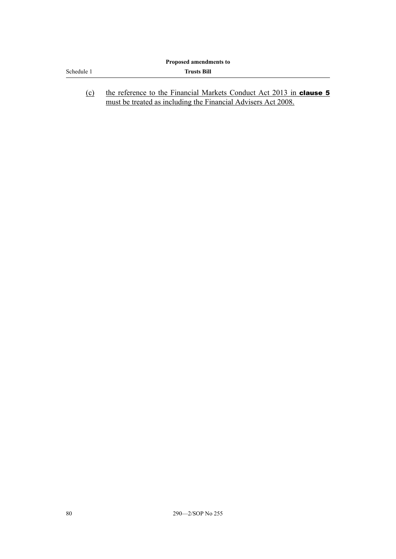|            | Proposed amendments to                                                                                                               |
|------------|--------------------------------------------------------------------------------------------------------------------------------------|
| Schedule 1 | <b>Trusts Bill</b>                                                                                                                   |
| (c)        | the reference to the Financial Markets Conduct Act 2013 in clause 5<br>must be treated as including the Financial Advisers Act 2008. |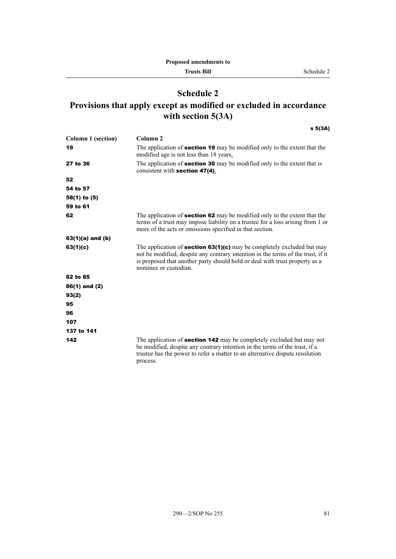## **Schedule 2 Provisions that apply except as modified or excluded in accordance with section 5(3A)**

s 5(3A)

| Column 1 (section) | Column 2                                                                                                                                                                                                                                                                  |
|--------------------|---------------------------------------------------------------------------------------------------------------------------------------------------------------------------------------------------------------------------------------------------------------------------|
| 19                 | The application of <b>section 19</b> may be modified only to the extent that the<br>modified age is not less than 18 years.                                                                                                                                               |
| 27 to 36           | The application of <b>section 30</b> may be modified only to the extent that is<br>consistent with section $47(4)$ .                                                                                                                                                      |
| 52                 |                                                                                                                                                                                                                                                                           |
| 54 to 57           |                                                                                                                                                                                                                                                                           |
| 58(1) to (5)       |                                                                                                                                                                                                                                                                           |
| 59 to 61           |                                                                                                                                                                                                                                                                           |
| 62                 | The application of <b>section 62</b> may be modified only to the extent that the<br>terms of a trust may impose liability on a trustee for a loss arising from 1 or<br>more of the acts or omissions specified in that section.                                           |
| 63(1)(a) and (b)   |                                                                                                                                                                                                                                                                           |
| 63(1)(c)           | The application of <b>section 63(1)(c)</b> may be completely excluded but may<br>not be modified, despite any contrary intention in the terms of the trust, if it<br>is proposed that another party should hold or deal with trust property as a<br>nominee or custodian. |
| 82 to 85           |                                                                                                                                                                                                                                                                           |
| 86(1) and (2)      |                                                                                                                                                                                                                                                                           |
| 93(2)              |                                                                                                                                                                                                                                                                           |
| 95                 |                                                                                                                                                                                                                                                                           |
| 96                 |                                                                                                                                                                                                                                                                           |
| 107                |                                                                                                                                                                                                                                                                           |
| 137 to 141         |                                                                                                                                                                                                                                                                           |
| 142                | The application of <b>section 142</b> may be completely excluded but may not<br>be modified, despite any contrary intention in the terms of the trust, if a<br>trustee has the power to refer a matter to an alternative dispute resolution<br>process.                   |
|                    |                                                                                                                                                                                                                                                                           |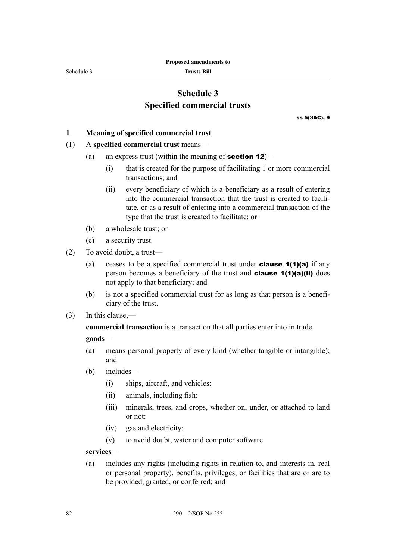Schedule 3

**Trusts Bill**

## **Schedule 3 Specified commercial trusts**

ss 5(3AC), 9

#### **1 Meaning of specified commercial trust**

#### (1) A **specified commercial trust** means—

- (a) an express trust (within the meaning of **section 12**)—
	- (i) that is created for the purpose of facilitating 1 or more commercial transactions; and
	- (ii) every beneficiary of which is a beneficiary as a result of entering into the commercial transaction that the trust is created to facilitate, or as a result of entering into a commercial transaction of the type that the trust is created to facilitate; or
- (b) a wholesale trust; or
- (c) a security trust.
- (2) To avoid doubt, a trust—
	- (a) ceases to be a specified commercial trust under **clause 1(1)(a)** if any person becomes a beneficiary of the trust and **clause 1(1)(a)(ii)** does not apply to that beneficiary; and
	- (b) is not a specified commercial trust for as long as that person is a beneficiary of the trust.
- (3) In this clause,—

**commercial transaction** is a transaction that all parties enter into in trade **goods**—

- (a) means personal property of every kind (whether tangible or intangible); and
- (b) includes—
	- (i) ships, aircraft, and vehicles:
	- (ii) animals, including fish:
	- (iii) minerals, trees, and crops, whether on, under, or attached to land or not:
	- (iv) gas and electricity:
	- (v) to avoid doubt, water and computer software

**services**—

(a) includes any rights (including rights in relation to, and interests in, real or personal property), benefits, privileges, or facilities that are or are to be provided, granted, or conferred; and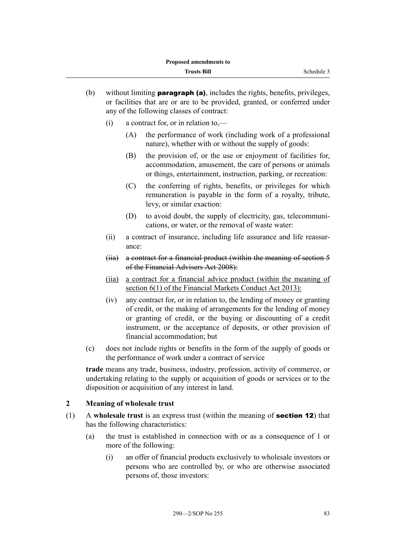- (b) without limiting **paragraph (a)**, includes the rights, benefits, privileges, or facilities that are or are to be provided, granted, or conferred under any of the following classes of contract:
	- (i) a contract for, or in relation to,—
		- (A) the performance of work (including work of a professional nature), whether with or without the supply of goods:
		- (B) the provision of, or the use or enjoyment of facilities for, accommodation, amusement, the care of persons or animals or things, entertainment, instruction, parking, or recreation:
		- (C) the conferring of rights, benefits, or privileges for which remuneration is payable in the form of a royalty, tribute, levy, or similar exaction:
		- (D) to avoid doubt, the supply of electricity, gas, telecommunications, or water, or the removal of waste water:
	- (ii) a contract of insurance, including life assurance and life reassurance:
	- (iia) a contract for a financial product (within the meaning of section 5 of the Financial Advisers Act 2008):
	- (iia) a contract for a financial advice product (within the meaning of section 6(1) of the Financial Markets Conduct Act 2013):
	- (iv) any contract for, or in relation to, the lending of money or granting of credit, or the making of arrangements for the lending of money or granting of credit, or the buying or discounting of a credit instrument, or the acceptance of deposits, or other provision of financial accommodation; but
- (c) does not include rights or benefits in the form of the supply of goods or the performance of work under a contract of service

**trade** means any trade, business, industry, profession, activity of commerce, or undertaking relating to the supply or acquisition of goods or services or to the disposition or acquisition of any interest in land.

### **2 Meaning of wholesale trust**

- (1) A **wholesale trust** is an express trust (within the meaning of section 12) that has the following characteristics:
	- (a) the trust is established in connection with or as a consequence of 1 or more of the following:
		- (i) an offer of financial products exclusively to wholesale investors or persons who are controlled by, or who are otherwise associated persons of, those investors: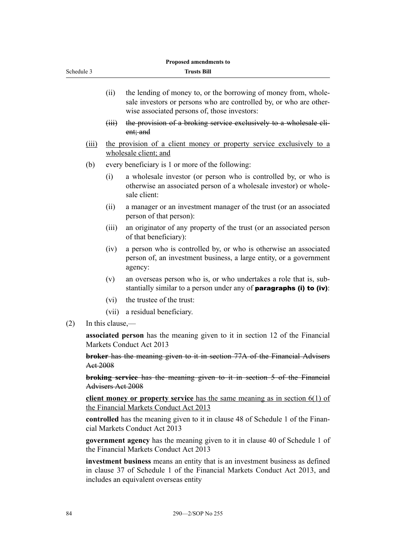| (i)      | the lending of money to, or the borrowing of money from, whole-<br>sale investors or persons who are controlled by, or who are other- |
|----------|---------------------------------------------------------------------------------------------------------------------------------------|
|          | wise associated persons of, those investors:                                                                                          |
| $f$ iii) | the provision of a broking service exclusively to a wholesale cli-                                                                    |

**Proposed amendments to Trusts Bill**

- ent; and
- (iii) the provision of a client money or property service exclusively to a wholesale client; and
- (b) every beneficiary is 1 or more of the following:
	- (i) a wholesale investor (or person who is controlled by, or who is otherwise an associated person of a wholesale investor) or wholesale client:
	- (ii) a manager or an investment manager of the trust (or an associated person of that person):
	- (iii) an originator of any property of the trust (or an associated person of that beneficiary):
	- (iv) a person who is controlled by, or who is otherwise an associated person of, an investment business, a large entity, or a government agency:
	- (v) an overseas person who is, or who undertakes a role that is, substantially similar to a person under any of **paragraphs (i) to (iv)**:
	- (vi) the trustee of the trust:
	- (vii) a residual beneficiary.
- (2) In this clause,—

Schedule 3

**associated person** has the meaning given to it in section 12 of the Financial Markets Conduct Act 2013

**broker** has the meaning given to it in section 77A of the Financial Advisers Act 2008

**broking service** has the meaning given to it in section 5 of the Financial Advisers Act 2008

**client money or property service** has the same meaning as in section 6(1) of the Financial Markets Conduct Act 2013

**controlled** has the meaning given to it in clause 48 of Schedule 1 of the Financial Markets Conduct Act 2013

**government agency** has the meaning given to it in clause 40 of Schedule 1 of the Financial Markets Conduct Act 2013

**investment business** means an entity that is an investment business as defined in clause 37 of Schedule 1 of the Financial Markets Conduct Act 2013, and includes an equivalent overseas entity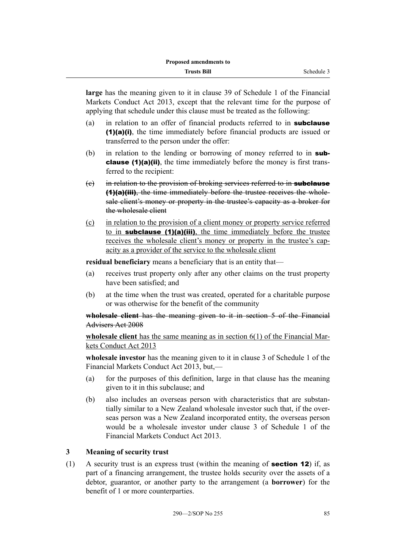**large** has the meaning given to it in clause 39 of Schedule 1 of the Financial Markets Conduct Act 2013, except that the relevant time for the purpose of applying that schedule under this clause must be treated as the following:

- (a) in relation to an offer of financial products referred to in **subclause** (1)(a)(i), the time immediately before financial products are issued or transferred to the person under the offer:
- (b) in relation to the lending or borrowing of money referred to in **sub**clause (1)(a)(ii), the time immediately before the money is first transferred to the recipient:
- (e) in relation to the provision of broking services referred to in **subclause** (1)(a)(iii), the time immediately before the trustee receives the wholesale client's money or property in the trustee's capacity as a broker for the wholesale client
- (c) in relation to the provision of a client money or property service referred to in **subclause (1)(a)(iii)**, the time immediately before the trustee receives the wholesale client's money or property in the trustee's capacity as a provider of the service to the wholesale client

**residual beneficiary** means a beneficiary that is an entity that—

- (a) receives trust property only after any other claims on the trust property have been satisfied; and
- (b) at the time when the trust was created, operated for a charitable purpose or was otherwise for the benefit of the community

### **wholesale client** has the meaning given to it in section 5 of the Financial Advisers Act 2008

**wholesale client** has the same meaning as in section 6(1) of the Financial Markets Conduct Act 2013

**wholesale investor** has the meaning given to it in clause 3 of Schedule 1 of the Financial Markets Conduct Act 2013, but,—

- (a) for the purposes of this definition, large in that clause has the meaning given to it in this subclause; and
- (b) also includes an overseas person with characteristics that are substantially similar to a New Zealand wholesale investor such that, if the overseas person was a New Zealand incorporated entity, the overseas person would be a wholesale investor under clause 3 of Schedule 1 of the Financial Markets Conduct Act 2013.

### **3 Meaning of security trust**

(1) A security trust is an express trust (within the meaning of section 12) if, as part of a financing arrangement, the trustee holds security over the assets of a debtor, guarantor, or another party to the arrangement (a **borrower**) for the benefit of 1 or more counterparties.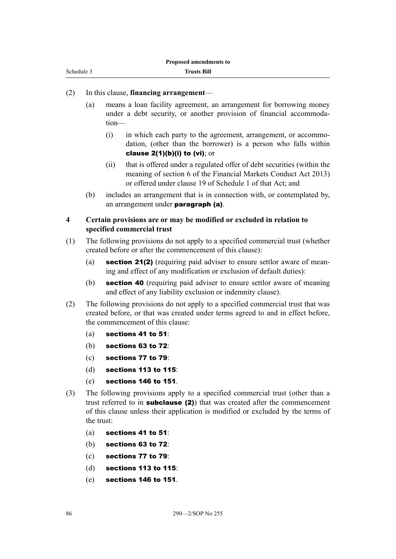| Schedule 3 |  |
|------------|--|
|            |  |

#### (2) In this clause, **financing arrangement**—

- (a) means a loan facility agreement, an arrangement for borrowing money under a debt security, or another provision of financial accommodation—
	- (i) in which each party to the agreement, arrangement, or accommodation, (other than the borrower) is a person who falls within clause  $2(1)(b)(i)$  to (vi); or
	- (ii) that is offered under a regulated offer of debt securities (within the meaning of section 6 of the Financial Markets Conduct Act 2013) or offered under clause 19 of Schedule 1 of that Act; and
- (b) includes an arrangement that is in connection with, or contemplated by, an arrangement under paragraph (a).

#### **4 Certain provisions are or may be modified or excluded in relation to specified commercial trust**

- (1) The following provisions do not apply to a specified commercial trust (whether created before or after the commencement of this clause):
	- (a) **section 21(2)** (requiring paid adviser to ensure settlor aware of meaning and effect of any modification or exclusion of default duties):
	- (b) section 40 (requiring paid adviser to ensure settlor aware of meaning and effect of any liability exclusion or indemnity clause).
- (2) The following provisions do not apply to a specified commercial trust that was created before, or that was created under terms agreed to and in effect before, the commencement of this clause:
	- (a) sections 41 to 51:
	- (b) sections 63 to 72:
	- (c) sections 77 to 79:
	- (d) sections 113 to 115:
	- (e) sections 146 to 151.
- (3) The following provisions apply to a specified commercial trust (other than a trust referred to in **subclause (2)**) that was created after the commencement of this clause unless their application is modified or excluded by the terms of the trust:
	- (a) sections 41 to 51:
	- (b) sections 63 to 72:
	- (c) sections 77 to 79:
	- (d) sections 113 to 115:
	- (e) sections 146 to 151.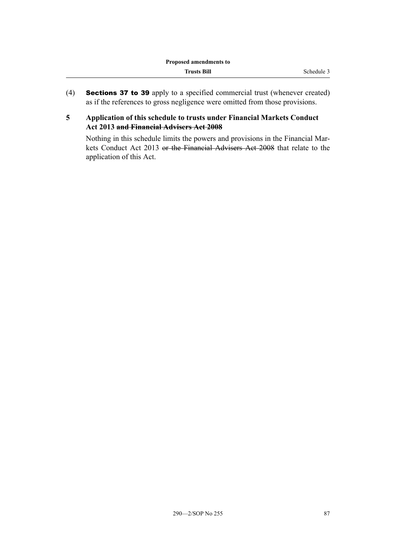(4) Sections 37 to 39 apply to a specified commercial trust (whenever created) as if the references to gross negligence were omitted from those provisions.

### **5 Application of this schedule to trusts under Financial Markets Conduct Act 2013 and Financial Advisers Act 2008**

Nothing in this schedule limits the powers and provisions in the Financial Markets Conduct Act 2013 or the Financial Advisers Act 2008 that relate to the application of this Act.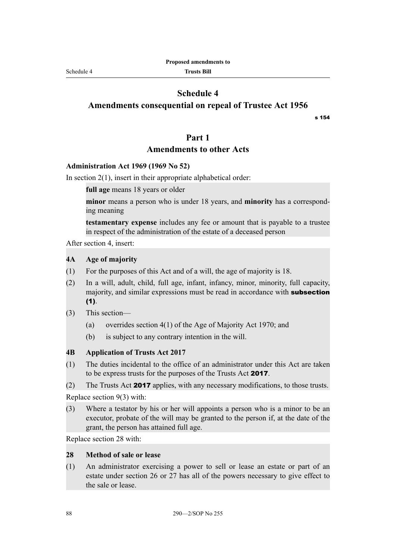Schedule 4

### **Schedule 4**

**Amendments consequential on repeal of Trustee Act 1956**

s 154

### **Part 1**

### **Amendments to other Acts**

#### **Administration Act 1969 (1969 No 52)**

In section  $2(1)$ , insert in their appropriate alphabetical order:

**full age** means 18 years or older

**minor** means a person who is under 18 years, and **minority** has a corresponding meaning

**testamentary expense** includes any fee or amount that is payable to a trustee in respect of the administration of the estate of a deceased person

After section 4, insert:

#### **4A Age of majority**

- (1) For the purposes of this Act and of a will, the age of majority is 18.
- (2) In a will, adult, child, full age, infant, infancy, minor, minority, full capacity, majority, and similar expressions must be read in accordance with **subsection** (1).
- (3) This section—
	- (a) overrides section 4(1) of the Age of Majority Act 1970; and
	- (b) is subject to any contrary intention in the will.

### **4B Application of Trusts Act 2017**

- (1) The duties incidental to the office of an administrator under this Act are taken to be express trusts for the purposes of the Trusts Act 2017.
- (2) The Trusts Act 2017 applies, with any necessary modifications, to those trusts.

Replace section 9(3) with:

(3) Where a testator by his or her will appoints a person who is a minor to be an executor, probate of the will may be granted to the person if, at the date of the grant, the person has attained full age.

Replace section 28 with:

#### **28 Method of sale or lease**

(1) An administrator exercising a power to sell or lease an estate or part of an estate under section 26 or 27 has all of the powers necessary to give effect to the sale or lease.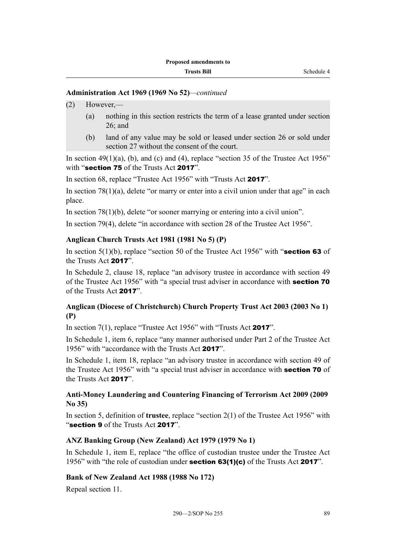#### **Administration Act 1969 (1969 No 52)***—continued*

- (2) However,—
	- (a) nothing in this section restricts the term of a lease granted under section 26; and
	- (b) land of any value may be sold or leased under section 26 or sold under section 27 without the consent of the court.

In section  $49(1)(a)$ , (b), and (c) and (4), replace "section 35 of the Trustee Act 1956" with "section 75 of the Trusts Act 2017".

In section 68, replace "Trustee Act 1956" with "Trusts Act 2017".

In section  $78(1)(a)$ , delete "or marry or enter into a civil union under that age" in each place.

In section 78(1)(b), delete "or sooner marrying or entering into a civil union".

In section 79(4), delete "in accordance with section 28 of the Trustee Act 1956".

#### **Anglican Church Trusts Act 1981 (1981 No 5) (P)**

In section  $5(1)(b)$ , replace "section 50 of the Trustee Act 1956" with "section 63 of the Trusts Act 2017".

In Schedule 2, clause 18, replace "an advisory trustee in accordance with section 49 of the Trustee Act 1956" with "a special trust adviser in accordance with section 70 of the Trusts Act 2017".

### **Anglican (Diocese of Christchurch) Church Property Trust Act 2003 (2003 No 1) (P)**

In section 7(1), replace "Trustee Act 1956" with "Trusts Act 2017".

In Schedule 1, item 6, replace "any manner authorised under Part 2 of the Trustee Act 1956" with "accordance with the Trusts Act 2017".

In Schedule 1, item 18, replace "an advisory trustee in accordance with section 49 of the Trustee Act 1956" with "a special trust adviser in accordance with **section 70** of the Trusts Act 2017".

### **Anti-Money Laundering and Countering Financing of Terrorism Act 2009 (2009 No 35)**

In section 5, definition of **trustee**, replace "section 2(1) of the Trustee Act 1956" with "section 9 of the Trusts Act 2017".

### **ANZ Banking Group (New Zealand) Act 1979 (1979 No 1)**

In Schedule 1, item E, replace "the office of custodian trustee under the Trustee Act 1956" with "the role of custodian under **section 63(1)(c)** of the Trusts Act **2017**".

#### **Bank of New Zealand Act 1988 (1988 No 172)**

Repeal section 11.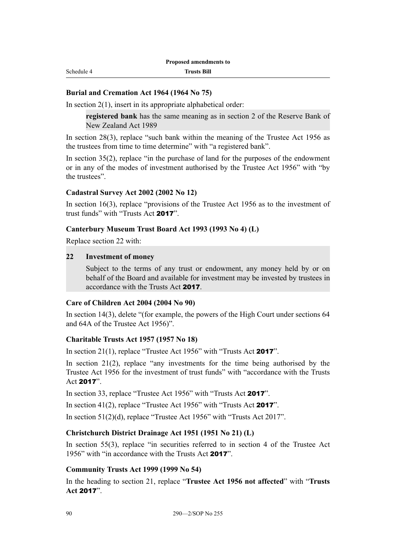#### **Burial and Cremation Act 1964 (1964 No 75)**

In section  $2(1)$ , insert in its appropriate alphabetical order:

**registered bank** has the same meaning as in section 2 of the Reserve Bank of New Zealand Act 1989

In section 28(3), replace "such bank within the meaning of the Trustee Act 1956 as the trustees from time to time determine" with "a registered bank".

In section 35(2), replace "in the purchase of land for the purposes of the endowment or in any of the modes of investment authorised by the Trustee Act 1956" with "by the trustees".

#### **Cadastral Survey Act 2002 (2002 No 12)**

In section 16(3), replace "provisions of the Trustee Act 1956 as to the investment of trust funds" with "Trusts Act 2017".

#### **Canterbury Museum Trust Board Act 1993 (1993 No 4) (L)**

Replace section 22 with:

#### **22 Investment of money**

Subject to the terms of any trust or endowment, any money held by or on behalf of the Board and available for investment may be invested by trustees in accordance with the Trusts Act 2017.

#### **Care of Children Act 2004 (2004 No 90)**

In section 14(3), delete "(for example, the powers of the High Court under sections 64 and 64A of the Trustee Act 1956)".

#### **Charitable Trusts Act 1957 (1957 No 18)**

In section 21(1), replace "Trustee Act 1956" with "Trusts Act 2017".

In section 21(2), replace "any investments for the time being authorised by the Trustee Act 1956 for the investment of trust funds" with "accordance with the Trusts Act 2017".

In section 33, replace "Trustee Act 1956" with "Trusts Act 2017".

In section 41(2), replace "Trustee Act 1956" with "Trusts Act 2017".

In section 51(2)(d), replace "Trustee Act 1956" with "Trusts Act 2017".

#### **Christchurch District Drainage Act 1951 (1951 No 21) (L)**

In section 55(3), replace "in securities referred to in section 4 of the Trustee Act 1956" with "in accordance with the Trusts Act 2017".

#### **Community Trusts Act 1999 (1999 No 54)**

In the heading to section 21, replace "**Trustee Act 1956 not affected**" with "**Trusts Act** 2017".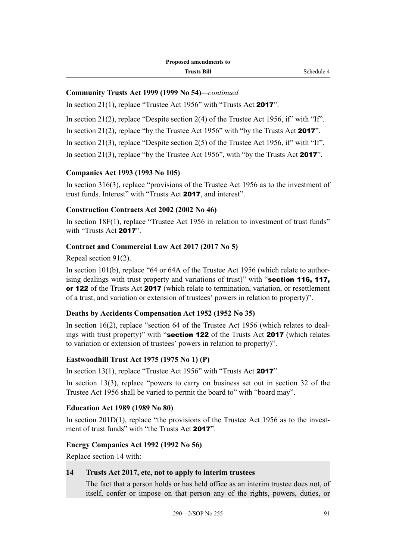#### **Community Trusts Act 1999 (1999 No 54)***—continued*

In section 21(1), replace "Trustee Act 1956" with "Trusts Act 2017".

In section 21(2), replace "Despite section 2(4) of the Trustee Act 1956, if" with "If".

In section 21(2), replace "by the Trustee Act 1956" with "by the Trusts Act **2017**".

In section 21(3), replace "Despite section 2(5) of the Trustee Act 1956, if" with "If".

In section 21(3), replace "by the Trustee Act 1956", with "by the Trusts Act **2017**".

### **Companies Act 1993 (1993 No 105)**

In section 316(3), replace "provisions of the Trustee Act 1956 as to the investment of trust funds. Interest" with "Trusts Act 2017, and interest".

### **Construction Contracts Act 2002 (2002 No 46)**

In section 18F(1), replace "Trustee Act 1956 in relation to investment of trust funds" with "Trusts Act 2017"

#### **Contract and Commercial Law Act 2017 (2017 No 5)**

Repeal section 91(2).

In section 101(b), replace "64 or 64A of the Trustee Act 1956 (which relate to authorising dealings with trust property and variations of trust)" with "section 116, 117, or 122 of the Trusts Act 2017 (which relate to termination, variation, or resettlement of a trust, and variation or extension of trustees' powers in relation to property)".

#### **Deaths by Accidents Compensation Act 1952 (1952 No 35)**

In section 16(2), replace "section 64 of the Trustee Act 1956 (which relates to dealings with trust property)" with "section 122 of the Trusts Act 2017 (which relates to variation or extension of trustees' powers in relation to property)".

#### **Eastwoodhill Trust Act 1975 (1975 No 1) (P)**

In section 13(1), replace "Trustee Act 1956" with "Trusts Act 2017".

In section 13(3), replace "powers to carry on business set out in section 32 of the Trustee Act 1956 shall be varied to permit the board to" with "board may".

#### **Education Act 1989 (1989 No 80)**

In section 201D(1), replace "the provisions of the Trustee Act 1956 as to the investment of trust funds" with "the Trusts Act 2017".

### **Energy Companies Act 1992 (1992 No 56)**

Replace section 14 with:

#### **14 Trusts Act 2017, etc, not to apply to interim trustees**

The fact that a person holds or has held office as an interim trustee does not, of itself, confer or impose on that person any of the rights, powers, duties, or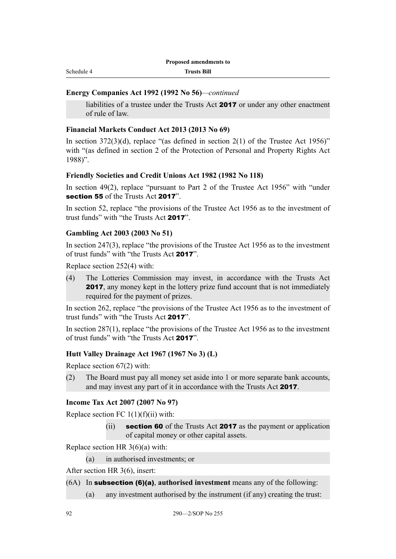Schedule 4

**Trusts Bill**

#### **Energy Companies Act 1992 (1992 No 56)***—continued*

liabilities of a trustee under the Trusts Act 2017 or under any other enactment of rule of law.

#### **Financial Markets Conduct Act 2013 (2013 No 69)**

In section  $372(3)(d)$ , replace "(as defined in section  $2(1)$  of the Trustee Act 1956)" with "(as defined in section 2 of the Protection of Personal and Property Rights Act 1988)".

#### **Friendly Societies and Credit Unions Act 1982 (1982 No 118)**

In section 49(2), replace "pursuant to Part 2 of the Trustee Act 1956" with "under section 55 of the Trusts Act 2017"

In section 52, replace "the provisions of the Trustee Act 1956 as to the investment of trust funds" with "the Trusts Act 2017".

#### **Gambling Act 2003 (2003 No 51)**

In section 247(3), replace "the provisions of the Trustee Act 1956 as to the investment of trust funds" with "the Trusts Act 2017".

Replace section 252(4) with:

(4) The Lotteries Commission may invest, in accordance with the Trusts Act 2017, any money kept in the lottery prize fund account that is not immediately required for the payment of prizes.

In section 262, replace "the provisions of the Trustee Act 1956 as to the investment of trust funds" with "the Trusts Act 2017".

In section 287(1), replace "the provisions of the Trustee Act 1956 as to the investment of trust funds" with "the Trusts Act 2017".

#### **Hutt Valley Drainage Act 1967 (1967 No 3) (L)**

Replace section 67(2) with:

(2) The Board must pay all money set aside into 1 or more separate bank accounts, and may invest any part of it in accordance with the Trusts Act 2017.

#### **Income Tax Act 2007 (2007 No 97)**

Replace section FC  $1(1)(f)(ii)$  with:

(ii) section 60 of the Trusts Act 2017 as the payment or application of capital money or other capital assets.

Replace section HR 3(6)(a) with:

(a) in authorised investments; or

After section HR 3(6), insert:

- (6A) In subsection (6)(a), **authorised investment** means any of the following:
	- (a) any investment authorised by the instrument (if any) creating the trust: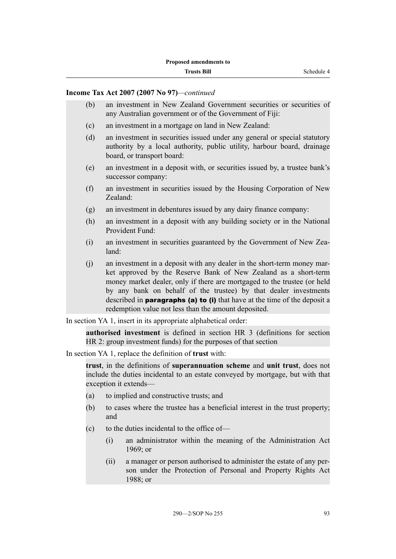#### **Income Tax Act 2007 (2007 No 97)***—continued*

- (b) an investment in New Zealand Government securities or securities of any Australian government or of the Government of Fiji:
- (c) an investment in a mortgage on land in New Zealand:
- (d) an investment in securities issued under any general or special statutory authority by a local authority, public utility, harbour board, drainage board, or transport board:
- (e) an investment in a deposit with, or securities issued by, a trustee bank's successor company:
- (f) an investment in securities issued by the Housing Corporation of New Zealand:
- (g) an investment in debentures issued by any dairy finance company:
- (h) an investment in a deposit with any building society or in the National Provident Fund:
- (i) an investment in securities guaranteed by the Government of New Zealand:
- (j) an investment in a deposit with any dealer in the short-term money market approved by the Reserve Bank of New Zealand as a short-term money market dealer, only if there are mortgaged to the trustee (or held by any bank on behalf of the trustee) by that dealer investments described in **paragraphs (a) to (i)** that have at the time of the deposit a redemption value not less than the amount deposited.

In section YA 1, insert in its appropriate alphabetical order:

**authorised investment** is defined in section HR 3 (definitions for section HR 2: group investment funds) for the purposes of that section

In section YA 1, replace the definition of **trust** with:

**trust**, in the definitions of **superannuation scheme** and **unit trust**, does not include the duties incidental to an estate conveyed by mortgage, but with that exception it extends—

- (a) to implied and constructive trusts; and
- (b) to cases where the trustee has a beneficial interest in the trust property; and
- $(c)$  to the duties incidental to the office of—
	- (i) an administrator within the meaning of the Administration Act 1969; or
	- (ii) a manager or person authorised to administer the estate of any person under the Protection of Personal and Property Rights Act  $1988$ ; or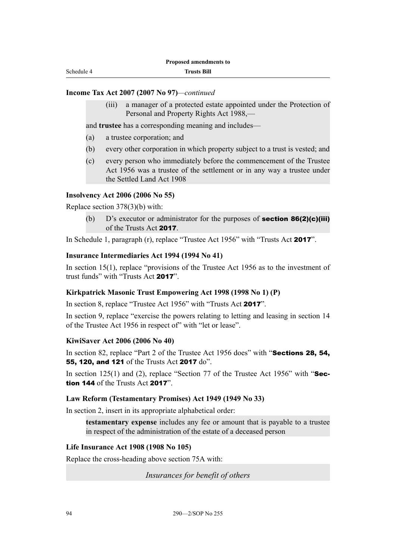#### **Income Tax Act 2007 (2007 No 97)***—continued*

(iii) a manager of a protected estate appointed under the Protection of Personal and Property Rights Act 1988,—

and **trustee** has a corresponding meaning and includes—

- (a) a trustee corporation; and
- (b) every other corporation in which property subject to a trust is vested; and
- (c) every person who immediately before the commencement of the Trustee Act 1956 was a trustee of the settlement or in any way a trustee under the Settled Land Act 1908

#### **Insolvency Act 2006 (2006 No 55)**

Replace section 378(3)(b) with:

(b)  $D$ 's executor or administrator for the purposes of **section 86(2)(c)(iii)** of the Trusts Act 2017.

In Schedule 1, paragraph (r), replace "Trustee Act 1956" with "Trusts Act 2017".

#### **Insurance Intermediaries Act 1994 (1994 No 41)**

In section 15(1), replace "provisions of the Trustee Act 1956 as to the investment of trust funds" with "Trusts Act 2017".

#### **Kirkpatrick Masonic Trust Empowering Act 1998 (1998 No 1) (P)**

In section 8, replace "Trustee Act 1956" with "Trusts Act 2017".

In section 9, replace "exercise the powers relating to letting and leasing in section 14 of the Trustee Act 1956 in respect of" with "let or lease".

#### **KiwiSaver Act 2006 (2006 No 40)**

In section 82, replace "Part 2 of the Trustee Act 1956 does" with "**Sections 28, 54,** 55, 120, and 121 of the Trusts Act 2017 do".

In section 125(1) and (2), replace "Section 77 of the Trustee Act 1956" with " $\text{Sec-}$ tion 144 of the Trusts Act 2017".

#### **Law Reform (Testamentary Promises) Act 1949 (1949 No 33)**

In section 2, insert in its appropriate alphabetical order:

**testamentary expense** includes any fee or amount that is payable to a trustee in respect of the administration of the estate of a deceased person

#### **Life Insurance Act 1908 (1908 No 105)**

Replace the cross-heading above section 75A with:

*Insurances for benefit of others*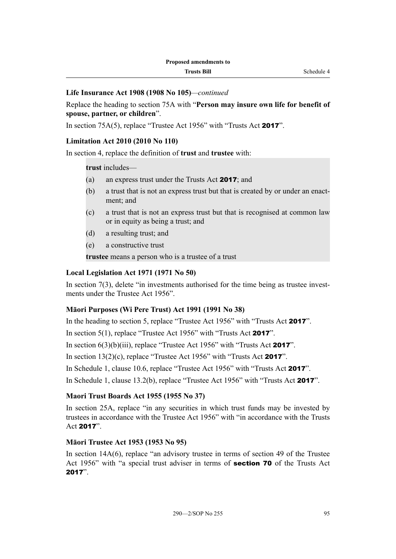### **Life Insurance Act 1908 (1908 No 105)***—continued*

Replace the heading to section 75A with "**Person may insure own life for benefit of spouse, partner, or children**".

In section 75A(5), replace "Trustee Act 1956" with "Trusts Act 2017".

### **Limitation Act 2010 (2010 No 110)**

In section 4, replace the definition of **trust** and **trustee** with:

### **trust** includes—

- (a) an express trust under the Trusts Act 2017; and
- (b) a trust that is not an express trust but that is created by or under an enactment; and
- (c) a trust that is not an express trust but that is recognised at common law or in equity as being a trust; and
- (d) a resulting trust; and
- (e) a constructive trust

**trustee** means a person who is a trustee of a trust

#### **Local Legislation Act 1971 (1971 No 50)**

In section 7(3), delete "in investments authorised for the time being as trustee investments under the Trustee Act 1956".

### **Māori Purposes (Wi Pere Trust) Act 1991 (1991 No 38)**

In the heading to section 5, replace "Trustee Act 1956" with "Trusts Act 2017".

In section 5(1), replace "Trustee Act 1956" with "Trusts Act 2017".

In section  $6(3)(b)(iii)$ , replace "Trustee Act 1956" with "Trusts Act 2017".

In section  $13(2)(c)$ , replace "Trustee Act 1956" with "Trusts Act **2017**".

In Schedule 1, clause 10.6, replace "Trustee Act 1956" with "Trusts Act 2017".

In Schedule 1, clause 13.2(b), replace "Trustee Act 1956" with "Trusts Act 2017".

### **Maori Trust Boards Act 1955 (1955 No 37)**

In section 25A, replace "in any securities in which trust funds may be invested by trustees in accordance with the Trustee Act 1956" with "in accordance with the Trusts Act 2017".

### **Māori Trustee Act 1953 (1953 No 95)**

In section 14A(6), replace "an advisory trustee in terms of section 49 of the Trustee Act 1956" with "a special trust adviser in terms of **section 70** of the Trusts Act 2017".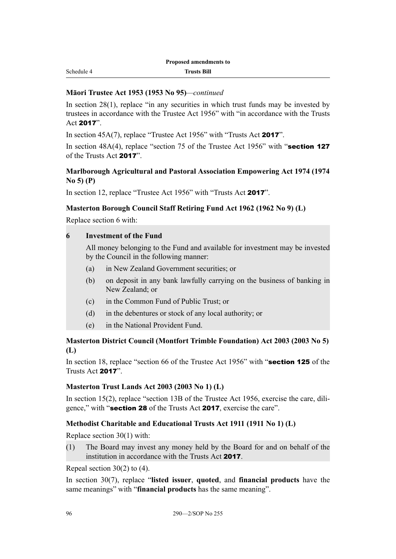#### **Māori Trustee Act 1953 (1953 No 95)***—continued*

In section 28(1), replace "in any securities in which trust funds may be invested by trustees in accordance with the Trustee Act 1956" with "in accordance with the Trusts Act 2017".

In section 45A(7), replace "Trustee Act 1956" with "Trusts Act 2017".

In section  $48A(4)$ , replace "section 75 of the Trustee Act 1956" with "section 127 of the Trusts Act 2017".

### **Marlborough Agricultural and Pastoral Association Empowering Act 1974 (1974 No 5) (P)**

In section 12, replace "Trustee Act 1956" with "Trusts Act 2017".

### **Masterton Borough Council Staff Retiring Fund Act 1962 (1962 No 9) (L)**

Replace section 6 with:

### **6 Investment of the Fund**

All money belonging to the Fund and available for investment may be invested by the Council in the following manner:

- (a) in New Zealand Government securities; or
- (b) on deposit in any bank lawfully carrying on the business of banking in New Zealand; or
- (c) in the Common Fund of Public Trust; or
- (d) in the debentures or stock of any local authority; or
- (e) in the National Provident Fund.

### **Masterton District Council (Montfort Trimble Foundation) Act 2003 (2003 No 5) (L)**

In section 18, replace "section 66 of the Trustee Act 1956" with "section 125 of the Trusts Act 2017".

### **Masterton Trust Lands Act 2003 (2003 No 1) (L)**

In section 15(2), replace "section 13B of the Trustee Act 1956, exercise the care, diligence," with "section 28 of the Trusts Act 2017, exercise the care".

### **Methodist Charitable and Educational Trusts Act 1911 (1911 No 1) (L)**

Replace section 30(1) with:

(1) The Board may invest any money held by the Board for and on behalf of the institution in accordance with the Trusts Act 2017.

Repeal section 30(2) to (4).

In section 30(7), replace "**listed issuer**, **quoted**, and **financial products** have the same meanings" with "**financial products** has the same meaning".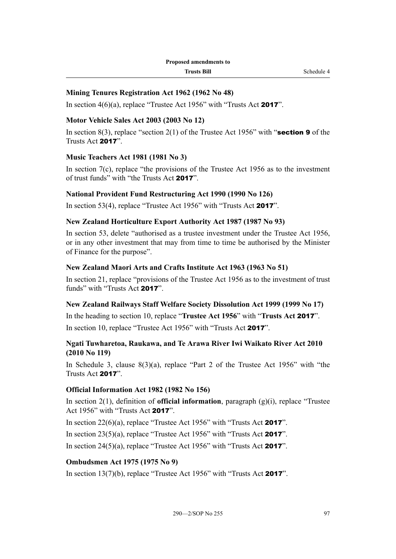### **Mining Tenures Registration Act 1962 (1962 No 48)**

In section  $4(6)(a)$ , replace "Trustee Act 1956" with "Trusts Act 2017".

#### **Motor Vehicle Sales Act 2003 (2003 No 12)**

In section 8(3), replace "section 2(1) of the Trustee Act 1956" with "**section 9** of the Trusts Act 2017".

### **Music Teachers Act 1981 (1981 No 3)**

In section  $7(c)$ , replace "the provisions of the Trustee Act 1956 as to the investment of trust funds" with "the Trusts Act 2017".

#### **National Provident Fund Restructuring Act 1990 (1990 No 126)**

In section 53(4), replace "Trustee Act 1956" with "Trusts Act 2017".

#### **New Zealand Horticulture Export Authority Act 1987 (1987 No 93)**

In section 53, delete "authorised as a trustee investment under the Trustee Act 1956, or in any other investment that may from time to time be authorised by the Minister of Finance for the purpose".

#### **New Zealand Maori Arts and Crafts Institute Act 1963 (1963 No 51)**

In section 21, replace "provisions of the Trustee Act 1956 as to the investment of trust funds" with "Trusts Act 2017".

#### **New Zealand Railways Staff Welfare Society Dissolution Act 1999 (1999 No 17)**

In the heading to section 10, replace "**Trustee Act 1956**" with "**Trusts Act** 2017". In section 10, replace "Trustee Act 1956" with "Trusts Act 2017".

### **Ngati Tuwharetoa, Raukawa, and Te Arawa River Iwi Waikato River Act 2010 (2010 No 119)**

In Schedule 3, clause 8(3)(a), replace "Part 2 of the Trustee Act 1956" with "the Trusts Act 2017".

#### **Official Information Act 1982 (1982 No 156)**

In section 2(1), definition of **official information**, paragraph (g)(i), replace "Trustee Act 1956" with "Trusts Act 2017".

In section  $22(6)(a)$ , replace "Trustee Act 1956" with "Trusts Act **2017**".

In section  $23(5)(a)$ , replace "Trustee Act 1956" with "Trusts Act **2017**".

In section  $24(5)(a)$ , replace "Trustee Act 1956" with "Trusts Act **2017**".

#### **Ombudsmen Act 1975 (1975 No 9)**

In section  $13(7)(b)$ , replace "Trustee Act 1956" with "Trusts Act 2017".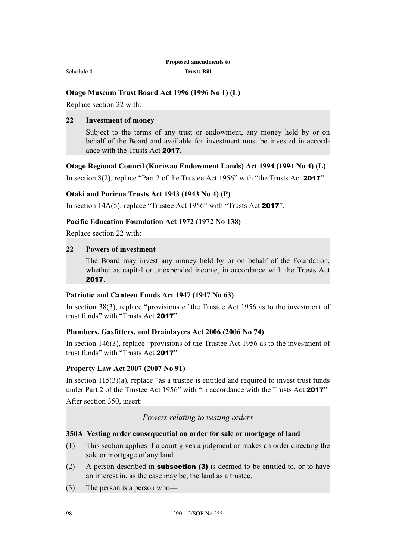#### **Otago Museum Trust Board Act 1996 (1996 No 1) (L)**

Replace section 22 with:

### **22 Investment of money**

Subject to the terms of any trust or endowment, any money held by or on behalf of the Board and available for investment must be invested in accordance with the Trusts Act 2017.

#### **Otago Regional Council (Kuriwao Endowment Lands) Act 1994 (1994 No 4) (L)**

In section 8(2), replace "Part 2 of the Trustee Act 1956" with "the Trusts Act 2017".

#### **Otaki and Porirua Trusts Act 1943 (1943 No 4) (P)**

In section 14A(5), replace "Trustee Act 1956" with "Trusts Act 2017".

#### **Pacific Education Foundation Act 1972 (1972 No 138)**

Replace section 22 with:

#### **22 Powers of investment**

The Board may invest any money held by or on behalf of the Foundation, whether as capital or unexpended income, in accordance with the Trusts Act 2017.

#### **Patriotic and Canteen Funds Act 1947 (1947 No 63)**

In section 38(3), replace "provisions of the Trustee Act 1956 as to the investment of trust funds" with "Trusts Act 2017".

#### **Plumbers, Gasfitters, and Drainlayers Act 2006 (2006 No 74)**

In section 146(3), replace "provisions of the Trustee Act 1956 as to the investment of trust funds" with "Trusts Act 2017".

#### **Property Law Act 2007 (2007 No 91)**

In section  $115(3)(a)$ , replace "as a trustee is entitled and required to invest trust funds under Part 2 of the Trustee Act 1956" with "in accordance with the Trusts Act 2017"

After section 350, insert:

### *Powers relating to vesting orders*

#### **350A Vesting order consequential on order for sale or mortgage of land**

- (1) This section applies if a court gives a judgment or makes an order directing the sale or mortgage of any land.
- (2) A person described in **subsection (3)** is deemed to be entitled to, or to have an interest in, as the case may be, the land as a trustee.
- (3) The person is a person who—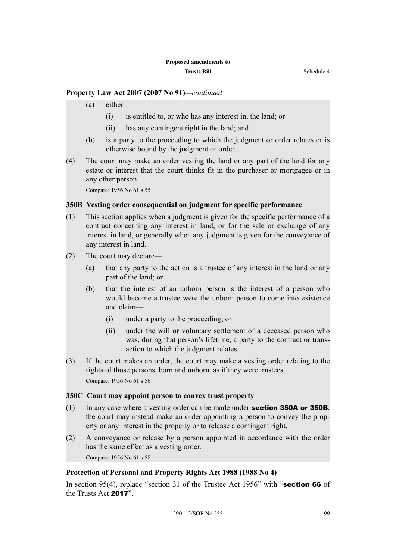### **Property Law Act 2007 (2007 No 91)***—continued*

- (a) either—
	- (i) is entitled to, or who has any interest in, the land; or
	- (ii) has any contingent right in the land; and
- (b) is a party to the proceeding to which the judgment or order relates or is otherwise bound by the judgment or order.
- (4) The court may make an order vesting the land or any part of the land for any estate or interest that the court thinks fit in the purchaser or mortgagee or in any other person.

Compare: 1956 No 61 s 55

#### **350B Vesting order consequential on judgment for specific performance**

- (1) This section applies when a judgment is given for the specific performance of a contract concerning any interest in land, or for the sale or exchange of any interest in land, or generally when any judgment is given for the conveyance of any interest in land.
- (2) The court may declare—
	- (a) that any party to the action is a trustee of any interest in the land or any part of the land; or
	- (b) that the interest of an unborn person is the interest of a person who would become a trustee were the unborn person to come into existence and claim—
		- (i) under a party to the proceeding; or
		- (ii) under the will or voluntary settlement of a deceased person who was, during that person's lifetime, a party to the contract or transaction to which the judgment relates.
- (3) If the court makes an order, the court may make a vesting order relating to the rights of those persons, born and unborn, as if they were trustees. Compare: 1956 No 61 s 56

#### **350C Court may appoint person to convey trust property**

- (1) In any case where a vesting order can be made under section 350A or 350B, the court may instead make an order appointing a person to convey the property or any interest in the property or to release a contingent right.
- (2) A conveyance or release by a person appointed in accordance with the order has the same effect as a vesting order. Compare: 1956 No 61 s 58

**Protection of Personal and Property Rights Act 1988 (1988 No 4)**

In section 95(4), replace "section 31 of the Trustee Act 1956" with "**section 66** of the Trusts Act 2017".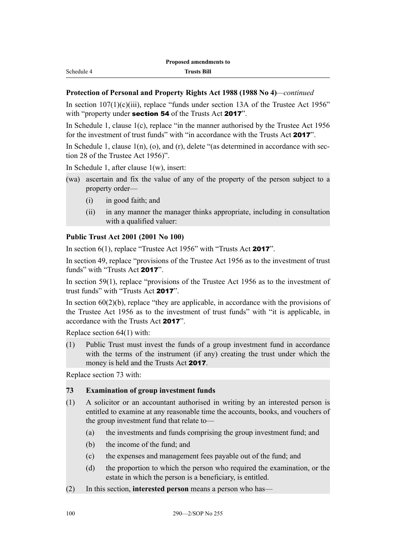In section  $107(1)(c)(iii)$ , replace "funds under section 13A of the Trustee Act 1956" with "property under **section 54** of the Trusts Act **2017**".

In Schedule 1, clause 1(c), replace "in the manner authorised by the Trustee Act 1956 for the investment of trust funds" with "in accordance with the Trusts Act 2017".

In Schedule 1, clause  $1(n)$ ,  $(o)$ , and  $(r)$ , delete "(as determined in accordance with section 28 of the Trustee Act 1956)".

In Schedule 1, after clause 1(w), insert:

Schedule 4

- (wa) ascertain and fix the value of any of the property of the person subject to a property order—
	- (i) in good faith; and
	- (ii) in any manner the manager thinks appropriate, including in consultation with a qualified valuer:

### **Public Trust Act 2001 (2001 No 100)**

In section 6(1), replace "Trustee Act 1956" with "Trusts Act 2017".

In section 49, replace "provisions of the Trustee Act 1956 as to the investment of trust funds" with "Trusts Act 2017".

In section 59(1), replace "provisions of the Trustee Act 1956 as to the investment of trust funds" with "Trusts Act 2017".

In section  $60(2)(b)$ , replace "they are applicable, in accordance with the provisions of the Trustee Act 1956 as to the investment of trust funds" with "it is applicable, in accordance with the Trusts Act 2017".

Replace section 64(1) with:

(1) Public Trust must invest the funds of a group investment fund in accordance with the terms of the instrument (if any) creating the trust under which the money is held and the Trusts Act 2017.

Replace section 73 with:

### **73 Examination of group investment funds**

- (1) A solicitor or an accountant authorised in writing by an interested person is entitled to examine at any reasonable time the accounts, books, and vouchers of the group investment fund that relate to—
	- (a) the investments and funds comprising the group investment fund; and
	- (b) the income of the fund; and
	- (c) the expenses and management fees payable out of the fund; and
	- (d) the proportion to which the person who required the examination, or the estate in which the person is a beneficiary, is entitled.
- (2) In this section, **interested person** means a person who has—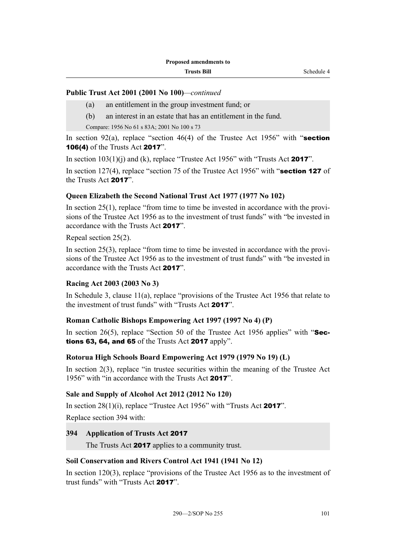### **Public Trust Act 2001 (2001 No 100)***—continued*

- (a) an entitlement in the group investment fund; or
- (b) an interest in an estate that has an entitlement in the fund.

Compare: 1956 No 61 s 83A; 2001 No 100 s 73

In section 92(a), replace "section 46(4) of the Trustee Act 1956" with "section 106(4) of the Trusts Act 2017".

In section  $103(1)(i)$  and (k), replace "Trustee Act 1956" with "Trusts Act 2017".

In section 127(4), replace "section 75 of the Trustee Act 1956" with "**section 127** of the Trusts Act 2017".

### **Queen Elizabeth the Second National Trust Act 1977 (1977 No 102)**

In section  $25(1)$ , replace "from time to time be invested in accordance with the provisions of the Trustee Act 1956 as to the investment of trust funds" with "be invested in accordance with the Trusts Act 2017".

Repeal section 25(2).

In section 25(3), replace "from time to time be invested in accordance with the provisions of the Trustee Act 1956 as to the investment of trust funds" with "be invested in accordance with the Trusts Act 2017".

### **Racing Act 2003 (2003 No 3)**

In Schedule 3, clause  $11(a)$ , replace "provisions of the Trustee Act 1956 that relate to the investment of trust funds" with "Trusts Act 2017".

### **Roman Catholic Bishops Empowering Act 1997 (1997 No 4) (P)**

In section 26(5), replace "Section 50 of the Trustee Act 1956 applies" with " $\text{Sec-}$ tions 63, 64, and 65 of the Trusts Act 2017 apply".

### **Rotorua High Schools Board Empowering Act 1979 (1979 No 19) (L)**

In section 2(3), replace "in trustee securities within the meaning of the Trustee Act 1956" with "in accordance with the Trusts Act 2017".

### **Sale and Supply of Alcohol Act 2012 (2012 No 120)**

In section  $28(1)(i)$ , replace "Trustee Act 1956" with "Trusts Act **2017**". Replace section 394 with:

# **394 Application of Trusts Act** 2017

The Trusts Act **2017** applies to a community trust.

### **Soil Conservation and Rivers Control Act 1941 (1941 No 12)**

In section 120(3), replace "provisions of the Trustee Act 1956 as to the investment of trust funds" with "Trusts Act 2017".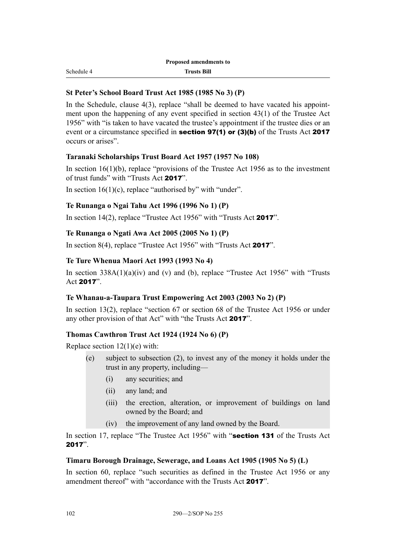Schedule 4

#### **St Peter's School Board Trust Act 1985 (1985 No 3) (P)**

In the Schedule, clause 4(3), replace "shall be deemed to have vacated his appointment upon the happening of any event specified in section 43(1) of the Trustee Act 1956" with "is taken to have vacated the trustee's appointment if the trustee dies or an event or a circumstance specified in **section 97(1) or (3)(b)** of the Trusts Act 2017 occurs or arises".

#### **Taranaki Scholarships Trust Board Act 1957 (1957 No 108)**

In section  $16(1)(b)$ , replace "provisions of the Trustee Act 1956 as to the investment of trust funds" with "Trusts Act 2017".

In section  $16(1)(c)$ , replace "authorised by" with "under".

### **Te Runanga o Ngai Tahu Act 1996 (1996 No 1) (P)**

In section 14(2), replace "Trustee Act 1956" with "Trusts Act 2017".

#### **Te Runanga o Ngati Awa Act 2005 (2005 No 1) (P)**

In section 8(4), replace "Trustee Act 1956" with "Trusts Act 2017".

#### **Te Ture Whenua Maori Act 1993 (1993 No 4)**

In section  $338A(1)(a)(iv)$  and (v) and (b), replace "Trustee Act 1956" with "Trusts" Act 2017".

#### **Te Whanau-a-Taupara Trust Empowering Act 2003 (2003 No 2) (P)**

In section 13(2), replace "section 67 or section 68 of the Trustee Act 1956 or under any other provision of that Act" with "the Trusts Act 2017".

#### **Thomas Cawthron Trust Act 1924 (1924 No 6) (P)**

Replace section  $12(1)(e)$  with:

- (e) subject to subsection (2), to invest any of the money it holds under the trust in any property, including—
	- (i) any securities; and
	- (ii) any land; and
	- (iii) the erection, alteration, or improvement of buildings on land owned by the Board; and
	- (iv) the improvement of any land owned by the Board.

In section 17, replace "The Trustee Act 1956" with "section 131 of the Trusts Act 2017".

#### **Timaru Borough Drainage, Sewerage, and Loans Act 1905 (1905 No 5) (L)**

In section 60, replace "such securities as defined in the Trustee Act 1956 or any amendment thereof" with "accordance with the Trusts Act 2017".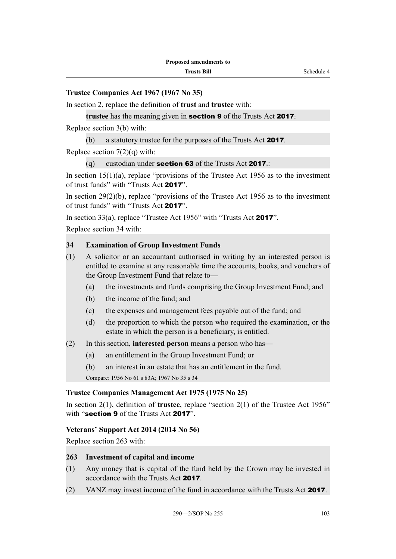In section 2, replace the definition of **trust** and **trustee** with:

**trustee** has the meaning given in section 9 of the Trusts Act 2017.

Replace section 3(b) with:

(b) a statutory trustee for the purposes of the Trusts Act 2017.

Replace section  $7(2)(q)$  with:

(q) custodian under **section 63** of the Trusts Act **2017**.

In section  $15(1)(a)$ , replace "provisions of the Trustee Act 1956 as to the investment of trust funds" with "Trusts Act 2017".

In section  $29(2)(b)$ , replace "provisions of the Trustee Act 1956 as to the investment of trust funds" with "Trusts Act 2017".

In section 33(a), replace "Trustee Act 1956" with "Trusts Act 2017".

Replace section 34 with:

#### **34 Examination of Group Investment Funds**

- (1) A solicitor or an accountant authorised in writing by an interested person is entitled to examine at any reasonable time the accounts, books, and vouchers of the Group Investment Fund that relate to—
	- (a) the investments and funds comprising the Group Investment Fund; and
	- (b) the income of the fund; and
	- (c) the expenses and management fees payable out of the fund; and
	- (d) the proportion to which the person who required the examination, or the estate in which the person is a beneficiary, is entitled.
- (2) In this section, **interested person** means a person who has—
	- (a) an entitlement in the Group Investment Fund; or
	- (b) an interest in an estate that has an entitlement in the fund.

Compare: 1956 No 61 s 83A; 1967 No 35 s 34

#### **Trustee Companies Management Act 1975 (1975 No 25)**

In section 2(1), definition of **trustee**, replace "section 2(1) of the Trustee Act 1956" with "section 9 of the Trusts Act 2017".

#### **Veterans' Support Act 2014 (2014 No 56)**

Replace section 263 with:

#### **263 Investment of capital and income**

- (1) Any money that is capital of the fund held by the Crown may be invested in accordance with the Trusts Act 2017.
- (2) VANZ may invest income of the fund in accordance with the Trusts Act 2017.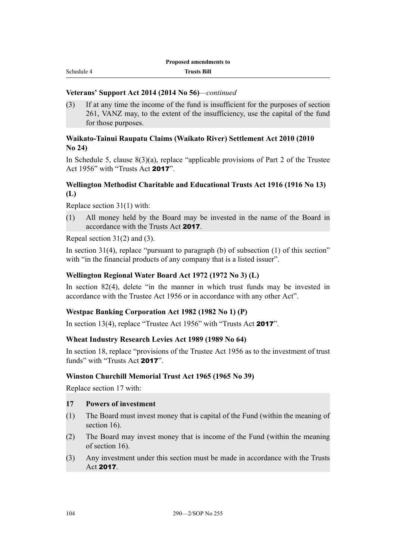#### **Veterans' Support Act 2014 (2014 No 56)***—continued*

(3) If at any time the income of the fund is insufficient for the purposes of section 261, VANZ may, to the extent of the insufficiency, use the capital of the fund for those purposes.

#### **Waikato-Tainui Raupatu Claims (Waikato River) Settlement Act 2010 (2010 No 24)**

In Schedule 5, clause  $8(3)(a)$ , replace "applicable provisions of Part 2 of the Trustee Act 1956" with "Trusts Act 2017".

### **Wellington Methodist Charitable and Educational Trusts Act 1916 (1916 No 13) (L)**

Replace section 31(1) with:

(1) All money held by the Board may be invested in the name of the Board in accordance with the Trusts Act 2017.

Repeal section 31(2) and (3).

In section  $31(4)$ , replace "pursuant to paragraph (b) of subsection (1) of this section" with "in the financial products of any company that is a listed issuer".

#### **Wellington Regional Water Board Act 1972 (1972 No 3) (L)**

In section 82(4), delete "in the manner in which trust funds may be invested in accordance with the Trustee Act 1956 or in accordance with any other Act".

#### **Westpac Banking Corporation Act 1982 (1982 No 1) (P)**

In section 13(4), replace "Trustee Act 1956" with "Trusts Act 2017".

#### **Wheat Industry Research Levies Act 1989 (1989 No 64)**

In section 18, replace "provisions of the Trustee Act 1956 as to the investment of trust funds" with "Trusts Act 2017".

#### **Winston Churchill Memorial Trust Act 1965 (1965 No 39)**

Replace section 17 with:

#### **17 Powers of investment**

- (1) The Board must invest money that is capital of the Fund (within the meaning of section 16).
- (2) The Board may invest money that is income of the Fund (within the meaning of section 16).
- (3) Any investment under this section must be made in accordance with the Trusts Act 2017.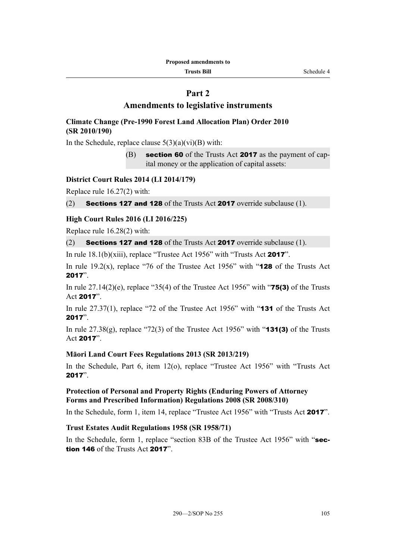#### **Trusts Bill** Schedule 4

# **Part 2**

# **Amendments to legislative instruments**

# **Climate Change (Pre-1990 Forest Land Allocation Plan) Order 2010 (SR 2010/190)**

In the Schedule, replace clause  $5(3)(a)(vi)(B)$  with:

(B) section 60 of the Trusts Act 2017 as the payment of capital money or the application of capital assets:

#### **District Court Rules 2014 (LI 2014/179)**

Replace rule 16.27(2) with:

(2) **Sections 127 and 128** of the Trusts Act **2017** override subclause (1).

# **High Court Rules 2016 (LI 2016/225)**

Replace rule 16.28(2) with:

(2) Sections 127 and 128 of the Trusts Act 2017 override subclause (1).

In rule 18.1(b)(xiii), replace "Trustee Act 1956" with "Trusts Act 2017".

In rule 19.2(x), replace "76 of the Trustee Act 1956" with "**128** of the Trusts Act 2017".

In rule  $27.14(2)(e)$ , replace "35(4) of the Trustee Act 1956" with "**75(3)** of the Trusts Act 2017".

In rule 27.37(1), replace "72 of the Trustee Act 1956" with "**131** of the Trusts Act 2017".

In rule  $27.38(g)$ , replace "72(3) of the Trustee Act 1956" with "**131(3)** of the Trusts Act 2017".

# **Māori Land Court Fees Regulations 2013 (SR 2013/219)**

In the Schedule, Part 6, item 12(o), replace "Trustee Act 1956" with "Trusts Act 2017".

# **Protection of Personal and Property Rights (Enduring Powers of Attorney Forms and Prescribed Information) Regulations 2008 (SR 2008/310)**

In the Schedule, form 1, item 14, replace "Trustee Act 1956" with "Trusts Act 2017".

# **Trust Estates Audit Regulations 1958 (SR 1958/71)**

In the Schedule, form 1, replace "section 83B of the Trustee Act 1956" with "section 146 of the Trusts Act 2017".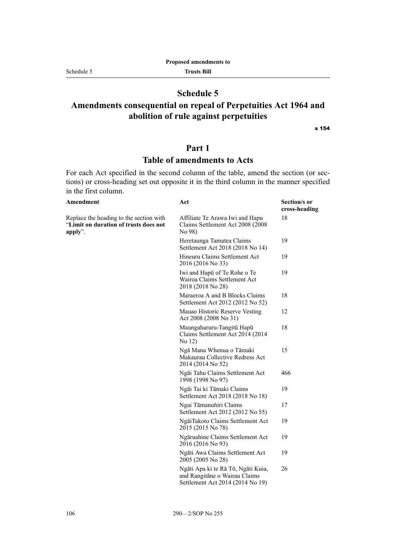#### Schedule 5

# **Schedule 5**

# **Amendments consequential on repeal of Perpetuities Act 1964 and abolition of rule against perpetuities**

s 154

# **Part 1**

# **Table of amendments to Acts**

For each Act specified in the second column of the table, amend the section (or sections) or cross-heading set out opposite it in the third column in the manner specified in the first column.

| Amendment                                                                                   | Act                                                                                                     | Section/s or<br>cross-heading |
|---------------------------------------------------------------------------------------------|---------------------------------------------------------------------------------------------------------|-------------------------------|
| Replace the heading to the section with<br>"Limit on duration of trusts does not<br>apply". | Affiliate Te Arawa Iwi and Hapu<br>Claims Settlement Act 2008 (2008)<br>No 98)                          | 18                            |
|                                                                                             | Heretaunga Tamatea Claims<br>Settlement Act 2018 (2018 No 14)                                           | 19                            |
|                                                                                             | Hineuru Claims Settlement Act<br>2016 (2016 No 33)                                                      | 19                            |
|                                                                                             | Iwi and Hapū of Te Rohe o Te<br>Wairoa Claims Settlement Act<br>2018 (2018 No 28)                       | 19                            |
|                                                                                             | Maraeroa A and B Blocks Claims<br>Settlement Act 2012 (2012 No 52)                                      | 18                            |
|                                                                                             | Mauao Historic Reserve Vesting<br>Act 2008 (2008 No 31)                                                 | 12                            |
|                                                                                             | Maungaharuru-Tangitū Hapū<br>Claims Settlement Act 2014 (2014)<br>No 12)                                | 18                            |
|                                                                                             | Ngā Mana Whenua o Tāmaki<br>Makaurau Collective Redress Act<br>2014 (2014 No 52)                        | 15                            |
|                                                                                             | Ngāi Tahu Claims Settlement Act<br>1998 (1998 No 97)                                                    | 466                           |
|                                                                                             | Ngāi Tai ki Tāmaki Claims<br>Settlement Act 2018 (2018 No 18)                                           | 19                            |
|                                                                                             | Ngai Tāmanuhiri Claims<br>Settlement Act 2012 (2012 No 55)                                              | 17                            |
|                                                                                             | NgāiTakoto Claims Settlement Act<br>2015 (2015 No 78)                                                   | 19                            |
|                                                                                             | Ngāruahine Claims Settlement Act<br>2016 (2016 No 93)                                                   | 19                            |
|                                                                                             | Ngāti Awa Claims Settlement Act<br>2005 (2005 No 28)                                                    | 19                            |
|                                                                                             | Ngāti Apa ki te Rā Tō, Ngāti Kuia,<br>and Rangitāne o Wairau Claims<br>Settlement Act 2014 (2014 No 19) | 26                            |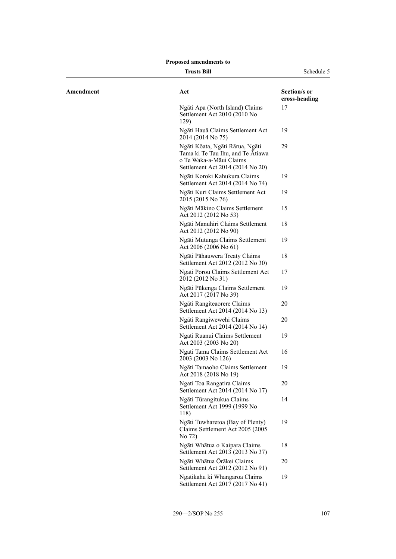#### **Trusts Bill** Schedule 5

| Amendment | Act                                                                                                                                 | Section/s or<br>cross-heading |
|-----------|-------------------------------------------------------------------------------------------------------------------------------------|-------------------------------|
|           | Ngāti Apa (North Island) Claims<br>Settlement Act 2010 (2010 No<br>129)                                                             | 17                            |
|           | Ngāti Hauā Claims Settlement Act<br>2014 (2014 No 75)                                                                               | 19                            |
|           | Ngāti Kōata, Ngāti Rārua, Ngāti<br>Tama ki Te Tau Ihu, and Te Atiawa<br>o Te Waka-a-Māui Claims<br>Settlement Act 2014 (2014 No 20) | 29                            |
|           | Ngāti Koroki Kahukura Claims<br>Settlement Act 2014 (2014 No 74)                                                                    | 19                            |
|           | Ngāti Kuri Claims Settlement Act<br>2015 (2015 No 76)                                                                               | 19                            |
|           | Ngāti Mākino Claims Settlement<br>Act 2012 (2012 No 53)                                                                             | 15                            |
|           | Ngāti Manuhiri Claims Settlement<br>Act 2012 (2012 No 90)                                                                           | 18                            |
|           | Ngāti Mutunga Claims Settlement<br>Act 2006 (2006 No 61)                                                                            | 19                            |
|           | Ngāti Pāhauwera Treaty Claims<br>Settlement Act 2012 (2012 No 30)                                                                   | 18                            |
|           | Ngati Porou Claims Settlement Act<br>2012 (2012 No 31)                                                                              | 17                            |
|           | Ngāti Pūkenga Claims Settlement<br>Act 2017 (2017 No 39)                                                                            | 19                            |
|           | Ngāti Rangiteaorere Claims<br>Settlement Act 2014 (2014 No 13)                                                                      | 20                            |
|           | Ngāti Rangiwewehi Claims<br>Settlement Act 2014 (2014 No 14)                                                                        | 20                            |
|           | Ngati Ruanui Claims Settlement<br>Act 2003 (2003 No 20)                                                                             | 19                            |
|           | Ngati Tama Claims Settlement Act<br>2003 (2003 No 126)                                                                              | 16                            |
|           | Ngāti Tamaoho Claims Settlement<br>Act 2018 (2018 No 19)                                                                            | 19                            |
|           | Ngati Toa Rangatira Claims<br>Settlement Act 2014 (2014 No 17)                                                                      | 20                            |
|           | Ngāti Tūrangitukua Claims<br>Settlement Act 1999 (1999 No<br>118)                                                                   | 14                            |
|           | Ngāti Tuwharetoa (Bay of Plenty)<br>Claims Settlement Act 2005 (2005)<br>No 72)                                                     | 19                            |
|           | Ngāti Whātua o Kaipara Claims<br>Settlement Act 2013 (2013 No 37)                                                                   | 18                            |
|           | Ngāti Whātua Ōrākei Claims<br>Settlement Act 2012 (2012 No 91)                                                                      | 20                            |
|           | Ngatikahu ki Whangaroa Claims<br>Settlement Act 2017 (2017 No 41)                                                                   | 19                            |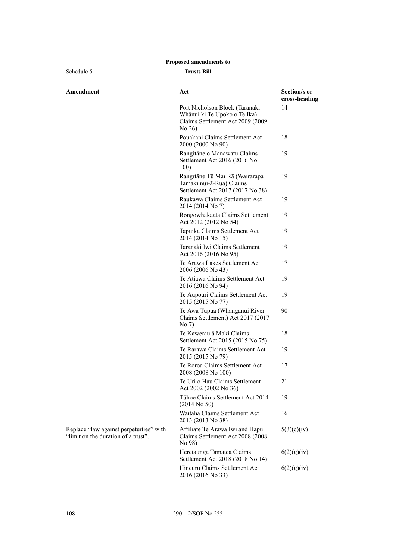| Schedule 5                                                                     | <b>Trusts Bill</b>                                                                                             |                               |
|--------------------------------------------------------------------------------|----------------------------------------------------------------------------------------------------------------|-------------------------------|
| Amendment                                                                      | Act                                                                                                            | Section/s or<br>cross-heading |
|                                                                                | Port Nicholson Block (Taranaki<br>Whānui ki Te Upoko o Te Ika)<br>Claims Settlement Act 2009 (2009<br>No $26)$ | 14                            |
|                                                                                | Pouakani Claims Settlement Act<br>2000 (2000 No 90)                                                            | 18                            |
|                                                                                | Rangitāne o Manawatu Claims<br>Settlement Act 2016 (2016 No<br>100)                                            | 19                            |
|                                                                                | Rangitāne Tū Mai Rā (Wairarapa<br>Tamaki nui-ā-Rua) Claims<br>Settlement Act 2017 (2017 No 38)                 | 19                            |
|                                                                                | Raukawa Claims Settlement Act<br>2014 (2014 No 7)                                                              | 19                            |
|                                                                                | Rongowhakaata Claims Settlement<br>Act 2012 (2012 No 54)                                                       | 19                            |
|                                                                                | Tapuika Claims Settlement Act<br>2014 (2014 No 15)                                                             | 19                            |
|                                                                                | Taranaki Iwi Claims Settlement<br>Act 2016 (2016 No 95)                                                        | 19                            |
|                                                                                | Te Arawa Lakes Settlement Act<br>2006 (2006 No 43)                                                             | 17                            |
|                                                                                | Te Atiawa Claims Settlement Act<br>2016 (2016 No 94)                                                           | 19                            |
|                                                                                | Te Aupouri Claims Settlement Act<br>2015 (2015 No 77)                                                          | 19                            |
|                                                                                | Te Awa Tupua (Whanganui River<br>Claims Settlement) Act 2017 (2017<br>No 7)                                    | 90                            |
|                                                                                | Te Kawerau ā Maki Claims<br>Settlement Act 2015 (2015 No 75)                                                   | 18                            |
|                                                                                | Te Rarawa Claims Settlement Act<br>2015 (2015 No 79)                                                           | 19                            |
|                                                                                | Te Roroa Claims Settlement Act<br>2008 (2008 No 100)                                                           | 17                            |
|                                                                                | Te Uri o Hau Claims Settlement<br>Act 2002 (2002 No 36)                                                        | 21                            |
|                                                                                | Tühoe Claims Settlement Act 2014<br>$(2014$ No 50)                                                             | 19                            |
|                                                                                | Waitaha Claims Settlement Act<br>2013 (2013 No 38)                                                             | 16                            |
| Replace "law against perpetuities" with<br>"limit on the duration of a trust". | Affiliate Te Arawa Iwi and Hapu<br>Claims Settlement Act 2008 (2008<br>No 98)                                  | 5(3)(c)(iv)                   |
|                                                                                | Heretaunga Tamatea Claims<br>Settlement Act 2018 (2018 No 14)                                                  | 6(2)(g)(iv)                   |
|                                                                                | Hineuru Claims Settlement Act<br>2016 (2016 No 33)                                                             | 6(2)(g)(iv)                   |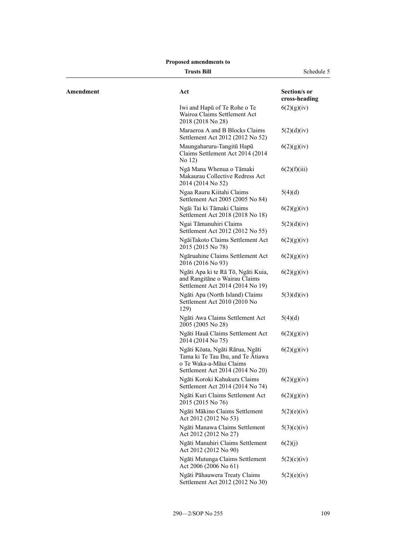**Trusts Bill** Schedule 5

| Amendment | Act                                                                                                                                 | Section/s or<br>cross-heading |
|-----------|-------------------------------------------------------------------------------------------------------------------------------------|-------------------------------|
|           | Iwi and Hapu of Te Rohe o Te<br>Wairoa Claims Settlement Act<br>2018 (2018 No 28)                                                   | 6(2)(g)(iv)                   |
|           | Maraeroa A and B Blocks Claims<br>Settlement Act 2012 (2012 No 52)                                                                  | 5(2)(d)(iv)                   |
|           | Maungaharuru-Tangitū Hapū<br>Claims Settlement Act 2014 (2014)<br>No 12)                                                            | 6(2)(g)(iv)                   |
|           | Ngā Mana Whenua o Tāmaki<br>Makaurau Collective Redress Act<br>2014 (2014 No 52)                                                    | 6(2)(f)(iii)                  |
|           | Ngaa Rauru Kiitahi Claims<br>Settlement Act 2005 (2005 No 84)                                                                       | 5(4)(d)                       |
|           | Ngāi Tai ki Tāmaki Claims<br>Settlement Act 2018 (2018 No 18)                                                                       | 6(2)(g)(iv)                   |
|           | Ngai Tāmanuhiri Claims<br>Settlement Act 2012 (2012 No 55)                                                                          | 5(2)(d)(iv)                   |
|           | NgāiTakoto Claims Settlement Act<br>2015 (2015 No 78)                                                                               | 6(2)(g)(iv)                   |
|           | Ngāruahine Claims Settlement Act<br>2016 (2016 No 93)                                                                               | 6(2)(g)(iv)                   |
|           | Ngāti Apa ki te Rā Tō, Ngāti Kuia,<br>and Rangitāne o Wairau Claims<br>Settlement Act 2014 (2014 No 19)                             | 6(2)(g)(iv)                   |
|           | Ngāti Apa (North Island) Claims<br>Settlement Act 2010 (2010 No<br>129)                                                             | 5(3)(d)(iv)                   |
|           | Ngāti Awa Claims Settlement Act<br>2005 (2005 No 28)                                                                                | 5(4)(d)                       |
|           | Ngāti Hauā Claims Settlement Act<br>2014 (2014 No 75)                                                                               | 6(2)(g)(iv)                   |
|           | Ngāti Kōata, Ngāti Rārua, Ngāti<br>Tama ki Te Tau Ihu, and Te Atiawa<br>o Te Waka-a-Māui Claims<br>Settlement Act 2014 (2014 No 20) | 6(2)(g)(iv)                   |
|           | Ngāti Koroki Kahukura Claims<br>Settlement Act 2014 (2014 No 74)                                                                    | 6(2)(g)(iv)                   |
|           | Ngāti Kuri Claims Settlement Act<br>2015 (2015 No 76)                                                                               | 6(2)(g)(iv)                   |
|           | Ngāti Mākino Claims Settlement<br>Act 2012 (2012 No 53)                                                                             | 5(2)(e)(iv)                   |
|           | Ngāti Manawa Claims Settlement<br>Act 2012 (2012 No 27)                                                                             | 5(3)(c)(iv)                   |
|           | Ngāti Manuhiri Claims Settlement<br>Act 2012 (2012 No 90)                                                                           | 6(2)(j)                       |
|           | Ngāti Mutunga Claims Settlement<br>Act 2006 (2006 No 61)                                                                            | 5(2)(c)(iv)                   |
|           | Ngāti Pāhauwera Treaty Claims<br>Settlement Act 2012 (2012 No 30)                                                                   | 5(2)(e)(iv)                   |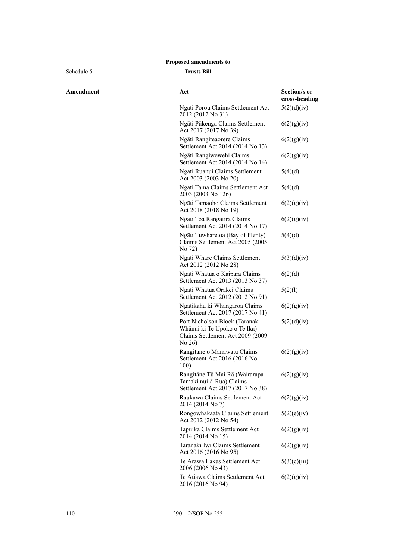| Schedule 5 | <b>Trusts Bill</b>                                                                                          |                               |
|------------|-------------------------------------------------------------------------------------------------------------|-------------------------------|
| Amendment  | Act                                                                                                         | Section/s or<br>cross-heading |
|            | Ngati Porou Claims Settlement Act<br>2012 (2012 No 31)                                                      | 5(2)(d)(iv)                   |
|            | Ngāti Pūkenga Claims Settlement<br>Act 2017 (2017 No 39)                                                    | 6(2)(g)(iv)                   |
|            | Ngāti Rangiteaorere Claims<br>Settlement Act 2014 (2014 No 13)                                              | 6(2)(g)(iv)                   |
|            | Ngāti Rangiwewehi Claims<br>Settlement Act 2014 (2014 No 14)                                                | 6(2)(g)(iv)                   |
|            | Ngati Ruanui Claims Settlement<br>Act 2003 (2003 No 20)                                                     | 5(4)(d)                       |
|            | Ngati Tama Claims Settlement Act<br>2003 (2003 No 126)                                                      | 5(4)(d)                       |
|            | Ngāti Tamaoho Claims Settlement<br>Act 2018 (2018 No 19)                                                    | 6(2)(g)(iv)                   |
|            | Ngati Toa Rangatira Claims<br>Settlement Act 2014 (2014 No 17)                                              | 6(2)(g)(iv)                   |
|            | Ngāti Tuwharetoa (Bay of Plenty)<br>Claims Settlement Act 2005 (2005<br>No 72)                              | 5(4)(d)                       |
|            | Ngāti Whare Claims Settlement<br>Act 2012 (2012 No 28)                                                      | 5(3)(d)(iv)                   |
|            | Ngāti Whātua o Kaipara Claims<br>Settlement Act 2013 (2013 No 37)                                           | 6(2)(d)                       |
|            | Ngāti Whātua Ōrākei Claims<br>Settlement Act 2012 (2012 No 91)                                              | 5(2)(1)                       |
|            | Ngatikahu ki Whangaroa Claims<br>Settlement Act 2017 (2017 No 41)                                           | 6(2)(g)(iv)                   |
|            | Port Nicholson Block (Taranaki<br>Whānui ki Te Upoko o Te Ika)<br>Claims Settlement Act 2009 (2009<br>No 26 | 5(2)(d)(iv)                   |
|            | Rangitāne o Manawatu Claims<br>Settlement Act 2016 (2016 No<br>100)                                         | 6(2)(g)(iv)                   |
|            | Rangitāne Tū Mai Rā (Wairarapa<br>Tamaki nui-ā-Rua) Claims<br>Settlement Act 2017 (2017 No 38)              | 6(2)(g)(iv)                   |
|            | Raukawa Claims Settlement Act<br>2014 (2014 No 7)                                                           | 6(2)(g)(iv)                   |
|            | Rongowhakaata Claims Settlement<br>Act 2012 (2012 No 54)                                                    | 5(2)(e)(iv)                   |
|            | Tapuika Claims Settlement Act<br>2014 (2014 No 15)                                                          | 6(2)(g)(iv)                   |
|            | Taranaki Iwi Claims Settlement<br>Act 2016 (2016 No 95)                                                     | 6(2)(g)(iv)                   |
|            | Te Arawa Lakes Settlement Act<br>2006 (2006 No 43)                                                          | 5(3)(c)(iii)                  |
|            | Te Atiawa Claims Settlement Act                                                                             | 6(2)(g)(iv)                   |

2016 (2016 No 94)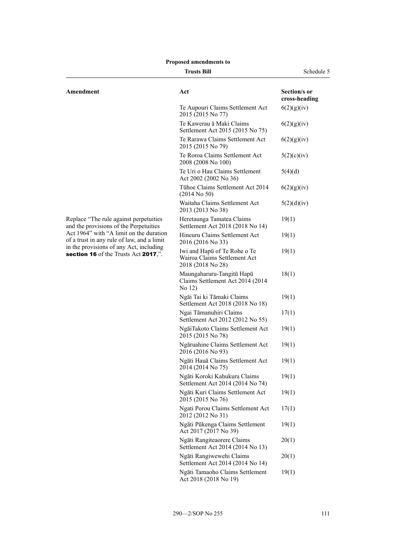|  | <b>Proposed amendments to</b> |  |
|--|-------------------------------|--|
|--|-------------------------------|--|

| Trusts Bil |  |
|------------|--|
|            |  |

**Trustee Schedule 5** Schedule 5

| Amendment                                                                             | Act                                                                               | Section/s or<br>cross-heading |
|---------------------------------------------------------------------------------------|-----------------------------------------------------------------------------------|-------------------------------|
|                                                                                       | Te Aupouri Claims Settlement Act<br>2015 (2015 No 77)                             | 6(2)(g)(iv)                   |
|                                                                                       | Te Kawerau ā Maki Claims<br>Settlement Act 2015 (2015 No 75)                      | 6(2)(g)(iv)                   |
|                                                                                       | Te Rarawa Claims Settlement Act<br>2015 (2015 No 79)                              | 6(2)(g)(iv)                   |
|                                                                                       | Te Roroa Claims Settlement Act<br>2008 (2008 No 100)                              | 5(2)(c)(iv)                   |
|                                                                                       | Te Uri o Hau Claims Settlement<br>Act 2002 (2002 No 36)                           | 5(4)(d)                       |
|                                                                                       | Tühoe Claims Settlement Act 2014<br>$(2014$ No 50)                                | 6(2)(g)(iv)                   |
|                                                                                       | Waitaha Claims Settlement Act<br>2013 (2013 No 38)                                | 5(2)(d)(iv)                   |
| Replace "The rule against perpetuities<br>and the provisions of the Perpetuities      | Heretaunga Tamatea Claims<br>Settlement Act 2018 (2018 No 14)                     | 19(1)                         |
| Act 1964" with "A limit on the duration<br>of a trust in any rule of law, and a limit | Hineuru Claims Settlement Act<br>2016 (2016 No 33)                                | 19(1)                         |
| in the provisions of any Act, including<br>section 16 of the Trusts Act 2017,".       | Iwi and Hapū of Te Rohe o Te<br>Wairoa Claims Settlement Act<br>2018 (2018 No 28) | 19(1)                         |
|                                                                                       | Maungaharuru-Tangitū Hapū<br>Claims Settlement Act 2014 (2014)<br>No 12)          | 18(1)                         |
|                                                                                       | Ngāi Tai ki Tāmaki Claims<br>Settlement Act 2018 (2018 No 18)                     | 19(1)                         |
|                                                                                       | Ngai Tāmanuhiri Claims<br>Settlement Act 2012 (2012 No 55)                        | 17(1)                         |
|                                                                                       | NgāiTakoto Claims Settlement Act<br>2015 (2015 No 78)                             | 19(1)                         |
|                                                                                       | Ngāruahine Claims Settlement Act<br>2016 (2016 No 93)                             | 19(1)                         |
|                                                                                       | Ngāti Hauā Claims Settlement Act<br>2014 (2014 No 75)                             | 19(1)                         |
|                                                                                       | Ngāti Koroki Kahukura Claims<br>Settlement Act 2014 (2014 No 74)                  | 19(1)                         |
|                                                                                       | Ngāti Kuri Claims Settlement Act<br>2015 (2015 No 76)                             | 19(1)                         |
|                                                                                       | Ngati Porou Claims Settlement Act<br>2012 (2012 No 31)                            | 17(1)                         |
|                                                                                       | Ngāti Pūkenga Claims Settlement<br>Act 2017 (2017 No 39)                          | 19(1)                         |
|                                                                                       | Ngāti Rangiteaorere Claims<br>Settlement Act 2014 (2014 No 13)                    | 20(1)                         |
|                                                                                       | Ngāti Rangiwewehi Claims<br>Settlement Act 2014 (2014 No 14)                      | 20(1)                         |
|                                                                                       | Ngāti Tamaoho Claims Settlement<br>Act 2018 (2018 No 19)                          | 19(1)                         |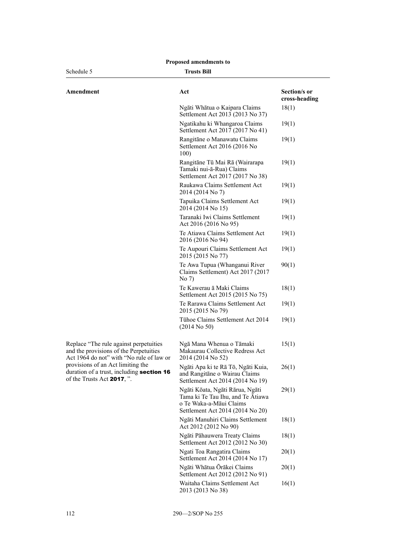| Schedule 5                                                                                                                   | <b>Trusts Bill</b>                                                                                                                  |                               |
|------------------------------------------------------------------------------------------------------------------------------|-------------------------------------------------------------------------------------------------------------------------------------|-------------------------------|
| Amendment                                                                                                                    | Act                                                                                                                                 | Section/s or<br>cross-heading |
|                                                                                                                              | Ngāti Whātua o Kaipara Claims<br>Settlement Act 2013 (2013 No 37)                                                                   | 18(1)                         |
|                                                                                                                              | Ngatikahu ki Whangaroa Claims<br>Settlement Act 2017 (2017 No 41)                                                                   | 19(1)                         |
|                                                                                                                              | Rangitāne o Manawatu Claims<br>Settlement Act 2016 (2016 No<br>100)                                                                 | 19(1)                         |
|                                                                                                                              | Rangitāne Tū Mai Rā (Wairarapa<br>Tamaki nui-ā-Rua) Claims<br>Settlement Act 2017 (2017 No 38)                                      | 19(1)                         |
|                                                                                                                              | Raukawa Claims Settlement Act<br>2014 (2014 No 7)                                                                                   | 19(1)                         |
|                                                                                                                              | Tapuika Claims Settlement Act<br>2014 (2014 No 15)                                                                                  | 19(1)                         |
|                                                                                                                              | Taranaki Iwi Claims Settlement<br>Act 2016 (2016 No 95)                                                                             | 19(1)                         |
|                                                                                                                              | Te Atiawa Claims Settlement Act<br>2016 (2016 No 94)                                                                                | 19(1)                         |
|                                                                                                                              | Te Aupouri Claims Settlement Act<br>2015 (2015 No 77)                                                                               | 19(1)                         |
|                                                                                                                              | Te Awa Tupua (Whanganui River<br>Claims Settlement) Act 2017 (2017<br>No 7)                                                         | 90(1)                         |
|                                                                                                                              | Te Kawerau ā Maki Claims<br>Settlement Act 2015 (2015 No 75)                                                                        | 18(1)                         |
|                                                                                                                              | Te Rarawa Claims Settlement Act<br>2015 (2015 No 79)                                                                                | 19(1)                         |
|                                                                                                                              | Tühoe Claims Settlement Act 2014<br>$(2014$ No 50)                                                                                  | 19(1)                         |
| Replace "The rule against perpetuities<br>and the provisions of the Perpetuities<br>Act 1964 do not" with "No rule of law or | Ngā Mana Whenua o Tāmaki<br>Makaurau Collective Redress Act<br>2014 (2014 No 52)                                                    | 15(1)                         |
| provisions of an Act limiting the<br>duration of a trust, including section 16<br>of the Trusts Act 2017, ".                 | Ngāti Apa ki te Rā Tō, Ngāti Kuia,<br>and Rangitāne o Wairau Claims<br>Settlement Act 2014 (2014 No 19)                             | 26(1)                         |
|                                                                                                                              | Ngāti Kōata, Ngāti Rārua, Ngāti<br>Tama ki Te Tau Ihu, and Te Atiawa<br>o Te Waka-a-Māui Claims<br>Settlement Act 2014 (2014 No 20) | 29(1)                         |
|                                                                                                                              | Ngāti Manuhiri Claims Settlement<br>Act 2012 (2012 No 90)                                                                           | 18(1)                         |
|                                                                                                                              | Ngāti Pāhauwera Treaty Claims<br>Settlement Act 2012 (2012 No 30)                                                                   | 18(1)                         |
|                                                                                                                              | Ngati Toa Rangatira Claims<br>Settlement Act 2014 (2014 No 17)                                                                      | 20(1)                         |
|                                                                                                                              | Ngāti Whātua Ōrākei Claims<br>Settlement Act 2012 (2012 No 91)                                                                      | 20(1)                         |
|                                                                                                                              | Waitaha Claims Settlement Act<br>2013 (2013 No 38)                                                                                  | 16(1)                         |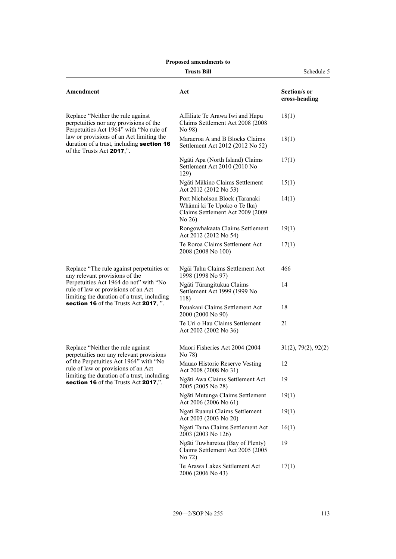|                                                                                                                                                                                                                                                       | <b>Trusts Bill</b>                                                                                             | Schedule 5                    |  |
|-------------------------------------------------------------------------------------------------------------------------------------------------------------------------------------------------------------------------------------------------------|----------------------------------------------------------------------------------------------------------------|-------------------------------|--|
| Amendment                                                                                                                                                                                                                                             | Act                                                                                                            | Section/s or<br>cross-heading |  |
| Replace "Neither the rule against<br>perpetuities nor any provisions of the<br>Perpetuities Act 1964" with "No rule of                                                                                                                                | Affiliate Te Arawa Iwi and Hapu<br>Claims Settlement Act 2008 (2008)<br>No 98)                                 | 18(1)                         |  |
| law or provisions of an Act limiting the<br>duration of a trust, including section 16<br>of the Trusts Act 2017,".                                                                                                                                    | Maraeroa A and B Blocks Claims<br>Settlement Act 2012 (2012 No 52)                                             | 18(1)                         |  |
|                                                                                                                                                                                                                                                       | Ngāti Apa (North Island) Claims<br>Settlement Act 2010 (2010 No<br>129)                                        | 17(1)                         |  |
|                                                                                                                                                                                                                                                       | Ngāti Mākino Claims Settlement<br>Act 2012 (2012 No 53)                                                        | 15(1)                         |  |
|                                                                                                                                                                                                                                                       | Port Nicholson Block (Taranaki<br>Whānui ki Te Upoko o Te Ika)<br>Claims Settlement Act 2009 (2009<br>No $26)$ | 14(1)                         |  |
|                                                                                                                                                                                                                                                       | Rongowhakaata Claims Settlement<br>Act 2012 (2012 No 54)                                                       | 19(1)                         |  |
|                                                                                                                                                                                                                                                       | Te Roroa Claims Settlement Act<br>2008 (2008 No 100)                                                           | 17(1)                         |  |
| Replace "The rule against perpetuities or<br>any relevant provisions of the<br>Perpetuities Act 1964 do not" with "No<br>rule of law or provisions of an Act<br>limiting the duration of a trust, including<br>section 16 of the Trusts Act 2017, ".  | Ngāi Tahu Claims Settlement Act<br>1998 (1998 No 97)                                                           | 466                           |  |
|                                                                                                                                                                                                                                                       | Ngāti Tūrangitukua Claims<br>Settlement Act 1999 (1999 No<br>118)                                              | 14                            |  |
|                                                                                                                                                                                                                                                       | Pouakani Claims Settlement Act<br>2000 (2000 No 90)                                                            | 18                            |  |
|                                                                                                                                                                                                                                                       | Te Uri o Hau Claims Settlement<br>Act 2002 (2002 No 36)                                                        | 21                            |  |
| Replace "Neither the rule against<br>perpetuities nor any relevant provisions<br>of the Perpetuities Act 1964" with "No<br>rule of law or provisions of an Act<br>limiting the duration of a trust, including<br>section 16 of the Trusts Act 2017,". | Maori Fisheries Act 2004 (2004)<br>No 78)                                                                      | 31(2), 79(2), 92(2)           |  |
|                                                                                                                                                                                                                                                       | Mauao Historic Reserve Vesting<br>Act 2008 (2008 No 31)                                                        | 12                            |  |
|                                                                                                                                                                                                                                                       | Ngāti Awa Claims Settlement Act<br>2005 (2005 No 28)                                                           | 19                            |  |
|                                                                                                                                                                                                                                                       | Ngāti Mutunga Claims Settlement<br>Act 2006 (2006 No 61)                                                       | 19(1)                         |  |
|                                                                                                                                                                                                                                                       | Ngati Ruanui Claims Settlement<br>Act 2003 (2003 No 20)                                                        | 19(1)                         |  |
|                                                                                                                                                                                                                                                       | Ngati Tama Claims Settlement Act<br>2003 (2003 No 126)                                                         | 16(1)                         |  |
|                                                                                                                                                                                                                                                       | Ngāti Tuwharetoa (Bay of Plenty)<br>Claims Settlement Act 2005 (2005<br>No 72)                                 | 19                            |  |
|                                                                                                                                                                                                                                                       | Te Arawa Lakes Settlement Act<br>2006 (2006 No 43)                                                             | 17(1)                         |  |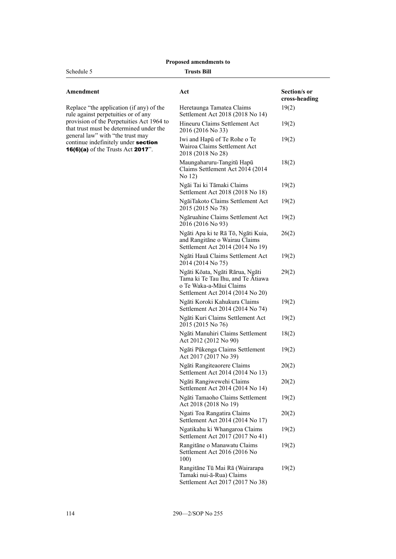#### Schedule 5

#### **Trusts Bill**

| Amendment |  |  |
|-----------|--|--|
|           |  |  |

| Replace "the application (if any) of the         |
|--------------------------------------------------|
| rule against perpetuities or of any              |
| provision of the Perpetuities Act 1964 to        |
| that trust must be determined under the          |
| general law" with "the trust may                 |
| continue indefinitely under section              |
| <b>16(6)(a)</b> of the Trusts Act <b>2017</b> ". |
|                                                  |

| Act                                                                                                                                 | Section/s or<br>cross-heading |
|-------------------------------------------------------------------------------------------------------------------------------------|-------------------------------|
| Heretaunga Tamatea Claims<br>Settlement Act 2018 (2018 No 14)                                                                       | 19(2)                         |
| Hineuru Claims Settlement Act<br>2016 (2016 No 33)                                                                                  | 19(2)                         |
| Iwi and Hapū of Te Rohe o Te<br>Wairoa Claims Settlement Act<br>2018 (2018 No 28)                                                   | 19(2)                         |
| Maungaharuru-Tangitū Hapū<br>Claims Settlement Act 2014 (2014<br>No 12)                                                             | 18(2)                         |
| Ngāi Tai ki Tāmaki Claims<br>Settlement Act 2018 (2018 No 18)                                                                       | 19(2)                         |
| NgāiTakoto Claims Settlement Act<br>2015 (2015 No 78)                                                                               | 19(2)                         |
| Ngāruahine Claims Settlement Act<br>2016 (2016 No 93)                                                                               | 19(2)                         |
| Ngāti Apa ki te Rā Tō, Ngāti Kuia,<br>and Rangitāne o Wairau Claims<br>Settlement Act 2014 (2014 No 19)                             | 26(2)                         |
| Ngāti Hauā Claims Settlement Act<br>2014 (2014 No 75)                                                                               | 19(2)                         |
| Ngāti Kōata, Ngāti Rārua, Ngāti<br>Tama ki Te Tau Ihu, and Te Atiawa<br>o Te Waka-a-Māui Claims<br>Settlement Act 2014 (2014 No 20) | 29(2)                         |
| Ngāti Koroki Kahukura Claims<br>Settlement Act 2014 (2014 No 74)                                                                    | 19(2)                         |
| Ngāti Kuri Claims Settlement Act<br>2015 (2015 No 76)                                                                               | 19(2)                         |
| Ngāti Manuhiri Claims Settlement<br>Act 2012 (2012 No 90)                                                                           | 18(2)                         |
| Ngāti Pūkenga Claims Settlement<br>Act 2017 (2017 No 39)                                                                            | 19(2)                         |
| Ngāti Rangiteaorere Claims<br>Settlement Act 2014 (2014 No 13)                                                                      | 20(2)                         |
| Ngāti Rangiwewehi Claims<br>Settlement Act 2014 (2014 No 14)                                                                        | 20(2)                         |
| Ngāti Tamaoho Claims Settlement<br>Act 2018 (2018 No 19)                                                                            | 19(2)                         |
| Ngati Toa Rangatira Claims<br>Settlement Act 2014 (2014 No 17)                                                                      | 20(2)                         |
| Ngatikahu ki Whangaroa Claims<br>Settlement Act 2017 (2017 No 41)                                                                   | 19(2)                         |
| Rangitāne o Manawatu Claims<br>Settlement Act 2016 (2016 No<br>100)                                                                 | 19(2)                         |
| Rangitāne Tū Mai Rā (Wairarapa<br>Tamaki nui-ā-Rua) Claims<br>Settlement Act 2017 (2017 No 38)                                      | 19(2)                         |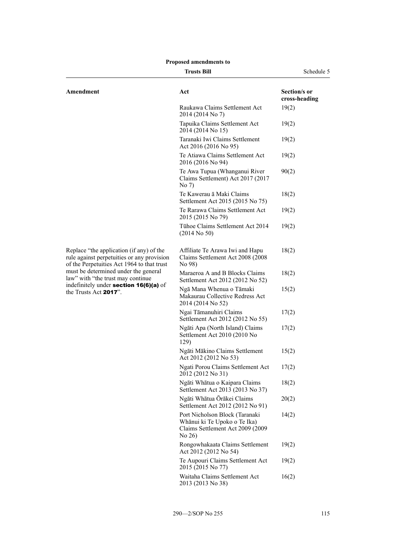| <b>Trusts Bill</b>                                                                                                                                                                                                                                                                   |                                                                                                              | Schedule 5                    |
|--------------------------------------------------------------------------------------------------------------------------------------------------------------------------------------------------------------------------------------------------------------------------------------|--------------------------------------------------------------------------------------------------------------|-------------------------------|
| Amendment                                                                                                                                                                                                                                                                            | Act                                                                                                          | Section/s or<br>cross-heading |
|                                                                                                                                                                                                                                                                                      | Raukawa Claims Settlement Act<br>2014 (2014 No 7)                                                            | 19(2)                         |
|                                                                                                                                                                                                                                                                                      | Tapuika Claims Settlement Act<br>2014 (2014 No 15)                                                           | 19(2)                         |
|                                                                                                                                                                                                                                                                                      | Taranaki Iwi Claims Settlement<br>Act 2016 (2016 No 95)                                                      | 19(2)                         |
|                                                                                                                                                                                                                                                                                      | Te Atiawa Claims Settlement Act<br>2016 (2016 No 94)                                                         | 19(2)                         |
|                                                                                                                                                                                                                                                                                      | Te Awa Tupua (Whanganui River<br>Claims Settlement) Act 2017 (2017<br>No 7)                                  | 90(2)                         |
|                                                                                                                                                                                                                                                                                      | Te Kawerau ā Maki Claims<br>Settlement Act 2015 (2015 No 75)                                                 | 18(2)                         |
|                                                                                                                                                                                                                                                                                      | Te Rarawa Claims Settlement Act<br>2015 (2015 No 79)                                                         | 19(2)                         |
|                                                                                                                                                                                                                                                                                      | Tühoe Claims Settlement Act 2014<br>$(2014$ No 50)                                                           | 19(2)                         |
| Replace "the application (if any) of the<br>rule against perpetuities or any provision<br>of the Perpetuities Act 1964 to that trust<br>must be determined under the general<br>law" with "the trust may continue<br>indefinitely under section 16(6)(a) of<br>the Trusts Act 2017". | Affiliate Te Arawa Iwi and Hapu<br>Claims Settlement Act 2008 (2008)<br>No 98)                               | 18(2)                         |
|                                                                                                                                                                                                                                                                                      | Maraeroa A and B Blocks Claims<br>Settlement Act 2012 (2012 No 52)                                           | 18(2)                         |
|                                                                                                                                                                                                                                                                                      | Ngā Mana Whenua o Tāmaki<br>Makaurau Collective Redress Act<br>2014 (2014 No 52)                             | 15(2)                         |
|                                                                                                                                                                                                                                                                                      | Ngai Tāmanuhiri Claims<br>Settlement Act 2012 (2012 No 55)                                                   | 17(2)                         |
|                                                                                                                                                                                                                                                                                      | Ngāti Apa (North Island) Claims<br>Settlement Act 2010 (2010 No<br>129)                                      | 17(2)                         |
|                                                                                                                                                                                                                                                                                      | Ngāti Mākino Claims Settlement<br>Act 2012 (2012 No 53)                                                      | 15(2)                         |
|                                                                                                                                                                                                                                                                                      | Ngati Porou Claims Settlement Act<br>2012 (2012 No 31)                                                       | 17(2)                         |
|                                                                                                                                                                                                                                                                                      | Ngāti Whātua o Kaipara Claims<br>Settlement Act 2013 (2013 No 37)                                            | 18(2)                         |
|                                                                                                                                                                                                                                                                                      | Ngāti Whātua Ōrākei Claims<br>Settlement Act 2012 (2012 No 91)                                               | 20(2)                         |
|                                                                                                                                                                                                                                                                                      | Port Nicholson Block (Taranaki<br>Whānui ki Te Upoko o Te Ika)<br>Claims Settlement Act 2009 (2009<br>No 26) | 14(2)                         |
|                                                                                                                                                                                                                                                                                      | Rongowhakaata Claims Settlement<br>Act 2012 (2012 No 54)                                                     | 19(2)                         |
|                                                                                                                                                                                                                                                                                      | Te Aupouri Claims Settlement Act<br>2015 (2015 No 77)                                                        | 19(2)                         |
|                                                                                                                                                                                                                                                                                      | Waitaha Claims Settlement Act<br>2013 (2013 No 38)                                                           | 16(2)                         |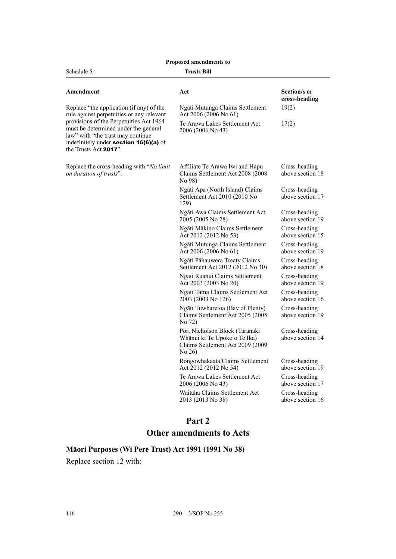| Proposed amendments to                                                                                                                                                                                                                                                           |                                                                                                              |                                   |  |
|----------------------------------------------------------------------------------------------------------------------------------------------------------------------------------------------------------------------------------------------------------------------------------|--------------------------------------------------------------------------------------------------------------|-----------------------------------|--|
| Schedule 5<br>Trusts Bill                                                                                                                                                                                                                                                        |                                                                                                              |                                   |  |
| Amendment                                                                                                                                                                                                                                                                        | Act                                                                                                          | Section/s or<br>cross-heading     |  |
| Replace "the application (if any) of the<br>rule against perpetuities or any relevant<br>provisions of the Perpetuities Act 1964<br>must be determined under the general<br>law" with "the trust may continue<br>indefinitely under section 16(6)(a) of<br>the Trusts Act 2017". | Ngāti Mutunga Claims Settlement<br>Act 2006 (2006 No 61)                                                     | 19(2)                             |  |
|                                                                                                                                                                                                                                                                                  | Te Arawa Lakes Settlement Act<br>2006 (2006 No 43)                                                           | 17(2)                             |  |
| Replace the cross-heading with "No limit<br>on duration of trusts".                                                                                                                                                                                                              | Affiliate Te Arawa Iwi and Hapu<br>Claims Settlement Act 2008 (2008)<br>No 98)                               | Cross-heading<br>above section 18 |  |
|                                                                                                                                                                                                                                                                                  | Ngāti Apa (North Island) Claims<br>Settlement Act 2010 (2010 No<br>129)                                      | Cross-heading<br>above section 17 |  |
|                                                                                                                                                                                                                                                                                  | Ngāti Awa Claims Settlement Act<br>2005 (2005 No 28)                                                         | Cross-heading<br>above section 19 |  |
|                                                                                                                                                                                                                                                                                  | Ngāti Mākino Claims Settlement<br>Act 2012 (2012 No 53)                                                      | Cross-heading<br>above section 15 |  |
|                                                                                                                                                                                                                                                                                  | Ngāti Mutunga Claims Settlement<br>Act 2006 (2006 No 61)                                                     | Cross-heading<br>above section 19 |  |
|                                                                                                                                                                                                                                                                                  | Ngāti Pāhauwera Treaty Claims<br>Settlement Act 2012 (2012 No 30)                                            | Cross-heading<br>above section 18 |  |
|                                                                                                                                                                                                                                                                                  | Ngati Ruanui Claims Settlement<br>Act 2003 (2003 No 20)                                                      | Cross-heading<br>above section 19 |  |
|                                                                                                                                                                                                                                                                                  | Ngati Tama Claims Settlement Act<br>2003 (2003 No 126)                                                       | Cross-heading<br>above section 16 |  |
|                                                                                                                                                                                                                                                                                  | Ngāti Tuwharetoa (Bay of Plenty)<br>Claims Settlement Act 2005 (2005<br>No 72)                               | Cross-heading<br>above section 19 |  |
|                                                                                                                                                                                                                                                                                  | Port Nicholson Block (Taranaki<br>Whānui ki Te Upoko o Te Ika)<br>Claims Settlement Act 2009 (2009<br>No 26) | Cross-heading<br>above section 14 |  |
|                                                                                                                                                                                                                                                                                  | Rongowhakaata Claims Settlement<br>Act 2012 (2012 No 54)                                                     | Cross-heading<br>above section 19 |  |
|                                                                                                                                                                                                                                                                                  | Te Arawa Lakes Settlement Act<br>2006 (2006 No 43)                                                           | Cross-heading<br>above section 17 |  |
|                                                                                                                                                                                                                                                                                  | Waitaha Claims Settlement Act<br>2013 (2013 No 38)                                                           | Cross-heading<br>above section 16 |  |

# **Part 2**

# **Other amendments to Acts**

# **Māori Purposes (Wi Pere Trust) Act 1991 (1991 No 38)**

Replace section 12 with: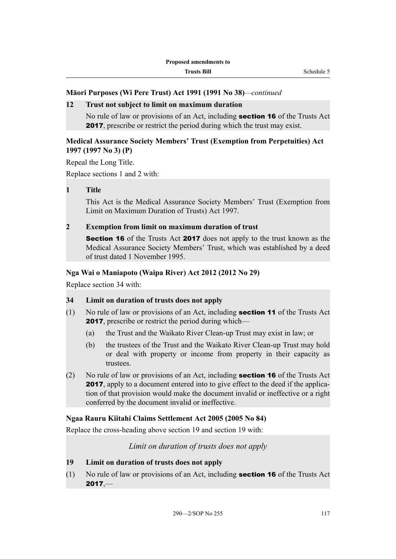# **Māori Purposes (Wi Pere Trust) Act 1991 (1991 No 38)***—continued*

#### **12 Trust not subject to limit on maximum duration**

No rule of law or provisions of an Act, including section 16 of the Trusts Act 2017, prescribe or restrict the period during which the trust may exist.

# **Medical Assurance Society Members' Trust (Exemption from Perpetuities) Act 1997 (1997 No 3) (P)**

Repeal the Long Title.

Replace sections 1 and 2 with:

**1 Title**

This Act is the Medical Assurance Society Members' Trust (Exemption from Limit on Maximum Duration of Trusts) Act 1997.

# **2 Exemption from limit on maximum duration of trust**

Section 16 of the Trusts Act 2017 does not apply to the trust known as the Medical Assurance Society Members' Trust, which was established by a deed of trust dated 1 November 1995.

#### **Nga Wai o Maniapoto (Waipa River) Act 2012 (2012 No 29)**

Replace section 34 with:

# **34 Limit on duration of trusts does not apply**

- (1) No rule of law or provisions of an Act, including section 11 of the Trusts Act 2017, prescribe or restrict the period during which—
	- (a) the Trust and the Waikato River Clean-up Trust may exist in law; or
	- (b) the trustees of the Trust and the Waikato River Clean-up Trust may hold or deal with property or income from property in their capacity as trustees.
- (2) No rule of law or provisions of an Act, including **section 16** of the Trusts Act 2017, apply to a document entered into to give effect to the deed if the application of that provision would make the document invalid or ineffective or a right conferred by the document invalid or ineffective.

# **Ngaa Rauru Kiitahi Claims Settlement Act 2005 (2005 No 84)**

Replace the cross-heading above section 19 and section 19 with:

# *Limit on duration of trusts does not apply*

#### **19 Limit on duration of trusts does not apply**

(1) No rule of law or provisions of an Act, including section 16 of the Trusts Act  $2017, -$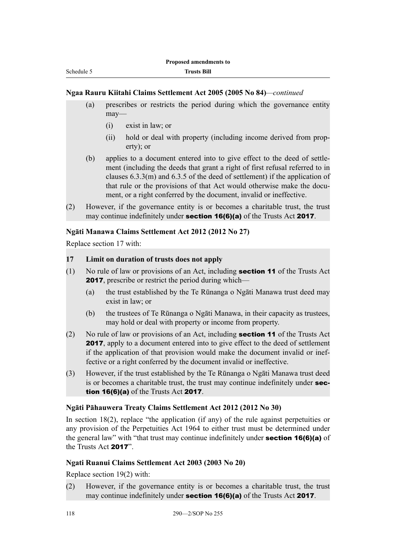#### **Ngaa Rauru Kiitahi Claims Settlement Act 2005 (2005 No 84)***—continued*

- (a) prescribes or restricts the period during which the governance entity may—
	- (i) exist in law; or
	- (ii) hold or deal with property (including income derived from property); or
- (b) applies to a document entered into to give effect to the deed of settlement (including the deeds that grant a right of first refusal referred to in clauses 6.3.3(m) and 6.3.5 of the deed of settlement) if the application of that rule or the provisions of that Act would otherwise make the document, or a right conferred by the document, invalid or ineffective.
- (2) However, if the governance entity is or becomes a charitable trust, the trust may continue indefinitely under **section 16(6)(a)** of the Trusts Act 2017.

#### **Ngāti Manawa Claims Settlement Act 2012 (2012 No 27)**

Replace section 17 with:

# **17 Limit on duration of trusts does not apply**

- (1) No rule of law or provisions of an Act, including section 11 of the Trusts Act **2017**, prescribe or restrict the period during which—
	- (a) the trust established by the Te Rūnanga o Ngāti Manawa trust deed may exist in law; or
	- (b) the trustees of Te Rūnanga o Ngāti Manawa, in their capacity as trustees, may hold or deal with property or income from property.
- (2) No rule of law or provisions of an Act, including **section 11** of the Trusts Act 2017, apply to a document entered into to give effect to the deed of settlement if the application of that provision would make the document invalid or ineffective or a right conferred by the document invalid or ineffective.
- (3) However, if the trust established by the Te Rūnanga o Ngāti Manawa trust deed is or becomes a charitable trust, the trust may continue indefinitely under section 16(6)(a) of the Trusts Act 2017.

#### **Ngāti Pāhauwera Treaty Claims Settlement Act 2012 (2012 No 30)**

In section 18(2), replace "the application (if any) of the rule against perpetuities or any provision of the Perpetuities Act 1964 to either trust must be determined under the general law" with "that trust may continue indefinitely under section 16(6)(a) of the Trusts Act 2017".

#### **Ngati Ruanui Claims Settlement Act 2003 (2003 No 20)**

Replace section 19(2) with:

(2) However, if the governance entity is or becomes a charitable trust, the trust may continue indefinitely under section 16(6)(a) of the Trusts Act 2017.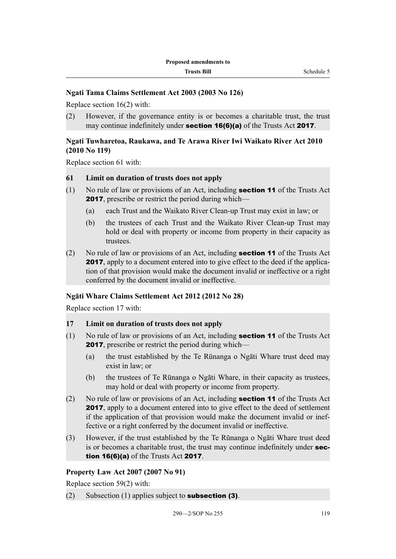# **Ngati Tama Claims Settlement Act 2003 (2003 No 126)**

Replace section 16(2) with:

(2) However, if the governance entity is or becomes a charitable trust, the trust may continue indefinitely under **section 16(6)(a)** of the Trusts Act 2017.

# **Ngati Tuwharetoa, Raukawa, and Te Arawa River Iwi Waikato River Act 2010 (2010 No 119)**

Replace section 61 with:

#### **61 Limit on duration of trusts does not apply**

- (1) No rule of law or provisions of an Act, including section 11 of the Trusts Act **2017**, prescribe or restrict the period during which—
	- (a) each Trust and the Waikato River Clean-up Trust may exist in law; or
	- (b) the trustees of each Trust and the Waikato River Clean-up Trust may hold or deal with property or income from property in their capacity as trustees.
- (2) No rule of law or provisions of an Act, including **section 11** of the Trusts Act 2017, apply to a document entered into to give effect to the deed if the application of that provision would make the document invalid or ineffective or a right conferred by the document invalid or ineffective.

#### **Ngāti Whare Claims Settlement Act 2012 (2012 No 28)**

Replace section 17 with:

# **17 Limit on duration of trusts does not apply**

- (1) No rule of law or provisions of an Act, including section 11 of the Trusts Act **2017**, prescribe or restrict the period during which—
	- (a) the trust established by the Te Rūnanga o Ngāti Whare trust deed may exist in law; or
	- (b) the trustees of Te Rūnanga o Ngāti Whare, in their capacity as trustees, may hold or deal with property or income from property.
- (2) No rule of law or provisions of an Act, including **section 11** of the Trusts Act 2017, apply to a document entered into to give effect to the deed of settlement if the application of that provision would make the document invalid or ineffective or a right conferred by the document invalid or ineffective.
- (3) However, if the trust established by the Te Rūnanga o Ngāti Whare trust deed is or becomes a charitable trust, the trust may continue indefinitely under **sec**tion 16(6)(a) of the Trusts Act 2017.

#### **Property Law Act 2007 (2007 No 91)**

Replace section 59(2) with:

(2) Subsection (1) applies subject to **subsection (3)**.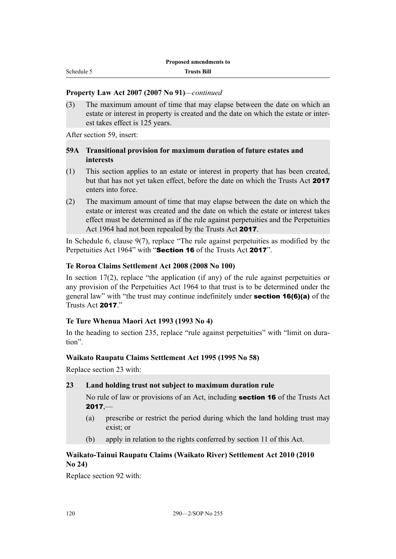# **Property Law Act 2007 (2007 No 91)***—continued*

(3) The maximum amount of time that may elapse between the date on which an estate or interest in property is created and the date on which the estate or interest takes effect is 125 years.

After section 59, insert:

# **59A Transitional provision for maximum duration of future estates and interests**

- (1) This section applies to an estate or interest in property that has been created, but that has not yet taken effect, before the date on which the Trusts Act 2017 enters into force.
- (2) The maximum amount of time that may elapse between the date on which the estate or interest was created and the date on which the estate or interest takes effect must be determined as if the rule against perpetuities and the Perpetuities Act 1964 had not been repealed by the Trusts Act 2017.

In Schedule 6, clause 9(7), replace "The rule against perpetuities as modified by the Perpetuities Act 1964" with "Section 16 of the Trusts Act 2017".

#### **Te Roroa Claims Settlement Act 2008 (2008 No 100)**

In section  $17(2)$ , replace "the application (if any) of the rule against perpetuities or any provision of the Perpetuities Act 1964 to that trust is to be determined under the general law" with "the trust may continue indefinitely under section 16(6)(a) of the Trusts Act 2017."

#### **Te Ture Whenua Maori Act 1993 (1993 No 4)**

In the heading to section 235, replace "rule against perpetuities" with "limit on duration".

#### **Waikato Raupatu Claims Settlement Act 1995 (1995 No 58)**

Replace section 23 with:

#### **23 Land holding trust not subject to maximum duration rule**

No rule of law or provisions of an Act, including **section 16** of the Trusts Act  $2017$ , $-$ 

- (a) prescribe or restrict the period during which the land holding trust may exist; or
- (b) apply in relation to the rights conferred by section 11 of this Act.

# **Waikato-Tainui Raupatu Claims (Waikato River) Settlement Act 2010 (2010 No 24)**

Replace section 92 with: